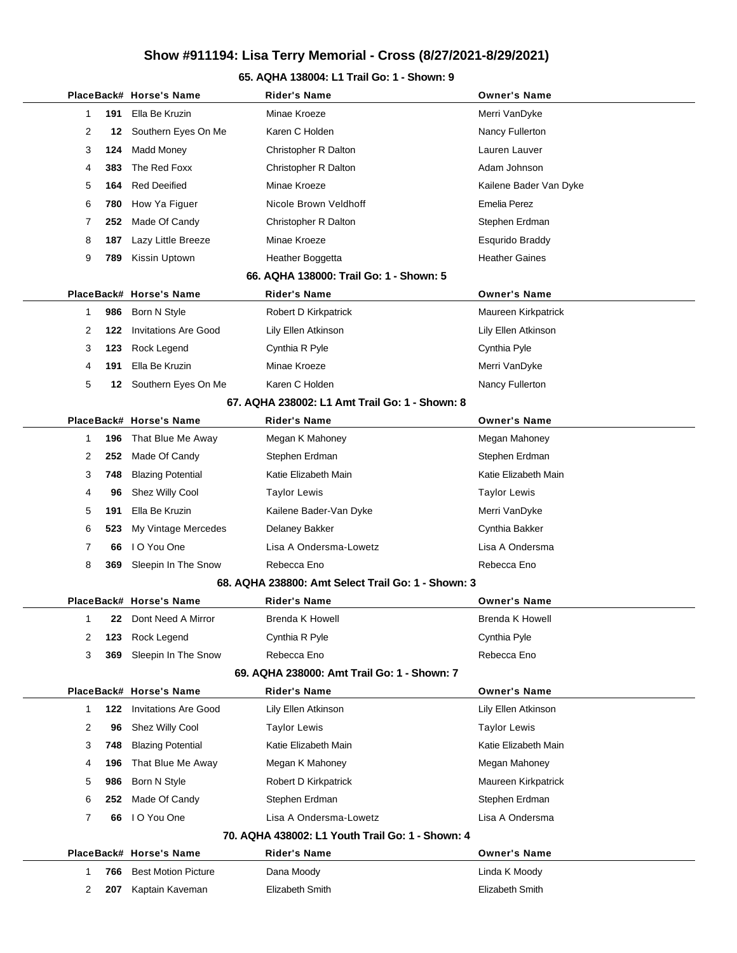#### **65. AQHA 138004: L1 Trail Go: 1 - Shown: 9**

|                |     | PlaceBack# Horse's Name     | Rider's Name                                       | <b>Owner's Name</b>    |
|----------------|-----|-----------------------------|----------------------------------------------------|------------------------|
| 1.             | 191 | Ella Be Kruzin              | Minae Kroeze                                       | Merri VanDyke          |
| 2              | 12  | Southern Eyes On Me         | Karen C Holden                                     | Nancy Fullerton        |
| 3              | 124 | Madd Money                  | Christopher R Dalton                               | Lauren Lauver          |
| 4              | 383 | The Red Foxx                | Christopher R Dalton                               | Adam Johnson           |
| 5              | 164 | <b>Red Deeified</b>         | Minae Kroeze                                       | Kailene Bader Van Dyke |
| 6              | 780 | How Ya Figuer               | Nicole Brown Veldhoff                              | Emelia Perez           |
| 7              | 252 | Made Of Candy               | Christopher R Dalton                               | Stephen Erdman         |
| 8              | 187 | Lazy Little Breeze          | Minae Kroeze                                       | Esqurido Braddy        |
| 9              | 789 | Kissin Uptown               | Heather Boggetta                                   | <b>Heather Gaines</b>  |
|                |     |                             | 66. AQHA 138000: Trail Go: 1 - Shown: 5            |                        |
|                |     | PlaceBack# Horse's Name     | <b>Rider's Name</b>                                | <b>Owner's Name</b>    |
| 1              | 986 | Born N Style                | Robert D Kirkpatrick                               | Maureen Kirkpatrick    |
| 2              | 122 | <b>Invitations Are Good</b> | Lily Ellen Atkinson                                | Lily Ellen Atkinson    |
| 3              | 123 | Rock Legend                 | Cynthia R Pyle                                     | Cynthia Pyle           |
| 4              | 191 | Ella Be Kruzin              | Minae Kroeze                                       | Merri VanDyke          |
| 5              |     | 12 Southern Eyes On Me      | Karen C Holden                                     | Nancy Fullerton        |
|                |     |                             | 67. AQHA 238002: L1 Amt Trail Go: 1 - Shown: 8     |                        |
|                |     | PlaceBack# Horse's Name     | <b>Rider's Name</b>                                | <b>Owner's Name</b>    |
| 1              | 196 | That Blue Me Away           | Megan K Mahoney                                    | Megan Mahoney          |
| 2              | 252 | Made Of Candy               | Stephen Erdman                                     | Stephen Erdman         |
| 3              | 748 | <b>Blazing Potential</b>    | Katie Elizabeth Main                               | Katie Elizabeth Main   |
| 4              | 96  | Shez Willy Cool             | Taylor Lewis                                       | Taylor Lewis           |
| 5              | 191 | Ella Be Kruzin              | Kailene Bader-Van Dyke                             | Merri VanDyke          |
| 6              | 523 | My Vintage Mercedes         | Delaney Bakker                                     | Cynthia Bakker         |
| $\overline{7}$ | 66  | I O You One                 | Lisa A Ondersma-Lowetz                             | Lisa A Ondersma        |
| 8              | 369 | Sleepin In The Snow         | Rebecca Eno                                        | Rebecca Eno            |
|                |     |                             | 68. AQHA 238800: Amt Select Trail Go: 1 - Shown: 3 |                        |
|                |     | PlaceBack# Horse's Name     | <b>Rider's Name</b>                                | <b>Owner's Name</b>    |
| 1              | 22. | Dont Need A Mirror          | Brenda K Howell                                    | Brenda K Howell        |
| 2              | 123 | Rock Legend                 | Cynthia R Pyle                                     | Cynthia Pyle           |
| 3              | 369 | Sleepin In The Snow         | Rebecca Eno                                        | Rebecca Eno            |
|                |     |                             | 69. AQHA 238000: Amt Trail Go: 1 - Shown: 7        |                        |
|                |     | PlaceBack# Horse's Name     | <b>Rider's Name</b>                                | <b>Owner's Name</b>    |
| 1              | 122 | <b>Invitations Are Good</b> | Lily Ellen Atkinson                                | Lily Ellen Atkinson    |
| 2              | 96  | Shez Willy Cool             | <b>Taylor Lewis</b>                                | <b>Taylor Lewis</b>    |
| 3              | 748 | <b>Blazing Potential</b>    | Katie Elizabeth Main                               | Katie Elizabeth Main   |
| 4              | 196 | That Blue Me Away           | Megan K Mahoney                                    | Megan Mahoney          |
| 5              | 986 | Born N Style                | Robert D Kirkpatrick                               | Maureen Kirkpatrick    |
| 6              | 252 | Made Of Candy               | Stephen Erdman                                     | Stephen Erdman         |
| 7              | 66  | I O You One                 | Lisa A Ondersma-Lowetz                             | Lisa A Ondersma        |
|                |     |                             | 70. AQHA 438002: L1 Youth Trail Go: 1 - Shown: 4   |                        |
|                |     | PlaceBack# Horse's Name     | <b>Rider's Name</b>                                | <b>Owner's Name</b>    |
| 1              | 766 | <b>Best Motion Picture</b>  | Dana Moody                                         | Linda K Moody          |
| 2              | 207 | Kaptain Kaveman             | Elizabeth Smith                                    | Elizabeth Smith        |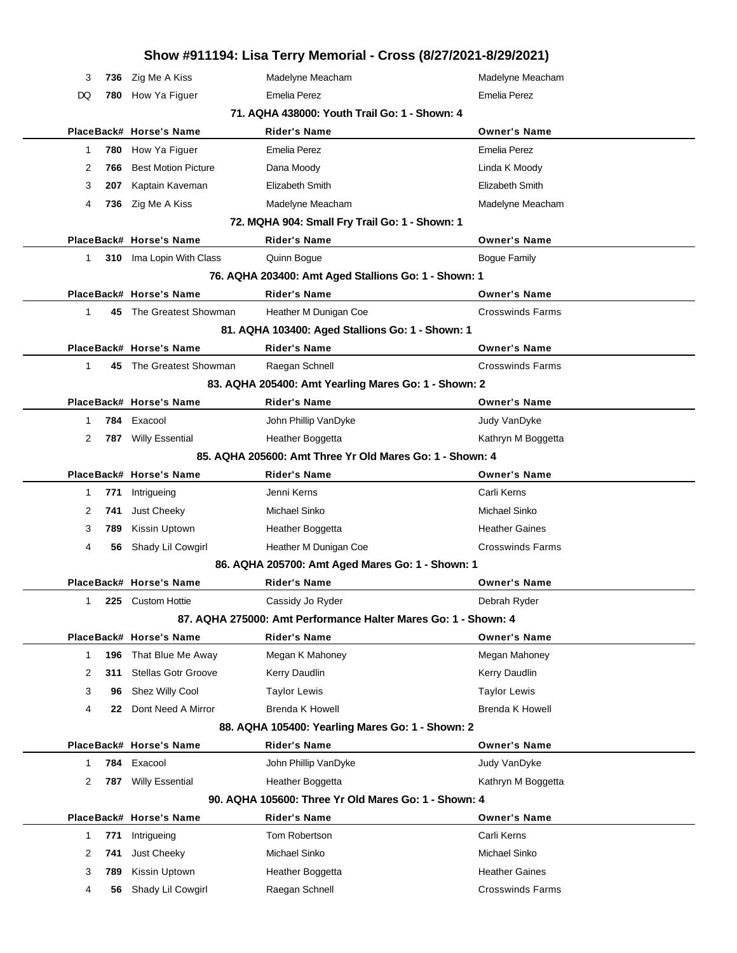|                                               |     |                            | Show #911194: Lisa Terry Memorial - Cross (8/27/2021-8/29/2021) |                         |  |  |  |
|-----------------------------------------------|-----|----------------------------|-----------------------------------------------------------------|-------------------------|--|--|--|
| 3                                             | 736 | Zig Me A Kiss              | Madelyne Meacham                                                | Madelyne Meacham        |  |  |  |
| DQ                                            | 780 | How Ya Figuer              | <b>Emelia Perez</b>                                             | <b>Emelia Perez</b>     |  |  |  |
| 71. AQHA 438000: Youth Trail Go: 1 - Shown: 4 |     |                            |                                                                 |                         |  |  |  |
|                                               |     | PlaceBack# Horse's Name    | <b>Rider's Name</b>                                             | <b>Owner's Name</b>     |  |  |  |
| 1                                             | 780 | How Ya Figuer              | <b>Emelia Perez</b>                                             | <b>Emelia Perez</b>     |  |  |  |
| 2                                             | 766 | <b>Best Motion Picture</b> | Dana Moody                                                      | Linda K Moody           |  |  |  |
| 3                                             | 207 | Kaptain Kaveman            | Elizabeth Smith                                                 | Elizabeth Smith         |  |  |  |
| 4                                             |     | 736 Zig Me A Kiss          | Madelyne Meacham                                                | Madelyne Meacham        |  |  |  |
|                                               |     |                            | 72. MQHA 904: Small Fry Trail Go: 1 - Shown: 1                  |                         |  |  |  |
|                                               |     | PlaceBack# Horse's Name    | <b>Rider's Name</b>                                             | <b>Owner's Name</b>     |  |  |  |
| 1                                             |     | 310 Ima Lopin With Class   | Quinn Bogue                                                     | <b>Bogue Family</b>     |  |  |  |
|                                               |     |                            | 76. AQHA 203400: Amt Aged Stallions Go: 1 - Shown: 1            |                         |  |  |  |
|                                               |     | PlaceBack# Horse's Name    | <b>Rider's Name</b>                                             | <b>Owner's Name</b>     |  |  |  |
| 1                                             |     | 45 The Greatest Showman    | Heather M Dunigan Coe                                           | <b>Crosswinds Farms</b> |  |  |  |
|                                               |     |                            | 81. AQHA 103400: Aged Stallions Go: 1 - Shown: 1                |                         |  |  |  |
|                                               |     | PlaceBack# Horse's Name    | <b>Rider's Name</b>                                             | <b>Owner's Name</b>     |  |  |  |
| $\mathbf{1}$                                  |     | 45 The Greatest Showman    | Raegan Schnell                                                  | <b>Crosswinds Farms</b> |  |  |  |
|                                               |     |                            | 83. AQHA 205400: Amt Yearling Mares Go: 1 - Shown: 2            |                         |  |  |  |
|                                               |     | PlaceBack# Horse's Name    | <b>Rider's Name</b>                                             | <b>Owner's Name</b>     |  |  |  |
| 1                                             | 784 | Exacool                    | John Phillip VanDyke                                            | Judy VanDyke            |  |  |  |
| 2                                             | 787 | <b>Willy Essential</b>     | Heather Boggetta                                                | Kathryn M Boggetta      |  |  |  |
|                                               |     |                            | 85. AQHA 205600: Amt Three Yr Old Mares Go: 1 - Shown: 4        |                         |  |  |  |
|                                               |     | PlaceBack# Horse's Name    | <b>Rider's Name</b>                                             | <b>Owner's Name</b>     |  |  |  |
| 1                                             | 771 | Intrigueing                | Jenni Kerns                                                     | Carli Kerns             |  |  |  |
| 2                                             | 741 | Just Cheeky                | Michael Sinko                                                   | Michael Sinko           |  |  |  |
| 3                                             | 789 | Kissin Uptown              | Heather Boggetta                                                | <b>Heather Gaines</b>   |  |  |  |
| 4                                             | 56  | Shady Lil Cowgirl          | Heather M Dunigan Coe                                           | <b>Crosswinds Farms</b> |  |  |  |
|                                               |     |                            | 86. AQHA 205700: Amt Aged Mares Go: 1 - Shown: 1                |                         |  |  |  |
|                                               |     | PlaceBack# Horse's Name    | <b>Rider's Name</b>                                             | <b>Owner's Name</b>     |  |  |  |
| 1                                             | 225 | <b>Custom Hottie</b>       | Cassidy Jo Ryder                                                | Debrah Ryder            |  |  |  |
|                                               |     |                            | 87. AQHA 275000: Amt Performance Halter Mares Go: 1 - Shown: 4  |                         |  |  |  |
|                                               |     | PlaceBack# Horse's Name    | <b>Rider's Name</b>                                             | <b>Owner's Name</b>     |  |  |  |
| $\mathbf 1$                                   | 196 | That Blue Me Away          | Megan K Mahoney                                                 | Megan Mahoney           |  |  |  |
| 2                                             | 311 | <b>Stellas Gotr Groove</b> | Kerry Daudlin                                                   | Kerry Daudlin           |  |  |  |
| 3                                             | 96  | Shez Willy Cool            | <b>Taylor Lewis</b>                                             | <b>Taylor Lewis</b>     |  |  |  |
| 4                                             | 22  | Dont Need A Mirror         | <b>Brenda K Howell</b>                                          | <b>Brenda K Howell</b>  |  |  |  |
|                                               |     |                            | 88. AQHA 105400: Yearling Mares Go: 1 - Shown: 2                |                         |  |  |  |
|                                               |     | PlaceBack# Horse's Name    | <b>Rider's Name</b>                                             | <b>Owner's Name</b>     |  |  |  |
| 1                                             | 784 | Exacool                    | John Phillip VanDyke                                            | Judy VanDyke            |  |  |  |
| 2                                             | 787 | <b>Willy Essential</b>     | Heather Boggetta                                                | Kathryn M Boggetta      |  |  |  |
|                                               |     |                            | 90. AQHA 105600: Three Yr Old Mares Go: 1 - Shown: 4            |                         |  |  |  |
|                                               |     | PlaceBack# Horse's Name    | Rider's Name                                                    | <b>Owner's Name</b>     |  |  |  |
| $\mathbf{1}$                                  | 771 | Intrigueing                | Tom Robertson                                                   | Carli Kerns             |  |  |  |
| 2                                             | 741 | Just Cheeky                | Michael Sinko                                                   | Michael Sinko           |  |  |  |
| 3                                             | 789 | Kissin Uptown              | Heather Boggetta                                                | <b>Heather Gaines</b>   |  |  |  |
| 4                                             | 56  | Shady Lil Cowgirl          | Raegan Schnell                                                  | <b>Crosswinds Farms</b> |  |  |  |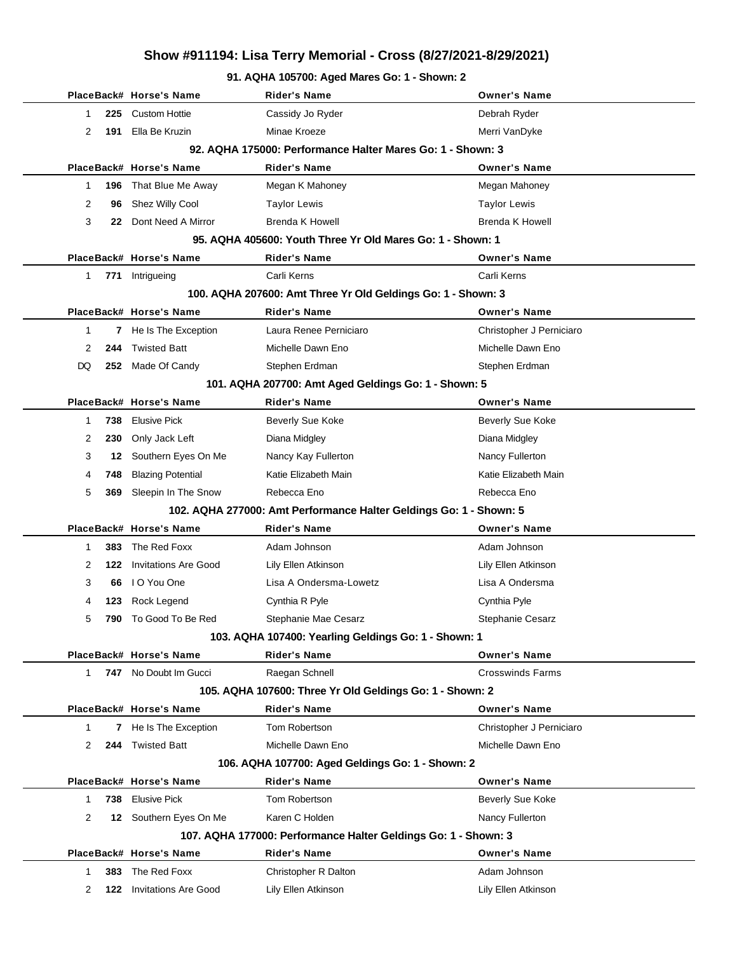#### **91. AQHA 105700: Aged Mares Go: 1 - Shown: 2**

|                |                                                            | PlaceBack# Horse's Name      | Rider's Name                                                       | <b>Owner's Name</b>      |  |  |  |
|----------------|------------------------------------------------------------|------------------------------|--------------------------------------------------------------------|--------------------------|--|--|--|
| 1              | 225                                                        | <b>Custom Hottie</b>         | Cassidy Jo Ryder                                                   | Debrah Ryder             |  |  |  |
| 2              | 191                                                        | Ella Be Kruzin               | Minae Kroeze                                                       | Merri VanDyke            |  |  |  |
|                | 92. AQHA 175000: Performance Halter Mares Go: 1 - Shown: 3 |                              |                                                                    |                          |  |  |  |
|                |                                                            | PlaceBack# Horse's Name      | <b>Rider's Name</b>                                                | <b>Owner's Name</b>      |  |  |  |
| 1              |                                                            | 196 That Blue Me Away        | Megan K Mahoney                                                    | Megan Mahoney            |  |  |  |
| 2              | 96                                                         | Shez Willy Cool              | <b>Taylor Lewis</b>                                                | <b>Taylor Lewis</b>      |  |  |  |
| 3              | 22                                                         | Dont Need A Mirror           | <b>Brenda K Howell</b>                                             | <b>Brenda K Howell</b>   |  |  |  |
|                |                                                            |                              | 95. AQHA 405600: Youth Three Yr Old Mares Go: 1 - Shown: 1         |                          |  |  |  |
|                |                                                            | PlaceBack# Horse's Name      | <b>Rider's Name</b>                                                | <b>Owner's Name</b>      |  |  |  |
| 1.             |                                                            | 771 Intrigueing              | Carli Kerns                                                        | Carli Kerns              |  |  |  |
|                |                                                            |                              | 100. AQHA 207600: Amt Three Yr Old Geldings Go: 1 - Shown: 3       |                          |  |  |  |
|                |                                                            | PlaceBack# Horse's Name      | <b>Rider's Name</b>                                                | <b>Owner's Name</b>      |  |  |  |
| 1              | 7                                                          | He Is The Exception          | Laura Renee Perniciaro                                             | Christopher J Perniciaro |  |  |  |
| 2              | 244                                                        | <b>Twisted Batt</b>          | Michelle Dawn Eno                                                  | Michelle Dawn Eno        |  |  |  |
| DQ             |                                                            | 252 Made Of Candy            | Stephen Erdman                                                     | Stephen Erdman           |  |  |  |
|                |                                                            |                              | 101. AQHA 207700: Amt Aged Geldings Go: 1 - Shown: 5               |                          |  |  |  |
|                |                                                            | PlaceBack# Horse's Name      | <b>Rider's Name</b>                                                | <b>Owner's Name</b>      |  |  |  |
| 1              | 738                                                        | Elusive Pick                 | <b>Beverly Sue Koke</b>                                            | <b>Beverly Sue Koke</b>  |  |  |  |
| 2              | 230                                                        | Only Jack Left               | Diana Midgley                                                      | Diana Midgley            |  |  |  |
| 3              | 12                                                         | Southern Eyes On Me          | Nancy Kay Fullerton                                                | Nancy Fullerton          |  |  |  |
| 4              | 748                                                        | <b>Blazing Potential</b>     | Katie Elizabeth Main                                               | Katie Elizabeth Main     |  |  |  |
| 5              | 369                                                        | Sleepin In The Snow          | Rebecca Eno                                                        | Rebecca Eno              |  |  |  |
|                |                                                            |                              | 102. AQHA 277000: Amt Performance Halter Geldings Go: 1 - Shown: 5 |                          |  |  |  |
|                |                                                            | PlaceBack# Horse's Name      | <b>Rider's Name</b>                                                | <b>Owner's Name</b>      |  |  |  |
| 1              | 383.                                                       | The Red Foxx                 | Adam Johnson                                                       | Adam Johnson             |  |  |  |
| 2              | 122                                                        | Invitations Are Good         | Lily Ellen Atkinson                                                | Lily Ellen Atkinson      |  |  |  |
| 3              | 66                                                         | I O You One                  | Lisa A Ondersma-Lowetz                                             | Lisa A Ondersma          |  |  |  |
| 4              |                                                            | 123 Rock Legend              | Cynthia R Pyle                                                     | Cynthia Pyle             |  |  |  |
| 5              |                                                            | <b>790</b> To Good To Be Red | Stephanie Mae Cesarz                                               | Stephanie Cesarz         |  |  |  |
|                |                                                            |                              | 103. AQHA 107400: Yearling Geldings Go: 1 - Shown: 1               |                          |  |  |  |
|                |                                                            | PlaceBack# Horse's Name      | <b>Rider's Name</b>                                                | <b>Owner's Name</b>      |  |  |  |
| 1              |                                                            | 747 No Doubt Im Gucci        | Raegan Schnell                                                     | <b>Crosswinds Farms</b>  |  |  |  |
|                |                                                            |                              | 105. AQHA 107600: Three Yr Old Geldings Go: 1 - Shown: 2           |                          |  |  |  |
|                |                                                            | PlaceBack# Horse's Name      | <b>Rider's Name</b>                                                | <b>Owner's Name</b>      |  |  |  |
| 1              |                                                            | 7 He Is The Exception        | Tom Robertson                                                      | Christopher J Perniciaro |  |  |  |
| 2              | 244                                                        | <b>Twisted Batt</b>          | Michelle Dawn Eno                                                  | Michelle Dawn Eno        |  |  |  |
|                |                                                            |                              | 106. AQHA 107700: Aged Geldings Go: 1 - Shown: 2                   |                          |  |  |  |
|                |                                                            | PlaceBack# Horse's Name      | Rider's Name                                                       | <b>Owner's Name</b>      |  |  |  |
| 1              |                                                            | 738 Elusive Pick             | Tom Robertson                                                      | Beverly Sue Koke         |  |  |  |
| $\overline{2}$ |                                                            | 12 Southern Eyes On Me       | Karen C Holden                                                     | Nancy Fullerton          |  |  |  |
|                |                                                            |                              | 107. AQHA 177000: Performance Halter Geldings Go: 1 - Shown: 3     |                          |  |  |  |
|                |                                                            | PlaceBack# Horse's Name      | <b>Rider's Name</b>                                                | <b>Owner's Name</b>      |  |  |  |
| 1              | 383                                                        | The Red Foxx                 | Christopher R Dalton                                               | Adam Johnson             |  |  |  |
| 2              | 122                                                        | <b>Invitations Are Good</b>  | Lily Ellen Atkinson                                                | Lily Ellen Atkinson      |  |  |  |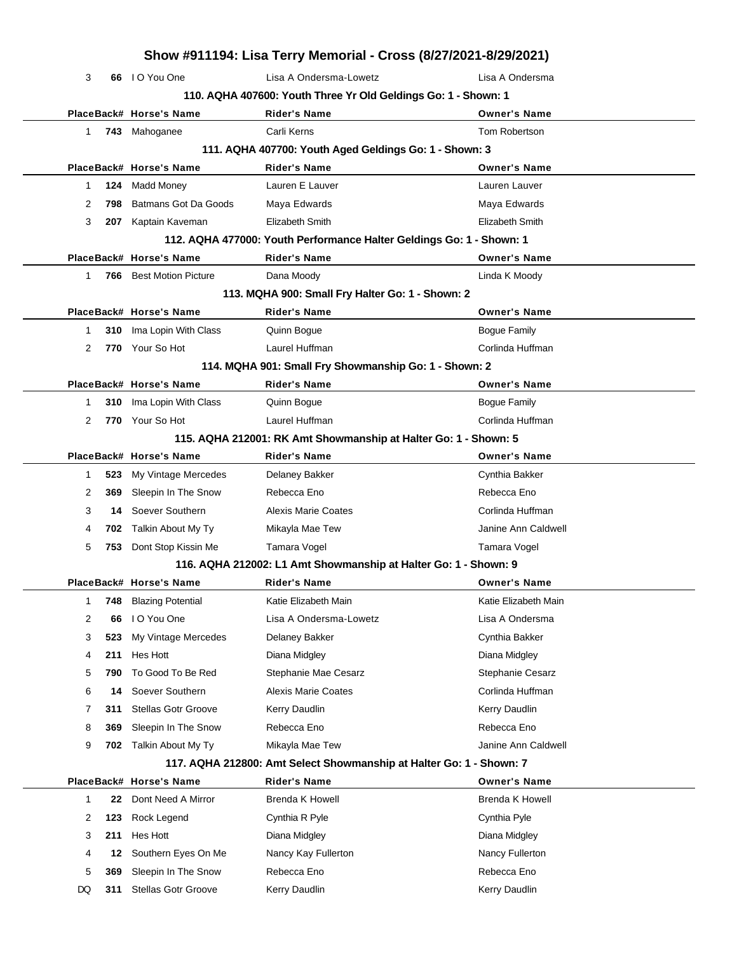|    |     |                                | Show #911194: Lisa Terry Memorial - Cross (8/27/2021-8/29/2021)      |                        |
|----|-----|--------------------------------|----------------------------------------------------------------------|------------------------|
| 3  |     | 66 IO You One                  | Lisa A Ondersma-Lowetz                                               | Lisa A Ondersma        |
|    |     |                                | 110. AQHA 407600: Youth Three Yr Old Geldings Go: 1 - Shown: 1       |                        |
|    |     | PlaceBack# Horse's Name        | <b>Rider's Name</b>                                                  | <b>Owner's Name</b>    |
| 1. |     | 743 Mahoganee                  | Carli Kerns                                                          | Tom Robertson          |
|    |     |                                | 111. AQHA 407700: Youth Aged Geldings Go: 1 - Shown: 3               |                        |
|    |     | PlaceBack# Horse's Name        | <b>Rider's Name</b>                                                  | <b>Owner's Name</b>    |
| 1  | 124 | Madd Money                     | Lauren E Lauver                                                      | Lauren Lauver          |
| 2  | 798 | Batmans Got Da Goods           | Maya Edwards                                                         | Maya Edwards           |
| 3  | 207 | Kaptain Kaveman                | Elizabeth Smith                                                      | Elizabeth Smith        |
|    |     |                                | 112. AQHA 477000: Youth Performance Halter Geldings Go: 1 - Shown: 1 |                        |
|    |     | PlaceBack# Horse's Name        | <b>Rider's Name</b>                                                  | <b>Owner's Name</b>    |
| 1  |     | <b>766</b> Best Motion Picture | Dana Moody                                                           | Linda K Moody          |
|    |     |                                | 113. MQHA 900: Small Fry Halter Go: 1 - Shown: 2                     |                        |
|    |     | PlaceBack# Horse's Name        | <b>Rider's Name</b>                                                  | <b>Owner's Name</b>    |
| 1  |     | 310 Ima Lopin With Class       | Quinn Bogue                                                          | <b>Bogue Family</b>    |
| 2  |     | 770 Your So Hot                | Laurel Huffman                                                       | Corlinda Huffman       |
|    |     |                                | 114. MQHA 901: Small Fry Showmanship Go: 1 - Shown: 2                |                        |
|    |     | PlaceBack# Horse's Name        | <b>Rider's Name</b>                                                  | <b>Owner's Name</b>    |
| 1  | 310 | Ima Lopin With Class           | Quinn Bogue                                                          | <b>Bogue Family</b>    |
| 2  |     | 770 Your So Hot                | Laurel Huffman                                                       | Corlinda Huffman       |
|    |     |                                | 115. AQHA 212001: RK Amt Showmanship at Halter Go: 1 - Shown: 5      |                        |
|    |     | PlaceBack# Horse's Name        | <b>Rider's Name</b>                                                  | <b>Owner's Name</b>    |
| 1  | 523 | My Vintage Mercedes            | Delaney Bakker                                                       | Cynthia Bakker         |
| 2  | 369 | Sleepin In The Snow            | Rebecca Eno                                                          | Rebecca Eno            |
| 3  | 14  | Soever Southern                | <b>Alexis Marie Coates</b>                                           | Corlinda Huffman       |
| 4  |     | 702 Talkin About My Ty         | Mikayla Mae Tew                                                      | Janine Ann Caldwell    |
| 5  | 753 | Dont Stop Kissin Me            | Tamara Vogel                                                         | Tamara Vogel           |
|    |     |                                | 116. AQHA 212002: L1 Amt Showmanship at Halter Go: 1 - Shown: 9      |                        |
|    |     | PlaceBack# Horse's Name        | <b>Rider's Name</b>                                                  | <b>Owner's Name</b>    |
| 1  | 748 | <b>Blazing Potential</b>       | Katie Elizabeth Main                                                 | Katie Elizabeth Main   |
| 2  | 66  | I O You One                    | Lisa A Ondersma-Lowetz                                               | Lisa A Ondersma        |
| 3  | 523 | My Vintage Mercedes            | Delaney Bakker                                                       | Cynthia Bakker         |
| 4  | 211 | Hes Hott                       | Diana Midgley                                                        | Diana Midgley          |
| 5  | 790 | To Good To Be Red              | Stephanie Mae Cesarz                                                 | Stephanie Cesarz       |
| 6  | 14  | Soever Southern                | <b>Alexis Marie Coates</b>                                           | Corlinda Huffman       |
| 7  | 311 | <b>Stellas Gotr Groove</b>     | Kerry Daudlin                                                        | Kerry Daudlin          |
| 8  | 369 | Sleepin In The Snow            | Rebecca Eno                                                          | Rebecca Eno            |
| 9  | 702 | Talkin About My Ty             | Mikayla Mae Tew                                                      | Janine Ann Caldwell    |
|    |     |                                | 117. AQHA 212800: Amt Select Showmanship at Halter Go: 1 - Shown: 7  |                        |
|    |     | PlaceBack# Horse's Name        | <b>Rider's Name</b>                                                  | <b>Owner's Name</b>    |
| 1  | 22  | Dont Need A Mirror             | <b>Brenda K Howell</b>                                               | <b>Brenda K Howell</b> |
| 2  | 123 | Rock Legend                    | Cynthia R Pyle                                                       | Cynthia Pyle           |
| 3  | 211 | Hes Hott                       | Diana Midgley                                                        | Diana Midgley          |
| 4  | 12  | Southern Eyes On Me            | Nancy Kay Fullerton                                                  | Nancy Fullerton        |
| 5  | 369 | Sleepin In The Snow            | Rebecca Eno                                                          | Rebecca Eno            |
| DQ | 311 | <b>Stellas Gotr Groove</b>     | Kerry Daudlin                                                        | Kerry Daudlin          |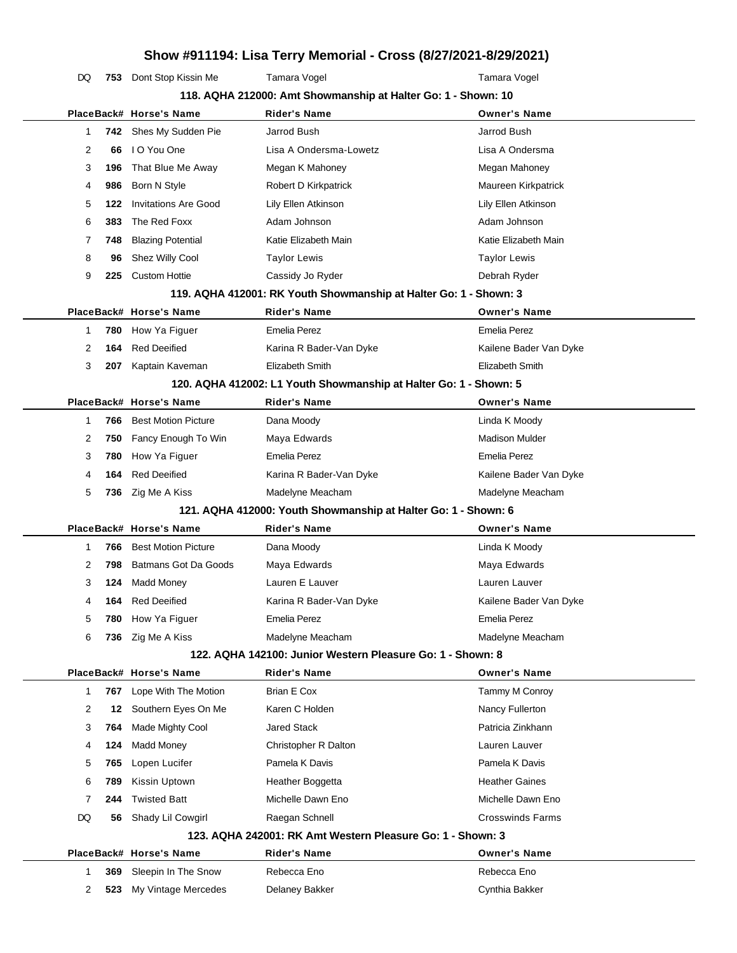| DQ                                                            |     | 753 Dont Stop Kissin Me     | Tamara Vogel                                                      | Tamara Vogel            |  |  |  |
|---------------------------------------------------------------|-----|-----------------------------|-------------------------------------------------------------------|-------------------------|--|--|--|
| 118. AQHA 212000: Amt Showmanship at Halter Go: 1 - Shown: 10 |     |                             |                                                                   |                         |  |  |  |
|                                                               |     | PlaceBack# Horse's Name     | <b>Rider's Name</b>                                               | <b>Owner's Name</b>     |  |  |  |
| 1                                                             |     | 742 Shes My Sudden Pie      | Jarrod Bush                                                       | Jarrod Bush             |  |  |  |
| 2                                                             | 66  | I O You One                 | Lisa A Ondersma-Lowetz                                            | Lisa A Ondersma         |  |  |  |
| 3                                                             | 196 | That Blue Me Away           | Megan K Mahoney                                                   | Megan Mahoney           |  |  |  |
| 4                                                             | 986 | Born N Style                | Robert D Kirkpatrick                                              | Maureen Kirkpatrick     |  |  |  |
| 5                                                             | 122 | <b>Invitations Are Good</b> | Lily Ellen Atkinson                                               | Lily Ellen Atkinson     |  |  |  |
| 6                                                             | 383 | The Red Foxx                | Adam Johnson                                                      | Adam Johnson            |  |  |  |
| 7                                                             | 748 | <b>Blazing Potential</b>    | Katie Elizabeth Main                                              | Katie Elizabeth Main    |  |  |  |
| 8                                                             | 96  | Shez Willy Cool             | <b>Taylor Lewis</b>                                               | <b>Taylor Lewis</b>     |  |  |  |
| 9                                                             | 225 | <b>Custom Hottie</b>        | Cassidy Jo Ryder                                                  | Debrah Ryder            |  |  |  |
|                                                               |     |                             | 119. AQHA 412001: RK Youth Showmanship at Halter Go: 1 - Shown: 3 |                         |  |  |  |
|                                                               |     | PlaceBack# Horse's Name     | <b>Rider's Name</b>                                               | <b>Owner's Name</b>     |  |  |  |
| 1                                                             | 780 | How Ya Figuer               | <b>Emelia Perez</b>                                               | <b>Emelia Perez</b>     |  |  |  |
| 2                                                             | 164 | <b>Red Deeified</b>         | Karina R Bader-Van Dyke                                           | Kailene Bader Van Dyke  |  |  |  |
| 3                                                             | 207 | Kaptain Kaveman             | <b>Elizabeth Smith</b>                                            | Elizabeth Smith         |  |  |  |
|                                                               |     |                             | 120. AQHA 412002: L1 Youth Showmanship at Halter Go: 1 - Shown: 5 |                         |  |  |  |
|                                                               |     | PlaceBack# Horse's Name     | <b>Rider's Name</b>                                               | <b>Owner's Name</b>     |  |  |  |
| 1                                                             | 766 | <b>Best Motion Picture</b>  | Dana Moody                                                        | Linda K Moody           |  |  |  |
| 2                                                             | 750 | Fancy Enough To Win         | Maya Edwards                                                      | <b>Madison Mulder</b>   |  |  |  |
| 3                                                             | 780 | How Ya Figuer               | Emelia Perez                                                      | <b>Emelia Perez</b>     |  |  |  |
| 4                                                             | 164 | <b>Red Deeified</b>         | Karina R Bader-Van Dyke                                           | Kailene Bader Van Dyke  |  |  |  |
| 5                                                             | 736 | Zig Me A Kiss               | Madelyne Meacham                                                  | Madelyne Meacham        |  |  |  |
|                                                               |     |                             | 121. AQHA 412000: Youth Showmanship at Halter Go: 1 - Shown: 6    |                         |  |  |  |
|                                                               |     | PlaceBack# Horse's Name     | Rider's Name                                                      | <b>Owner's Name</b>     |  |  |  |
| 1                                                             | 766 | <b>Best Motion Picture</b>  | Dana Moody                                                        | Linda K Moody           |  |  |  |
| 2                                                             | 798 | Batmans Got Da Goods        | Maya Edwards                                                      | Maya Edwards            |  |  |  |
| 3                                                             | 124 | <b>Madd Money</b>           | Lauren E Lauver                                                   | Lauren Lauver           |  |  |  |
| 4                                                             | 164 | <b>Red Deeified</b>         | Karina R Bader-Van Dyke                                           | Kailene Bader Van Dyke  |  |  |  |
| 5                                                             | 780 | How Ya Figuer               | <b>Emelia Perez</b>                                               | Emelia Perez            |  |  |  |
| 6                                                             | 736 | Zig Me A Kiss               | Madelyne Meacham                                                  | Madelyne Meacham        |  |  |  |
|                                                               |     |                             | 122. AQHA 142100: Junior Western Pleasure Go: 1 - Shown: 8        |                         |  |  |  |
|                                                               |     | PlaceBack# Horse's Name     | <b>Rider's Name</b>                                               | <b>Owner's Name</b>     |  |  |  |
| 1                                                             | 767 | Lope With The Motion        | Brian E Cox                                                       | Tammy M Conroy          |  |  |  |
| 2                                                             | 12  | Southern Eyes On Me         | Karen C Holden                                                    | Nancy Fullerton         |  |  |  |
| 3                                                             | 764 | Made Mighty Cool            | <b>Jared Stack</b>                                                | Patricia Zinkhann       |  |  |  |
| 4                                                             | 124 | Madd Money                  | Christopher R Dalton                                              | Lauren Lauver           |  |  |  |
| 5                                                             | 765 | Lopen Lucifer               | Pamela K Davis                                                    | Pamela K Davis          |  |  |  |
| 6                                                             | 789 | Kissin Uptown               | Heather Boggetta                                                  | <b>Heather Gaines</b>   |  |  |  |
| 7                                                             | 244 | <b>Twisted Batt</b>         | Michelle Dawn Eno                                                 | Michelle Dawn Eno       |  |  |  |
| DQ                                                            | 56  | Shady Lil Cowgirl           | Raegan Schnell                                                    | <b>Crosswinds Farms</b> |  |  |  |
|                                                               |     |                             | 123. AQHA 242001: RK Amt Western Pleasure Go: 1 - Shown: 3        |                         |  |  |  |
|                                                               |     | PlaceBack# Horse's Name     | <b>Rider's Name</b>                                               | <b>Owner's Name</b>     |  |  |  |
| 1                                                             | 369 | Sleepin In The Snow         | Rebecca Eno                                                       | Rebecca Eno             |  |  |  |
| 2                                                             | 523 | My Vintage Mercedes         | Delaney Bakker                                                    | Cynthia Bakker          |  |  |  |
|                                                               |     |                             |                                                                   |                         |  |  |  |

 $\overline{\phantom{0}}$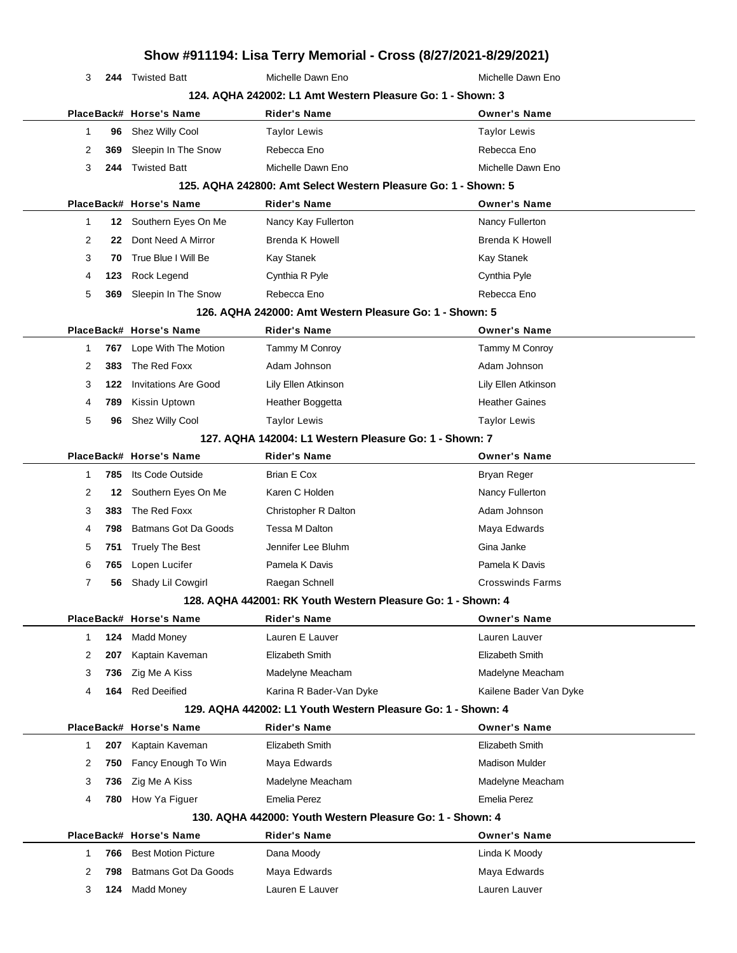|                     |                             |                                                                | Show #911194: Lisa Terry Memorial - Cross (8/27/2021-8/29/2021) |
|---------------------|-----------------------------|----------------------------------------------------------------|-----------------------------------------------------------------|
| 3                   | 244 Twisted Batt            | Michelle Dawn Eno                                              | Michelle Dawn Eno                                               |
|                     |                             | 124. AQHA 242002: L1 Amt Western Pleasure Go: 1 - Shown: 3     |                                                                 |
|                     | PlaceBack# Horse's Name     | <b>Rider's Name</b>                                            | <b>Owner's Name</b>                                             |
| 1<br>96             | Shez Willy Cool             | <b>Taylor Lewis</b>                                            | <b>Taylor Lewis</b>                                             |
| 2<br>369            | Sleepin In The Snow         | Rebecca Eno                                                    | Rebecca Eno                                                     |
| 3<br>244            | <b>Twisted Batt</b>         | Michelle Dawn Eno                                              | Michelle Dawn Eno                                               |
|                     |                             | 125. AQHA 242800: Amt Select Western Pleasure Go: 1 - Shown: 5 |                                                                 |
|                     | PlaceBack# Horse's Name     | <b>Rider's Name</b>                                            | <b>Owner's Name</b>                                             |
| $\mathbf{1}$<br>12  | Southern Eyes On Me         | Nancy Kay Fullerton                                            | Nancy Fullerton                                                 |
| 2<br>22             | Dont Need A Mirror          | <b>Brenda K Howell</b>                                         | <b>Brenda K Howell</b>                                          |
| 3<br>70             | True Blue I Will Be         | Kay Stanek                                                     | <b>Kay Stanek</b>                                               |
| 4<br>123            | Rock Legend                 | Cynthia R Pyle                                                 | Cynthia Pyle                                                    |
| 5<br>369            | Sleepin In The Snow         | Rebecca Eno                                                    | Rebecca Eno                                                     |
|                     |                             | 126, AQHA 242000: Amt Western Pleasure Go: 1 - Shown: 5        |                                                                 |
|                     | PlaceBack# Horse's Name     | <b>Rider's Name</b>                                            | <b>Owner's Name</b>                                             |
| 767<br>1            | Lope With The Motion        | Tammy M Conroy                                                 | Tammy M Conroy                                                  |
| 2<br>383            | The Red Foxx                | Adam Johnson                                                   | Adam Johnson                                                    |
| 3<br>122            | <b>Invitations Are Good</b> | Lily Ellen Atkinson                                            | Lily Ellen Atkinson                                             |
| 4<br>789            | Kissin Uptown               | Heather Boggetta                                               | <b>Heather Gaines</b>                                           |
| 5<br>96             | Shez Willy Cool             | <b>Taylor Lewis</b>                                            | <b>Taylor Lewis</b>                                             |
|                     |                             | 127. AQHA 142004: L1 Western Pleasure Go: 1 - Shown: 7         |                                                                 |
|                     | PlaceBack# Horse's Name     | <b>Rider's Name</b>                                            | <b>Owner's Name</b>                                             |
| 785<br>1            | Its Code Outside            | <b>Brian E Cox</b>                                             | Bryan Reger                                                     |
| 2<br>12             | Southern Eyes On Me         | Karen C Holden                                                 | Nancy Fullerton                                                 |
| 3<br>383            | The Red Foxx                | Christopher R Dalton                                           | Adam Johnson                                                    |
| 4<br>798            | <b>Batmans Got Da Goods</b> | Tessa M Dalton                                                 | Maya Edwards                                                    |
| 5<br>751            | <b>Truely The Best</b>      | Jennifer Lee Bluhm                                             | Gina Janke                                                      |
| 6<br>765            | Lopen Lucifer               | Pamela K Davis                                                 | Pamela K Davis                                                  |
| 7<br>56             | Shady Lil Cowgirl           | Raegan Schnell                                                 | <b>Crosswinds Farms</b>                                         |
|                     |                             | 128. AQHA 442001: RK Youth Western Pleasure Go: 1 - Shown: 4   |                                                                 |
|                     | PlaceBack# Horse's Name     | <b>Rider's Name</b>                                            | <b>Owner's Name</b>                                             |
| 124<br>$\mathbf{1}$ | <b>Madd Money</b>           | Lauren E Lauver                                                | Lauren Lauver                                                   |
| 2<br>207            | Kaptain Kaveman             | Elizabeth Smith                                                | Elizabeth Smith                                                 |
| 3<br>736            | Zig Me A Kiss               | Madelyne Meacham                                               | Madelyne Meacham                                                |
| 164<br>4            | <b>Red Deeified</b>         | Karina R Bader-Van Dyke                                        | Kailene Bader Van Dyke                                          |
|                     |                             | 129. AQHA 442002: L1 Youth Western Pleasure Go: 1 - Shown: 4   |                                                                 |
|                     | PlaceBack# Horse's Name     | <b>Rider's Name</b>                                            | <b>Owner's Name</b>                                             |
| $\mathbf{1}$<br>207 | Kaptain Kaveman             | Elizabeth Smith                                                | Elizabeth Smith                                                 |
| 2<br>750            | Fancy Enough To Win         | Maya Edwards                                                   | <b>Madison Mulder</b>                                           |
| 3<br>736            | Zig Me A Kiss               | Madelyne Meacham                                               | Madelyne Meacham                                                |
| 4<br>780            | How Ya Figuer               | <b>Emelia Perez</b>                                            | Emelia Perez                                                    |
|                     |                             | 130. AQHA 442000: Youth Western Pleasure Go: 1 - Shown: 4      |                                                                 |
|                     | PlaceBack# Horse's Name     | Rider's Name                                                   | <b>Owner's Name</b>                                             |
| $\mathbf{1}$<br>766 | <b>Best Motion Picture</b>  | Dana Moody                                                     | Linda K Moody                                                   |
| 2<br>798            | Batmans Got Da Goods        | Maya Edwards                                                   | Maya Edwards                                                    |
| 3<br>124            | <b>Madd Money</b>           | Lauren E Lauver                                                | Lauren Lauver                                                   |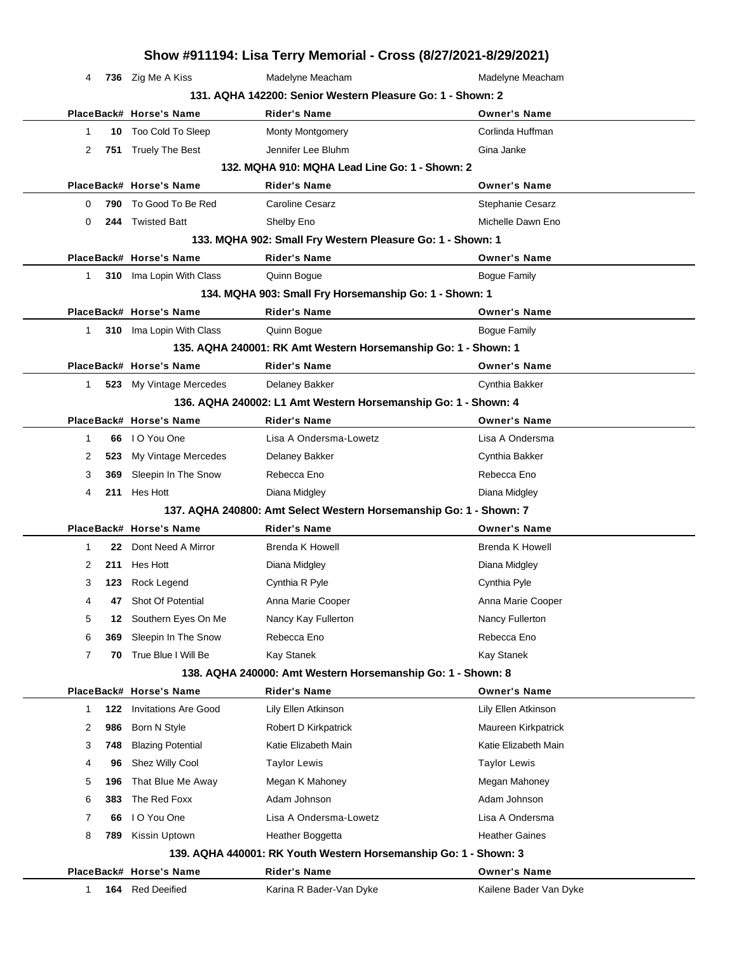|                |     |                                 | Show #911194: Lisa Terry Memorial - Cross (8/27/2021-8/29/2021)    |                         |
|----------------|-----|---------------------------------|--------------------------------------------------------------------|-------------------------|
| 4              |     | 736 Zig Me A Kiss               | Madelyne Meacham                                                   | Madelyne Meacham        |
|                |     |                                 | 131. AQHA 142200: Senior Western Pleasure Go: 1 - Shown: 2         |                         |
|                |     | PlaceBack# Horse's Name         | <b>Rider's Name</b>                                                | <b>Owner's Name</b>     |
| 1              |     | 10 Too Cold To Sleep            | <b>Monty Montgomery</b>                                            | Corlinda Huffman        |
| 2              |     | 751 Truely The Best             | Jennifer Lee Bluhm                                                 | Gina Janke              |
|                |     |                                 | 132. MQHA 910: MQHA Lead Line Go: 1 - Shown: 2                     |                         |
|                |     | PlaceBack# Horse's Name         | <b>Rider's Name</b>                                                | <b>Owner's Name</b>     |
| 0              | 790 | To Good To Be Red               | <b>Caroline Cesarz</b>                                             | <b>Stephanie Cesarz</b> |
| $\Omega$       | 244 | Twisted Batt                    | Shelby Eno                                                         | Michelle Dawn Eno       |
|                |     |                                 | 133. MQHA 902: Small Fry Western Pleasure Go: 1 - Shown: 1         |                         |
|                |     | PlaceBack# Horse's Name         | <b>Rider's Name</b>                                                | <b>Owner's Name</b>     |
| 1              |     | 310 Ima Lopin With Class        | Quinn Bogue                                                        | <b>Bogue Family</b>     |
|                |     |                                 | 134. MQHA 903: Small Fry Horsemanship Go: 1 - Shown: 1             |                         |
|                |     | PlaceBack# Horse's Name         | <b>Rider's Name</b>                                                | <b>Owner's Name</b>     |
| $\mathbf 1$    |     | <b>310</b> Ima Lopin With Class | Quinn Bogue                                                        | <b>Bogue Family</b>     |
|                |     |                                 | 135. AQHA 240001: RK Amt Western Horsemanship Go: 1 - Shown: 1     |                         |
|                |     | PlaceBack# Horse's Name         | <b>Rider's Name</b>                                                | <b>Owner's Name</b>     |
| 1              |     | 523 My Vintage Mercedes         | Delaney Bakker                                                     | Cynthia Bakker          |
|                |     |                                 | 136. AQHA 240002: L1 Amt Western Horsemanship Go: 1 - Shown: 4     |                         |
|                |     | PlaceBack# Horse's Name         | <b>Rider's Name</b>                                                | <b>Owner's Name</b>     |
| $\mathbf{1}$   |     | 66 IO You One                   | Lisa A Ondersma-Lowetz                                             | Lisa A Ondersma         |
| 2              | 523 | My Vintage Mercedes             | Delaney Bakker                                                     | Cynthia Bakker          |
| 3              | 369 | Sleepin In The Snow             | Rebecca Eno                                                        | Rebecca Eno             |
| 4              |     | 211 Hes Hott                    | Diana Midgley                                                      | Diana Midgley           |
|                |     |                                 | 137. AQHA 240800: Amt Select Western Horsemanship Go: 1 - Shown: 7 |                         |
|                |     | PlaceBack# Horse's Name         | Rider's Name                                                       | <b>Owner's Name</b>     |
| $\mathbf{1}$   |     | 22 Dont Need A Mirror           | <b>Brenda K Howell</b>                                             | <b>Brenda K Howell</b>  |
| 2              | 211 | Hes Hott                        | Diana Midgley                                                      | Diana Midgley           |
| 3              |     | 123 Rock Legend                 | Cynthia R Pyle                                                     | Cynthia Pyle            |
| 4              | 47  | Shot Of Potential               | Anna Marie Cooper                                                  | Anna Marie Cooper       |
| 5              | 12  | Southern Eyes On Me             | Nancy Kay Fullerton                                                | Nancy Fullerton         |
| 6              | 369 | Sleepin In The Snow             | Rebecca Eno                                                        | Rebecca Eno             |
| $\overline{7}$ | 70  | True Blue I Will Be             | Kay Stanek                                                         | Kay Stanek              |
|                |     |                                 | 138. AQHA 240000: Amt Western Horsemanship Go: 1 - Shown: 8        |                         |
|                |     | PlaceBack# Horse's Name         | <b>Rider's Name</b>                                                | <b>Owner's Name</b>     |
| 1              | 122 | <b>Invitations Are Good</b>     | Lily Ellen Atkinson                                                | Lily Ellen Atkinson     |
| 2              | 986 | Born N Style                    | Robert D Kirkpatrick                                               | Maureen Kirkpatrick     |
| 3              | 748 | <b>Blazing Potential</b>        | Katie Elizabeth Main                                               | Katie Elizabeth Main    |
| 4              | 96  | Shez Willy Cool                 | <b>Taylor Lewis</b>                                                | <b>Taylor Lewis</b>     |
| 5              | 196 | That Blue Me Away               | Megan K Mahoney                                                    | Megan Mahoney           |
| 6              | 383 | The Red Foxx                    | Adam Johnson                                                       | Adam Johnson            |
| 7              | 66  | I O You One                     | Lisa A Ondersma-Lowetz                                             | Lisa A Ondersma         |
| 8              | 789 | Kissin Uptown                   | Heather Boggetta                                                   | <b>Heather Gaines</b>   |
|                |     |                                 | 139. AQHA 440001: RK Youth Western Horsemanship Go: 1 - Shown: 3   |                         |
|                |     | PlaceBack# Horse's Name         | <b>Rider's Name</b>                                                | <b>Owner's Name</b>     |
| 1              | 164 | <b>Red Deeified</b>             | Karina R Bader-Van Dyke                                            | Kailene Bader Van Dyke  |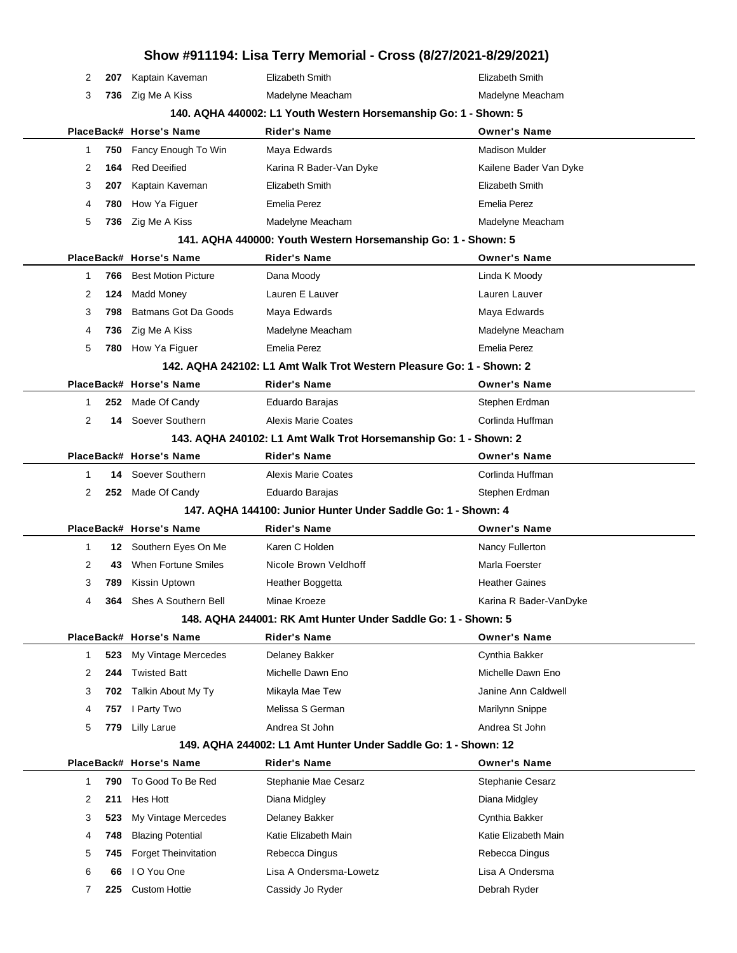|                   |            |                                                | Show #911194: Lisa Terry Memorial - Cross (8/27/2021-8/29/2021)      |                                     |
|-------------------|------------|------------------------------------------------|----------------------------------------------------------------------|-------------------------------------|
| 2                 | 207        | Kaptain Kaveman                                | Elizabeth Smith                                                      | Elizabeth Smith                     |
| 3                 | 736        | Zig Me A Kiss                                  | Madelyne Meacham                                                     | Madelyne Meacham                    |
|                   |            |                                                | 140. AQHA 440002: L1 Youth Western Horsemanship Go: 1 - Shown: 5     |                                     |
|                   |            | PlaceBack# Horse's Name                        | <b>Rider's Name</b>                                                  | <b>Owner's Name</b>                 |
| 1                 | 750        | Fancy Enough To Win                            | Maya Edwards                                                         | <b>Madison Mulder</b>               |
| 2                 | 164        | <b>Red Deeified</b>                            | Karina R Bader-Van Dyke                                              | Kailene Bader Van Dyke              |
| 3                 | 207        | Kaptain Kaveman                                | Elizabeth Smith                                                      | Elizabeth Smith                     |
| 4                 | 780        | How Ya Figuer                                  | <b>Emelia Perez</b>                                                  | <b>Emelia Perez</b>                 |
| 5                 | 736        | Zig Me A Kiss                                  | Madelyne Meacham                                                     | Madelyne Meacham                    |
|                   |            |                                                | 141. AQHA 440000: Youth Western Horsemanship Go: 1 - Shown: 5        |                                     |
|                   |            | PlaceBack# Horse's Name                        | <b>Rider's Name</b>                                                  | <b>Owner's Name</b>                 |
| 1                 | 766        | <b>Best Motion Picture</b>                     | Dana Moody                                                           | Linda K Moody                       |
| 2                 | 124        | <b>Madd Money</b>                              | Lauren E Lauver                                                      | Lauren Lauver                       |
| 3                 | 798        | Batmans Got Da Goods                           | Maya Edwards                                                         | Maya Edwards                        |
| 4                 | 736        | Zig Me A Kiss                                  | Madelyne Meacham                                                     | Madelyne Meacham                    |
| 5                 | 780        | How Ya Figuer                                  | <b>Emelia Perez</b>                                                  | <b>Emelia Perez</b>                 |
|                   |            |                                                | 142. AQHA 242102: L1 Amt Walk Trot Western Pleasure Go: 1 - Shown: 2 |                                     |
|                   |            | PlaceBack# Horse's Name                        | Rider's Name                                                         | <b>Owner's Name</b>                 |
| $\mathbf 1$       | 252        | Made Of Candy                                  | Eduardo Barajas                                                      | Stephen Erdman                      |
| $\overline{2}$    |            | 14 Soever Southern                             | <b>Alexis Marie Coates</b>                                           | Corlinda Huffman                    |
|                   |            |                                                | 143. AQHA 240102: L1 Amt Walk Trot Horsemanship Go: 1 - Shown: 2     |                                     |
|                   |            | PlaceBack# Horse's Name                        | <b>Rider's Name</b>                                                  | <b>Owner's Name</b>                 |
| $\mathbf 1$       | 14         | Soever Southern                                | <b>Alexis Marie Coates</b>                                           | Corlinda Huffman                    |
| 2                 |            | 252 Made Of Candy                              | Eduardo Barajas                                                      | Stephen Erdman                      |
|                   |            |                                                | 147. AQHA 144100: Junior Hunter Under Saddle Go: 1 - Shown: 4        |                                     |
|                   |            | PlaceBack# Horse's Name                        | Rider's Name                                                         | <b>Owner's Name</b>                 |
| $\mathbf 1$       | 12         | Southern Eyes On Me                            | Karen C Holden                                                       | Nancy Fullerton                     |
| 2                 | 43         | When Fortune Smiles                            | Nicole Brown Veldhoff                                                | Marla Foerster                      |
| 3                 | 789        | Kissin Uptown                                  | Heather Boggetta                                                     | <b>Heather Gaines</b>               |
| 4                 | 364        | Shes A Southern Bell                           | Minae Kroeze                                                         | Karina R Bader-VanDyke              |
|                   |            |                                                | 148. AQHA 244001: RK Amt Hunter Under Saddle Go: 1 - Shown: 5        |                                     |
|                   |            | PlaceBack# Horse's Name<br>My Vintage Mercedes | <b>Rider's Name</b>                                                  | <b>Owner's Name</b>                 |
| $\mathbf{1}$<br>2 | 523<br>244 | <b>Twisted Batt</b>                            | Delaney Bakker<br>Michelle Dawn Eno                                  | Cynthia Bakker<br>Michelle Dawn Eno |
| 3                 |            | Talkin About My Ty                             | Mikayla Mae Tew                                                      | Janine Ann Caldwell                 |
|                   | 702        | I Party Two                                    | Melissa S German                                                     |                                     |
| 4<br>5            | 757<br>779 | <b>Lilly Larue</b>                             | Andrea St John                                                       | Marilynn Snippe<br>Andrea St John   |
|                   |            |                                                | 149. AQHA 244002: L1 Amt Hunter Under Saddle Go: 1 - Shown: 12       |                                     |
|                   |            | PlaceBack# Horse's Name                        | <b>Rider's Name</b>                                                  | <b>Owner's Name</b>                 |
| $\mathbf{1}$      | 790        | To Good To Be Red                              | Stephanie Mae Cesarz                                                 | Stephanie Cesarz                    |
| 2                 | 211        | Hes Hott                                       | Diana Midgley                                                        | Diana Midgley                       |
| 3                 | 523        | My Vintage Mercedes                            | Delaney Bakker                                                       | Cynthia Bakker                      |
| 4                 | 748        | <b>Blazing Potential</b>                       | Katie Elizabeth Main                                                 | Katie Elizabeth Main                |
| 5                 | 745        | <b>Forget Theinvitation</b>                    | Rebecca Dingus                                                       | Rebecca Dingus                      |
| 6                 | 66         | I O You One                                    | Lisa A Ondersma-Lowetz                                               | Lisa A Ondersma                     |
| 7                 | 225        | <b>Custom Hottie</b>                           | Cassidy Jo Ryder                                                     | Debrah Ryder                        |
|                   |            |                                                |                                                                      |                                     |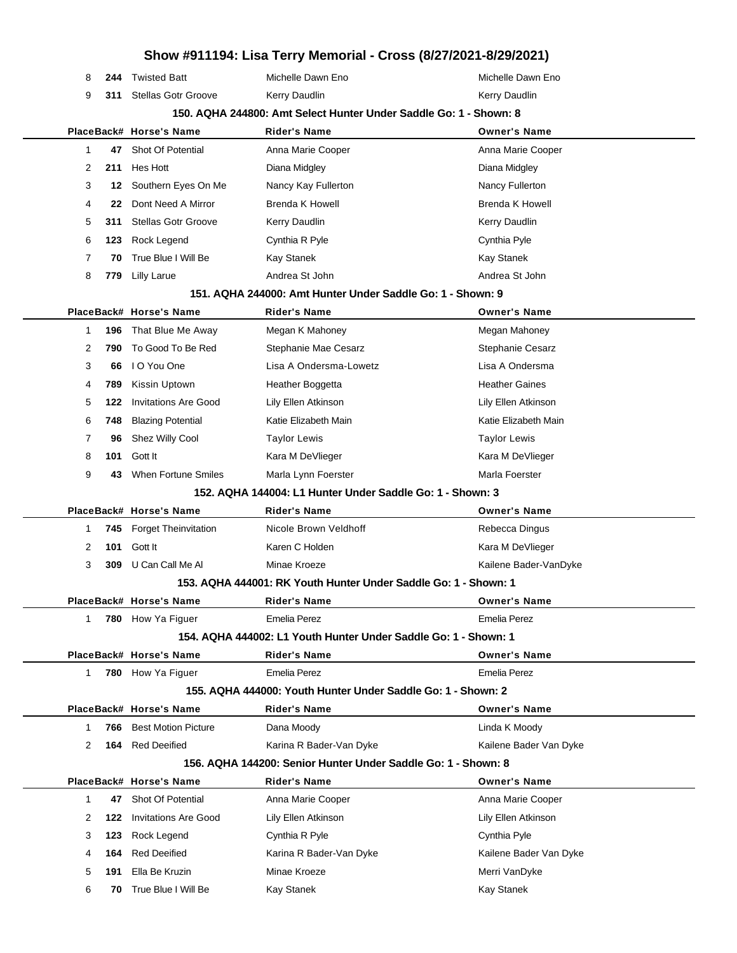|             |     |                             | $\frac{1}{2}$                                                     |                        |
|-------------|-----|-----------------------------|-------------------------------------------------------------------|------------------------|
| 8           | 244 | <b>Twisted Batt</b>         | Michelle Dawn Eno                                                 | Michelle Dawn Eno      |
| 9           | 311 | <b>Stellas Gotr Groove</b>  | <b>Kerry Daudlin</b>                                              | Kerry Daudlin          |
|             |     |                             | 150. AQHA 244800: Amt Select Hunter Under Saddle Go: 1 - Shown: 8 |                        |
|             |     | PlaceBack# Horse's Name     | <b>Rider's Name</b>                                               | <b>Owner's Name</b>    |
| 1           | 47  | Shot Of Potential           | Anna Marie Cooper                                                 | Anna Marie Cooper      |
| 2           | 211 | Hes Hott                    | Diana Midgley                                                     | Diana Midgley          |
| 3           | 12  | Southern Eyes On Me         | Nancy Kay Fullerton                                               | Nancy Fullerton        |
| 4           | 22  | Dont Need A Mirror          | <b>Brenda K Howell</b>                                            | <b>Brenda K Howell</b> |
| 5           | 311 | <b>Stellas Gotr Groove</b>  | Kerry Daudlin                                                     | Kerry Daudlin          |
| 6           | 123 | Rock Legend                 | Cynthia R Pyle                                                    | Cynthia Pyle           |
| 7           | 70  | True Blue I Will Be         | Kay Stanek                                                        | Kay Stanek             |
| 8           | 779 | <b>Lilly Larue</b>          | Andrea St John                                                    | Andrea St John         |
|             |     |                             | 151, AQHA 244000: Amt Hunter Under Saddle Go: 1 - Shown: 9        |                        |
|             |     | PlaceBack# Horse's Name     | Rider's Name                                                      | <b>Owner's Name</b>    |
| 1           | 196 | That Blue Me Away           | Megan K Mahoney                                                   | Megan Mahoney          |
| 2           | 790 | To Good To Be Red           | Stephanie Mae Cesarz                                              | Stephanie Cesarz       |
| 3           | 66  | I O You One                 | Lisa A Ondersma-Lowetz                                            | Lisa A Ondersma        |
| 4           | 789 | Kissin Uptown               | Heather Boggetta                                                  | <b>Heather Gaines</b>  |
| 5           | 122 | <b>Invitations Are Good</b> | Lily Ellen Atkinson                                               | Lily Ellen Atkinson    |
| 6           | 748 | <b>Blazing Potential</b>    | Katie Elizabeth Main                                              | Katie Elizabeth Main   |
| 7           | 96  | Shez Willy Cool             | <b>Taylor Lewis</b>                                               | <b>Taylor Lewis</b>    |
| 8           | 101 | Gott It                     | Kara M DeVlieger                                                  | Kara M DeVlieger       |
| 9           | 43  | When Fortune Smiles         | Marla Lynn Foerster                                               | Marla Foerster         |
|             |     |                             | 152. AQHA 144004: L1 Hunter Under Saddle Go: 1 - Shown: 3         |                        |
|             |     | PlaceBack# Horse's Name     | <b>Rider's Name</b>                                               | <b>Owner's Name</b>    |
| 1           | 745 | <b>Forget Theinvitation</b> | Nicole Brown Veldhoff                                             | Rebecca Dingus         |
| 2           | 101 | Gott It                     | Karen C Holden                                                    | Kara M DeVlieger       |
| 3           | 309 | U Can Call Me Al            | Minae Kroeze                                                      | Kailene Bader-VanDyke  |
|             |     |                             | 153. AQHA 444001: RK Youth Hunter Under Saddle Go: 1 - Shown: 1   |                        |
|             |     | PlaceBack# Horse's Name     | Rider's Name                                                      | Owner's Name           |
| 1           | 780 | How Ya Figuer               | <b>Emelia Perez</b>                                               | <b>Emelia Perez</b>    |
|             |     |                             | 154. AQHA 444002: L1 Youth Hunter Under Saddle Go: 1 - Shown: 1   |                        |
|             |     | PlaceBack# Horse's Name     | <b>Rider's Name</b>                                               | <b>Owner's Name</b>    |
| 1           |     | 780 How Ya Figuer           | <b>Emelia Perez</b>                                               | <b>Emelia Perez</b>    |
|             |     |                             | 155. AQHA 444000: Youth Hunter Under Saddle Go: 1 - Shown: 2      |                        |
|             |     | PlaceBack# Horse's Name     | <b>Rider's Name</b>                                               | <b>Owner's Name</b>    |
| 1           | 766 | <b>Best Motion Picture</b>  | Dana Moody                                                        | Linda K Moody          |
| 2           | 164 | <b>Red Deeified</b>         | Karina R Bader-Van Dyke                                           | Kailene Bader Van Dyke |
|             |     |                             | 156. AQHA 144200: Senior Hunter Under Saddle Go: 1 - Shown: 8     |                        |
|             |     | PlaceBack# Horse's Name     | <b>Rider's Name</b>                                               | <b>Owner's Name</b>    |
| $\mathbf 1$ | 47  | <b>Shot Of Potential</b>    | Anna Marie Cooper                                                 | Anna Marie Cooper      |
| 2           | 122 | <b>Invitations Are Good</b> | Lily Ellen Atkinson                                               | Lily Ellen Atkinson    |
| 3           | 123 | Rock Legend                 | Cynthia R Pyle                                                    | Cynthia Pyle           |
| 4           | 164 | <b>Red Deeified</b>         | Karina R Bader-Van Dyke                                           | Kailene Bader Van Dyke |
| 5           | 191 | Ella Be Kruzin              | Minae Kroeze                                                      | Merri VanDyke          |
| 6           | 70  | True Blue I Will Be         | Kay Stanek                                                        | Kay Stanek             |
|             |     |                             |                                                                   |                        |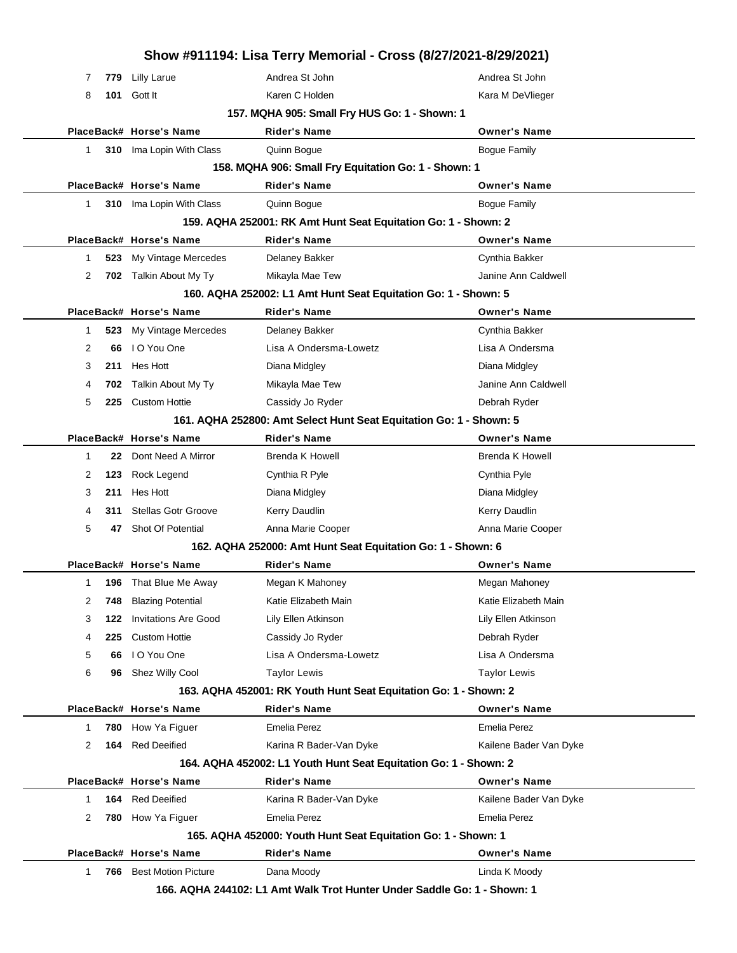| Show #911194: Lisa Terry Memorial - Cross (8/27/2021-8/29/2021) |     |                              |                                                                         |                        |  |  |  |
|-----------------------------------------------------------------|-----|------------------------------|-------------------------------------------------------------------------|------------------------|--|--|--|
| 7                                                               | 779 | <b>Lilly Larue</b>           | Andrea St John                                                          | Andrea St John         |  |  |  |
| 8                                                               | 101 | Gott It                      | Karen C Holden                                                          | Kara M DeVlieger       |  |  |  |
| 157. MQHA 905: Small Fry HUS Go: 1 - Shown: 1                   |     |                              |                                                                         |                        |  |  |  |
|                                                                 |     | PlaceBack# Horse's Name      | <b>Rider's Name</b>                                                     | <b>Owner's Name</b>    |  |  |  |
| 1                                                               |     | 310 Ima Lopin With Class     | Quinn Bogue                                                             | <b>Bogue Family</b>    |  |  |  |
|                                                                 |     |                              | 158. MQHA 906: Small Fry Equitation Go: 1 - Shown: 1                    |                        |  |  |  |
|                                                                 |     | PlaceBack# Horse's Name      | <b>Rider's Name</b>                                                     | <b>Owner's Name</b>    |  |  |  |
| 1                                                               |     | 310 Ima Lopin With Class     | Quinn Bogue                                                             | <b>Bogue Family</b>    |  |  |  |
|                                                                 |     |                              | 159. AQHA 252001: RK Amt Hunt Seat Equitation Go: 1 - Shown: 2          |                        |  |  |  |
|                                                                 |     | PlaceBack# Horse's Name      | <b>Rider's Name</b>                                                     | <b>Owner's Name</b>    |  |  |  |
| 1                                                               | 523 | My Vintage Mercedes          | Delaney Bakker                                                          | Cynthia Bakker         |  |  |  |
| $\overline{2}$                                                  | 702 | Talkin About My Ty           | Mikayla Mae Tew                                                         | Janine Ann Caldwell    |  |  |  |
|                                                                 |     |                              | 160. AQHA 252002: L1 Amt Hunt Seat Equitation Go: 1 - Shown: 5          |                        |  |  |  |
|                                                                 |     | PlaceBack# Horse's Name      | <b>Rider's Name</b>                                                     | <b>Owner's Name</b>    |  |  |  |
| 1                                                               | 523 | My Vintage Mercedes          | Delaney Bakker                                                          | Cynthia Bakker         |  |  |  |
| 2                                                               | 66  | I O You One                  | Lisa A Ondersma-Lowetz                                                  | Lisa A Ondersma        |  |  |  |
| 3                                                               | 211 | Hes Hott                     | Diana Midgley                                                           | Diana Midgley          |  |  |  |
| 4                                                               | 702 | Talkin About My Ty           | Mikayla Mae Tew                                                         | Janine Ann Caldwell    |  |  |  |
| 5                                                               | 225 | <b>Custom Hottie</b>         | Cassidy Jo Ryder                                                        | Debrah Ryder           |  |  |  |
|                                                                 |     |                              | 161. AQHA 252800: Amt Select Hunt Seat Equitation Go: 1 - Shown: 5      |                        |  |  |  |
|                                                                 |     | PlaceBack# Horse's Name      | Rider's Name                                                            | <b>Owner's Name</b>    |  |  |  |
| 1                                                               | 22  | Dont Need A Mirror           | Brenda K Howell                                                         | <b>Brenda K Howell</b> |  |  |  |
| 2                                                               | 123 | Rock Legend                  | Cynthia R Pyle                                                          | Cynthia Pyle           |  |  |  |
| 3                                                               | 211 | Hes Hott                     | Diana Midgley                                                           | Diana Midgley          |  |  |  |
| 4                                                               | 311 | <b>Stellas Gotr Groove</b>   | Kerry Daudlin                                                           | Kerry Daudlin          |  |  |  |
| 5                                                               | 47  | Shot Of Potential            | Anna Marie Cooper                                                       | Anna Marie Cooper      |  |  |  |
|                                                                 |     |                              | 162. AQHA 252000: Amt Hunt Seat Equitation Go: 1 - Shown: 6             |                        |  |  |  |
|                                                                 |     | PlaceBack# Horse's Name      | Rider's Name                                                            | <b>Owner's Name</b>    |  |  |  |
| 1                                                               |     | <b>196</b> That Blue Me Away | Megan K Mahoney                                                         | Megan Mahoney          |  |  |  |
| 2                                                               | 748 | <b>Blazing Potential</b>     | Katie Elizabeth Main                                                    | Katie Elizabeth Main   |  |  |  |
| 3                                                               | 122 | <b>Invitations Are Good</b>  | Lily Ellen Atkinson                                                     | Lily Ellen Atkinson    |  |  |  |
| 4                                                               | 225 | <b>Custom Hottie</b>         | Cassidy Jo Ryder                                                        | Debrah Ryder           |  |  |  |
| 5                                                               | 66  | I O You One                  | Lisa A Ondersma-Lowetz                                                  | Lisa A Ondersma        |  |  |  |
| 6                                                               | 96  | Shez Willy Cool              | <b>Taylor Lewis</b>                                                     | Taylor Lewis           |  |  |  |
|                                                                 |     |                              | 163. AQHA 452001: RK Youth Hunt Seat Equitation Go: 1 - Shown: 2        |                        |  |  |  |
|                                                                 |     | PlaceBack# Horse's Name      | <b>Rider's Name</b>                                                     | <b>Owner's Name</b>    |  |  |  |
| 1                                                               | 780 | How Ya Figuer                | Emelia Perez                                                            | Emelia Perez           |  |  |  |
| 2                                                               | 164 | <b>Red Deeified</b>          | Karina R Bader-Van Dyke                                                 | Kailene Bader Van Dyke |  |  |  |
|                                                                 |     |                              | 164. AQHA 452002: L1 Youth Hunt Seat Equitation Go: 1 - Shown: 2        |                        |  |  |  |
|                                                                 |     | PlaceBack# Horse's Name      | <b>Rider's Name</b>                                                     | <b>Owner's Name</b>    |  |  |  |
| 1                                                               | 164 | <b>Red Deeified</b>          | Karina R Bader-Van Dyke                                                 | Kailene Bader Van Dyke |  |  |  |
| 2                                                               | 780 | How Ya Figuer                | Emelia Perez                                                            | Emelia Perez           |  |  |  |
|                                                                 |     |                              | 165. AQHA 452000: Youth Hunt Seat Equitation Go: 1 - Shown: 1           |                        |  |  |  |
|                                                                 |     | PlaceBack# Horse's Name      | <b>Rider's Name</b>                                                     | <b>Owner's Name</b>    |  |  |  |
| 1                                                               | 766 | <b>Best Motion Picture</b>   | Dana Moody                                                              | Linda K Moody          |  |  |  |
|                                                                 |     |                              | 166. AQHA 244102: L1 Amt Walk Trot Hunter Under Saddle Go: 1 - Shown: 1 |                        |  |  |  |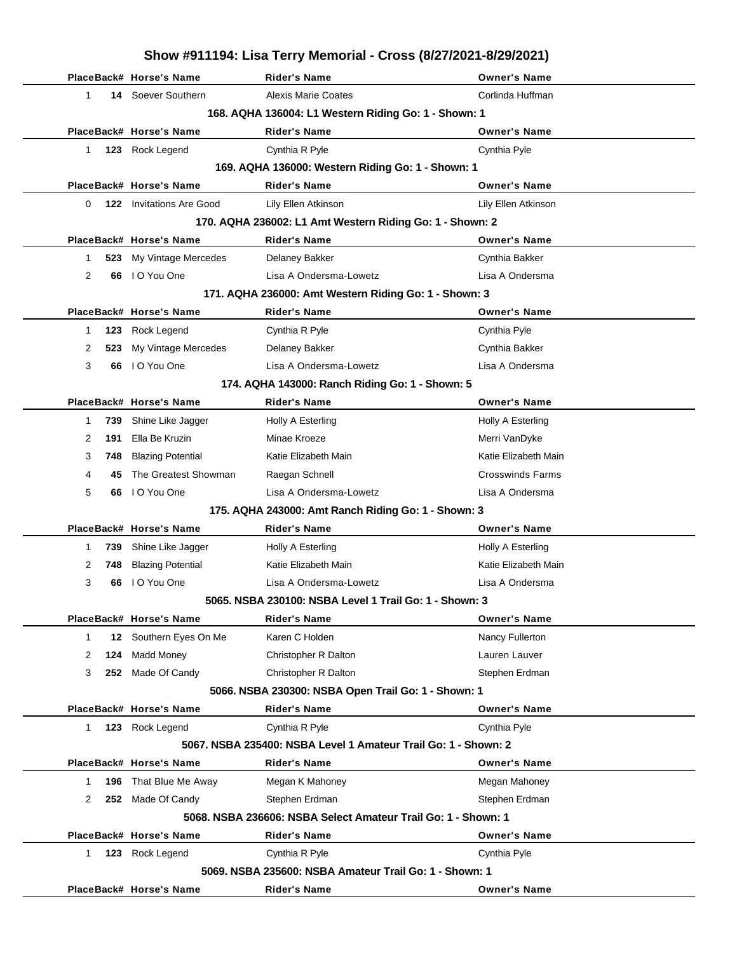|        |     |                                 | Show #911194: Lisa Terry Memorial - Cross (8/27/2021-8/29/2021)             |                                        |
|--------|-----|---------------------------------|-----------------------------------------------------------------------------|----------------------------------------|
|        |     | PlaceBack# Horse's Name         | <b>Rider's Name</b>                                                         | <b>Owner's Name</b>                    |
| 1      |     | 14 Soever Southern              | <b>Alexis Marie Coates</b>                                                  | Corlinda Huffman                       |
|        |     |                                 | 168. AQHA 136004: L1 Western Riding Go: 1 - Shown: 1                        |                                        |
|        |     | PlaceBack# Horse's Name         | Rider's Name                                                                | <b>Owner's Name</b>                    |
| 1      |     | 123 Rock Legend                 | Cynthia R Pyle                                                              | Cynthia Pyle                           |
|        |     |                                 | 169. AQHA 136000: Western Riding Go: 1 - Shown: 1                           |                                        |
|        |     | PlaceBack# Horse's Name         | <b>Rider's Name</b>                                                         | <b>Owner's Name</b>                    |
| 0      |     | <b>122</b> Invitations Are Good | Lily Ellen Atkinson                                                         | Lily Ellen Atkinson                    |
|        |     |                                 | 170. AQHA 236002: L1 Amt Western Riding Go: 1 - Shown: 2                    |                                        |
|        |     | PlaceBack# Horse's Name         | <b>Rider's Name</b>                                                         | <b>Owner's Name</b>                    |
| 1      | 523 | My Vintage Mercedes             | Delaney Bakker                                                              | Cynthia Bakker                         |
| 2      | 66  | I O You One                     | Lisa A Ondersma-Lowetz                                                      | Lisa A Ondersma                        |
|        |     |                                 | 171. AQHA 236000: Amt Western Riding Go: 1 - Shown: 3                       |                                        |
|        |     | PlaceBack# Horse's Name         | <b>Rider's Name</b>                                                         | <b>Owner's Name</b>                    |
| 1      | 123 | Rock Legend                     | Cynthia R Pyle                                                              | Cynthia Pyle                           |
| 2      | 523 | My Vintage Mercedes             | <b>Delaney Bakker</b>                                                       | Cynthia Bakker                         |
| 3      | 66  | I O You One                     | Lisa A Ondersma-Lowetz                                                      | Lisa A Ondersma                        |
|        |     |                                 | 174. AQHA 143000: Ranch Riding Go: 1 - Shown: 5                             |                                        |
|        |     | PlaceBack# Horse's Name         | <b>Rider's Name</b>                                                         | <b>Owner's Name</b>                    |
| 1      | 739 | Shine Like Jagger               | Holly A Esterling                                                           | Holly A Esterling                      |
| 2      | 191 | Ella Be Kruzin                  | Minae Kroeze                                                                | Merri VanDyke                          |
| 3      | 748 | <b>Blazing Potential</b>        | Katie Elizabeth Main                                                        | Katie Elizabeth Main                   |
| 4      | 45  | The Greatest Showman            | Raegan Schnell                                                              | <b>Crosswinds Farms</b>                |
| 5      | 66  | I O You One                     | Lisa A Ondersma-Lowetz                                                      | Lisa A Ondersma                        |
|        |     |                                 | 175. AQHA 243000: Amt Ranch Riding Go: 1 - Shown: 3                         |                                        |
|        |     | PlaceBack# Horse's Name         | Rider's Name                                                                | <b>Owner's Name</b>                    |
| 1      | 739 | Shine Like Jagger               | Holly A Esterling                                                           | Holly A Esterling                      |
| 2      |     | 748 Blazing Potential           | Katie Elizabeth Main                                                        | Katie Elizabeth Main                   |
| 3      |     | 66 IO You One                   | Lisa A Ondersma-Lowetz                                                      | Lisa A Ondersma                        |
|        |     |                                 | 5065, NSBA 230100: NSBA Level 1 Trail Go: 1 - Shown: 3                      |                                        |
| 1      |     | PlaceBack# Horse's Name         | <b>Rider's Name</b><br>Karen C Holden                                       | <b>Owner's Name</b><br>Nancy Fullerton |
|        |     | 12 Southern Eyes On Me          | <b>Christopher R Dalton</b>                                                 |                                        |
| 2<br>3 | 124 | Madd Money<br>252 Made Of Candy |                                                                             | Lauren Lauver                          |
|        |     |                                 | Christopher R Dalton<br>5066. NSBA 230300: NSBA Open Trail Go: 1 - Shown: 1 | Stephen Erdman                         |
|        |     | PlaceBack# Horse's Name         | <b>Rider's Name</b>                                                         | <b>Owner's Name</b>                    |
| 1.     |     | 123 Rock Legend                 | Cynthia R Pyle                                                              | Cynthia Pyle                           |
|        |     |                                 | 5067. NSBA 235400: NSBA Level 1 Amateur Trail Go: 1 - Shown: 2              |                                        |
|        |     | PlaceBack# Horse's Name         | <b>Rider's Name</b>                                                         | <b>Owner's Name</b>                    |
| 1      | 196 | That Blue Me Away               | Megan K Mahoney                                                             | Megan Mahoney                          |
| 2      |     | 252 Made Of Candy               | Stephen Erdman                                                              | Stephen Erdman                         |
|        |     |                                 | 5068. NSBA 236606: NSBA Select Amateur Trail Go: 1 - Shown: 1               |                                        |
|        |     | PlaceBack# Horse's Name         | <b>Rider's Name</b>                                                         | <b>Owner's Name</b>                    |
| 1.     |     | 123 Rock Legend                 | Cynthia R Pyle                                                              | Cynthia Pyle                           |
|        |     |                                 | 5069. NSBA 235600: NSBA Amateur Trail Go: 1 - Shown: 1                      |                                        |
|        |     | PlaceBack# Horse's Name         | Rider's Name                                                                | <b>Owner's Name</b>                    |
|        |     |                                 |                                                                             |                                        |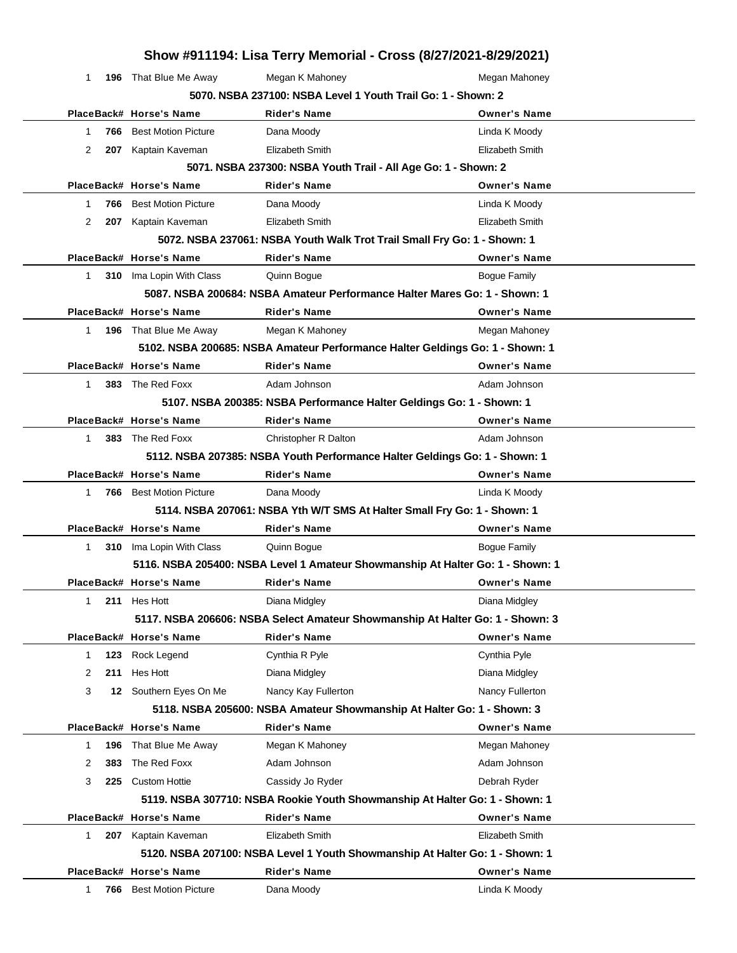| Show #911194: Lisa Terry Memorial - Cross (8/27/2021-8/29/2021) |                                |                                                                                |                     |  |  |  |
|-----------------------------------------------------------------|--------------------------------|--------------------------------------------------------------------------------|---------------------|--|--|--|
| 1                                                               | <b>196</b> That Blue Me Away   | Megan K Mahoney                                                                | Megan Mahoney       |  |  |  |
|                                                                 |                                | 5070, NSBA 237100: NSBA Level 1 Youth Trail Go: 1 - Shown: 2                   |                     |  |  |  |
|                                                                 | PlaceBack# Horse's Name        | Rider's Name                                                                   | <b>Owner's Name</b> |  |  |  |
| 1                                                               | <b>766</b> Best Motion Picture | Dana Moody                                                                     | Linda K Moody       |  |  |  |
| 2                                                               | 207 Kaptain Kaveman            | Elizabeth Smith                                                                | Elizabeth Smith     |  |  |  |
|                                                                 |                                | 5071. NSBA 237300: NSBA Youth Trail - All Age Go: 1 - Shown: 2                 |                     |  |  |  |
|                                                                 | PlaceBack# Horse's Name        | <b>Rider's Name</b>                                                            | <b>Owner's Name</b> |  |  |  |
| 1                                                               | <b>766</b> Best Motion Picture | Dana Moody                                                                     | Linda K Moody       |  |  |  |
| 2                                                               | 207 Kaptain Kaveman            | Elizabeth Smith                                                                | Elizabeth Smith     |  |  |  |
|                                                                 |                                | 5072. NSBA 237061: NSBA Youth Walk Trot Trail Small Fry Go: 1 - Shown: 1       |                     |  |  |  |
|                                                                 | PlaceBack# Horse's Name        | <b>Rider's Name</b>                                                            | <b>Owner's Name</b> |  |  |  |
| 1.                                                              | 310 Ima Lopin With Class       | Quinn Bogue                                                                    | <b>Bogue Family</b> |  |  |  |
|                                                                 |                                | 5087. NSBA 200684: NSBA Amateur Performance Halter Mares Go: 1 - Shown: 1      |                     |  |  |  |
|                                                                 | PlaceBack# Horse's Name        | <b>Rider's Name</b>                                                            | <b>Owner's Name</b> |  |  |  |
| 1                                                               | <b>196</b> That Blue Me Away   | Megan K Mahoney                                                                | Megan Mahoney       |  |  |  |
|                                                                 |                                | 5102. NSBA 200685: NSBA Amateur Performance Halter Geldings Go: 1 - Shown: 1   |                     |  |  |  |
|                                                                 | PlaceBack# Horse's Name        | <b>Rider's Name</b>                                                            | <b>Owner's Name</b> |  |  |  |
| 1                                                               | 383 The Red Foxx               | Adam Johnson                                                                   | Adam Johnson        |  |  |  |
|                                                                 |                                | 5107. NSBA 200385: NSBA Performance Halter Geldings Go: 1 - Shown: 1           |                     |  |  |  |
|                                                                 | PlaceBack# Horse's Name        | <b>Rider's Name</b>                                                            | <b>Owner's Name</b> |  |  |  |
| 1                                                               | 383 The Red Foxx               | Christopher R Dalton                                                           | Adam Johnson        |  |  |  |
|                                                                 |                                | 5112. NSBA 207385: NSBA Youth Performance Halter Geldings Go: 1 - Shown: 1     |                     |  |  |  |
|                                                                 | PlaceBack# Horse's Name        | Rider's Name                                                                   | <b>Owner's Name</b> |  |  |  |
| 1                                                               | <b>766</b> Best Motion Picture | Dana Moody                                                                     | Linda K Moody       |  |  |  |
|                                                                 |                                | 5114. NSBA 207061: NSBA Yth W/T SMS At Halter Small Fry Go: 1 - Shown: 1       |                     |  |  |  |
|                                                                 | PlaceBack# Horse's Name        | <b>Rider's Name</b>                                                            | <b>Owner's Name</b> |  |  |  |
| 1                                                               | 310 Ima Lopin With Class       | Quinn Boque                                                                    | Bogue Family        |  |  |  |
|                                                                 |                                | 5116. NSBA 205400: NSBA Level 1 Amateur Showmanship At Halter Go: 1 - Shown: 1 |                     |  |  |  |
|                                                                 | PlaceBack# Horse's Name        | <b>Rider's Name</b>                                                            | <b>Owner's Name</b> |  |  |  |
| 1                                                               | 211 Hes Hott                   | Diana Midgley                                                                  | Diana Midgley       |  |  |  |
|                                                                 |                                | 5117. NSBA 206606: NSBA Select Amateur Showmanship At Halter Go: 1 - Shown: 3  |                     |  |  |  |
|                                                                 | PlaceBack# Horse's Name        | <b>Rider's Name</b>                                                            | <b>Owner's Name</b> |  |  |  |
| 1<br>123                                                        | Rock Legend                    | Cynthia R Pyle                                                                 | Cynthia Pyle        |  |  |  |
| 2<br>211                                                        | Hes Hott                       | Diana Midgley                                                                  | Diana Midgley       |  |  |  |
| 3                                                               | 12 Southern Eyes On Me         | Nancy Kay Fullerton                                                            | Nancy Fullerton     |  |  |  |
|                                                                 |                                | 5118. NSBA 205600: NSBA Amateur Showmanship At Halter Go: 1 - Shown: 3         |                     |  |  |  |
|                                                                 | PlaceBack# Horse's Name        | <b>Rider's Name</b>                                                            | <b>Owner's Name</b> |  |  |  |
| 196<br>1                                                        | That Blue Me Away              | Megan K Mahoney                                                                | Megan Mahoney       |  |  |  |
| 2<br>383                                                        | The Red Foxx                   | Adam Johnson                                                                   | Adam Johnson        |  |  |  |
| 3<br>225                                                        | <b>Custom Hottie</b>           | Cassidy Jo Ryder                                                               | Debrah Ryder        |  |  |  |
|                                                                 |                                | 5119. NSBA 307710: NSBA Rookie Youth Showmanship At Halter Go: 1 - Shown: 1    |                     |  |  |  |
|                                                                 | PlaceBack# Horse's Name        | <b>Rider's Name</b>                                                            | <b>Owner's Name</b> |  |  |  |
| 1                                                               | 207 Kaptain Kaveman            | Elizabeth Smith                                                                | Elizabeth Smith     |  |  |  |
|                                                                 |                                | 5120. NSBA 207100: NSBA Level 1 Youth Showmanship At Halter Go: 1 - Shown: 1   |                     |  |  |  |
|                                                                 | PlaceBack# Horse's Name        | Rider's Name                                                                   | <b>Owner's Name</b> |  |  |  |
| 766<br>1                                                        | <b>Best Motion Picture</b>     | Dana Moody                                                                     | Linda K Moody       |  |  |  |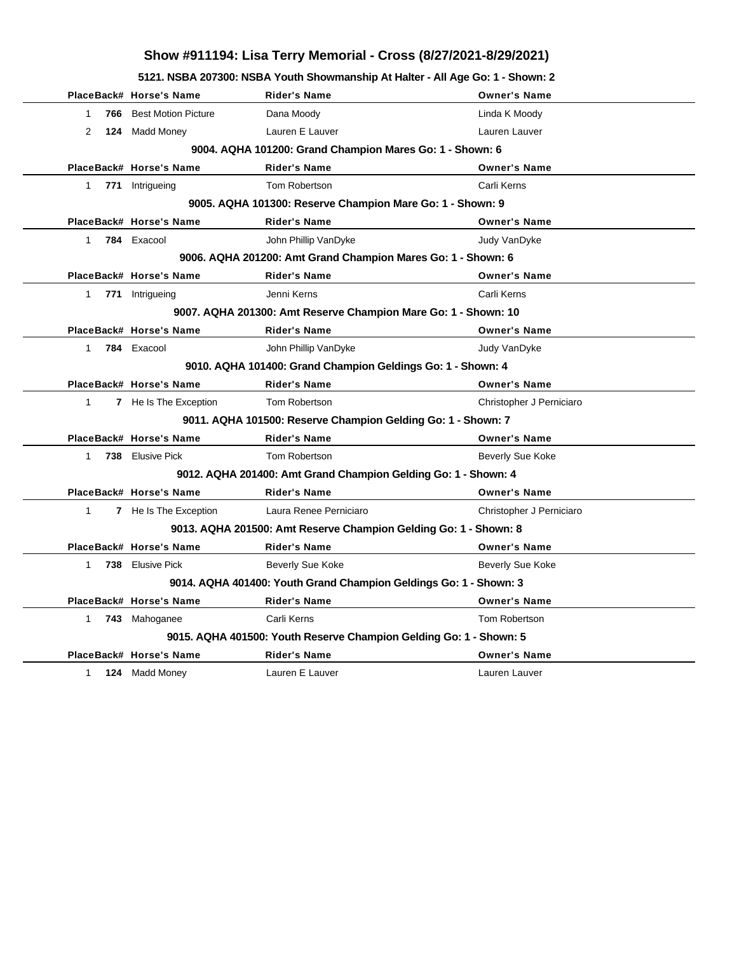**5121. NSBA 207300: NSBA Youth Showmanship At Halter - All Age Go: 1 - Shown: 2**

|                    | PlaceBack# Horse's Name    | <b>Rider's Name</b>                                                | <b>Owner's Name</b>      |
|--------------------|----------------------------|--------------------------------------------------------------------|--------------------------|
| 766<br>$\mathbf 1$ | <b>Best Motion Picture</b> | Dana Moody                                                         | Linda K Moody            |
| $\overline{2}$     | 124 Madd Money             | Lauren E Lauver                                                    | Lauren Lauver            |
|                    |                            | 9004. AQHA 101200: Grand Champion Mares Go: 1 - Shown: 6           |                          |
|                    | PlaceBack# Horse's Name    | <b>Rider's Name</b>                                                | <b>Owner's Name</b>      |
|                    | 1 771 Intrigueing          | Tom Robertson                                                      | Carli Kerns              |
|                    |                            | 9005. AQHA 101300: Reserve Champion Mare Go: 1 - Shown: 9          |                          |
|                    | PlaceBack# Horse's Name    | <b>Rider's Name</b>                                                | <b>Owner's Name</b>      |
| $1 \quad$          | 784 Exacool                | John Phillip VanDyke                                               | Judy VanDyke             |
|                    |                            | 9006. AQHA 201200: Amt Grand Champion Mares Go: 1 - Shown: 6       |                          |
|                    | PlaceBack# Horse's Name    | <b>Rider's Name</b>                                                | <b>Owner's Name</b>      |
|                    | 1 771 Intrigueing          | Jenni Kerns                                                        | Carli Kerns              |
|                    |                            | 9007. AQHA 201300: Amt Reserve Champion Mare Go: 1 - Shown: 10     |                          |
|                    | PlaceBack# Horse's Name    | <b>Rider's Name</b>                                                | <b>Owner's Name</b>      |
| $\mathbf{1}$       | 784 Exacool                | John Phillip VanDyke                                               | Judy VanDyke             |
|                    |                            | 9010. AQHA 101400: Grand Champion Geldings Go: 1 - Shown: 4        |                          |
|                    | PlaceBack# Horse's Name    | <b>Rider's Name</b>                                                | <b>Owner's Name</b>      |
| $\mathbf{1}$       | 7 He Is The Exception      | Tom Robertson                                                      | Christopher J Perniciaro |
|                    |                            | 9011. AQHA 101500: Reserve Champion Gelding Go: 1 - Shown: 7       |                          |
|                    | PlaceBack# Horse's Name    | <b>Rider's Name</b>                                                | <b>Owner's Name</b>      |
| $1 \quad$          | 738 Elusive Pick           | Tom Robertson                                                      | <b>Beverly Sue Koke</b>  |
|                    |                            | 9012. AQHA 201400: Amt Grand Champion Gelding Go: 1 - Shown: 4     |                          |
|                    | PlaceBack# Horse's Name    | <b>Rider's Name</b>                                                | <b>Owner's Name</b>      |
| $\mathbf{1}$       | 7 He Is The Exception      | Laura Renee Perniciaro                                             | Christopher J Perniciaro |
|                    |                            | 9013. AQHA 201500: Amt Reserve Champion Gelding Go: 1 - Shown: 8   |                          |
|                    | PlaceBack# Horse's Name    | <b>Rider's Name</b>                                                | <b>Owner's Name</b>      |
| $1 \quad$          | 738 Elusive Pick           | <b>Beverly Sue Koke</b>                                            | Beverly Sue Koke         |
|                    |                            | 9014. AQHA 401400: Youth Grand Champion Geldings Go: 1 - Shown: 3  |                          |
|                    | PlaceBack# Horse's Name    | <b>Rider's Name</b>                                                | <b>Owner's Name</b>      |
| $1 \quad$          | 743 Mahoganee              | Carli Kerns                                                        | Tom Robertson            |
|                    |                            | 9015. AQHA 401500: Youth Reserve Champion Gelding Go: 1 - Shown: 5 |                          |
|                    | PlaceBack# Horse's Name    | <b>Rider's Name</b>                                                | <b>Owner's Name</b>      |
| $\mathbf{1}$       | 124 Madd Money             | Lauren E Lauver                                                    | Lauren Lauver            |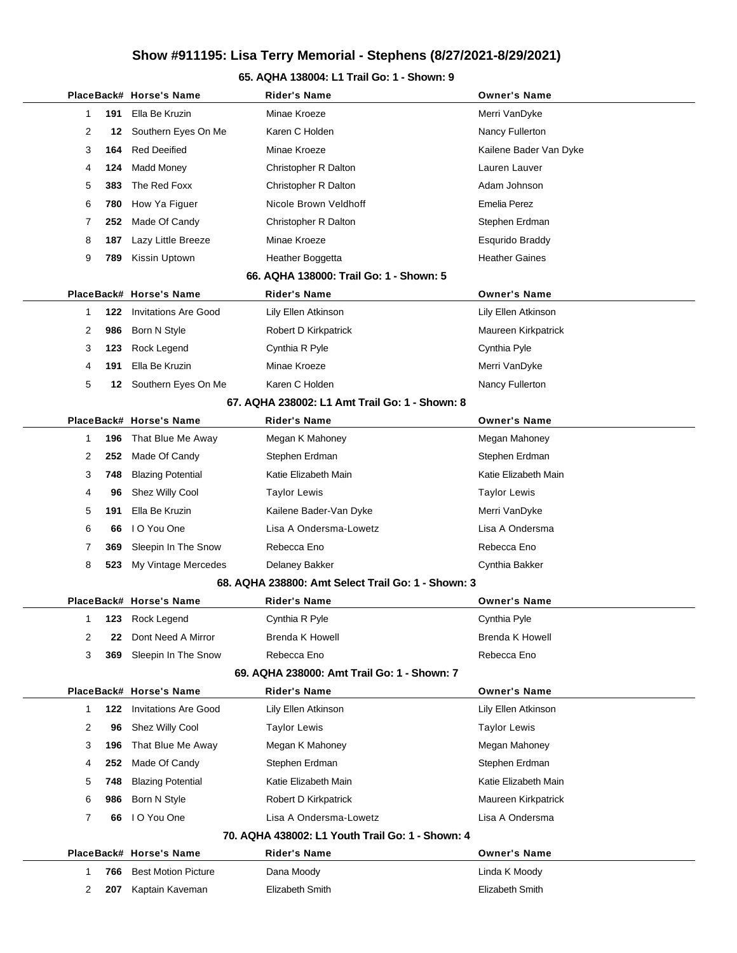#### **65. AQHA 138004: L1 Trail Go: 1 - Shown: 9**

|              |     | PlaceBack# Horse's Name     | <b>Rider's Name</b>                                | <b>Owner's Name</b>    |
|--------------|-----|-----------------------------|----------------------------------------------------|------------------------|
| 1            | 191 | Ella Be Kruzin              | Minae Kroeze                                       | Merri VanDyke          |
| 2            | 12  | Southern Eyes On Me         | Karen C Holden                                     | Nancy Fullerton        |
| 3            | 164 | <b>Red Deeified</b>         | Minae Kroeze                                       | Kailene Bader Van Dyke |
| 4            | 124 | Madd Money                  | Christopher R Dalton                               | Lauren Lauver          |
| 5            | 383 | The Red Foxx                | Christopher R Dalton                               | Adam Johnson           |
| 6            | 780 | How Ya Figuer               | Nicole Brown Veldhoff                              | <b>Emelia Perez</b>    |
| 7            | 252 | Made Of Candy               | Christopher R Dalton                               | Stephen Erdman         |
| 8            | 187 | Lazy Little Breeze          | Minae Kroeze                                       | Esqurido Braddy        |
| 9            | 789 | Kissin Uptown               | Heather Boggetta                                   | <b>Heather Gaines</b>  |
|              |     |                             | 66. AQHA 138000: Trail Go: 1 - Shown: 5            |                        |
|              |     | PlaceBack# Horse's Name     | <b>Rider's Name</b>                                | <b>Owner's Name</b>    |
| 1            | 122 | <b>Invitations Are Good</b> | Lily Ellen Atkinson                                | Lily Ellen Atkinson    |
| 2            | 986 | Born N Style                | Robert D Kirkpatrick                               | Maureen Kirkpatrick    |
| 3            | 123 | Rock Legend                 | Cynthia R Pyle                                     | Cynthia Pyle           |
| 4            | 191 | Ella Be Kruzin              | Minae Kroeze                                       | Merri VanDyke          |
| 5            |     | 12 Southern Eyes On Me      | Karen C Holden                                     | Nancy Fullerton        |
|              |     |                             | 67. AQHA 238002: L1 Amt Trail Go: 1 - Shown: 8     |                        |
|              |     | PlaceBack# Horse's Name     | <b>Rider's Name</b>                                | <b>Owner's Name</b>    |
| 1            | 196 | That Blue Me Away           | Megan K Mahoney                                    | Megan Mahoney          |
| 2            | 252 | Made Of Candy               | Stephen Erdman                                     | Stephen Erdman         |
| 3            | 748 | <b>Blazing Potential</b>    | Katie Elizabeth Main                               | Katie Elizabeth Main   |
| 4            | 96  | Shez Willy Cool             | <b>Taylor Lewis</b>                                | <b>Taylor Lewis</b>    |
| 5            | 191 | Ella Be Kruzin              | Kailene Bader-Van Dyke                             | Merri VanDyke          |
| 6            | 66  | I O You One                 | Lisa A Ondersma-Lowetz                             | Lisa A Ondersma        |
| 7            | 369 | Sleepin In The Snow         | Rebecca Eno                                        | Rebecca Eno            |
| 8            | 523 | My Vintage Mercedes         | Delaney Bakker                                     | Cynthia Bakker         |
|              |     |                             | 68. AQHA 238800: Amt Select Trail Go: 1 - Shown: 3 |                        |
|              |     | PlaceBack# Horse's Name     | Rider's Name                                       | <b>Owner's Name</b>    |
| 1            |     | 123 Rock Legend             | Cynthia R Pyle                                     | Cynthia Pyle           |
| 2            | 22  | Dont Need A Mirror          | <b>Brenda K Howell</b>                             | <b>Brenda K Howell</b> |
| 3            | 369 | Sleepin In The Snow         | Rebecca Eno                                        | Rebecca Eno            |
|              |     |                             | 69. AQHA 238000: Amt Trail Go: 1 - Shown: 7        |                        |
|              |     | PlaceBack# Horse's Name     | <b>Rider's Name</b>                                | <b>Owner's Name</b>    |
| $\mathbf 1$  | 122 | <b>Invitations Are Good</b> | Lily Ellen Atkinson                                | Lily Ellen Atkinson    |
| 2            | 96  | Shez Willy Cool             | <b>Taylor Lewis</b>                                | <b>Taylor Lewis</b>    |
| 3            | 196 | That Blue Me Away           | Megan K Mahoney                                    | Megan Mahoney          |
| 4            | 252 | Made Of Candy               | Stephen Erdman                                     | Stephen Erdman         |
| 5            | 748 | <b>Blazing Potential</b>    | Katie Elizabeth Main                               | Katie Elizabeth Main   |
| 6            | 986 | Born N Style                | Robert D Kirkpatrick                               | Maureen Kirkpatrick    |
| 7            | 66  | I O You One                 | Lisa A Ondersma-Lowetz                             | Lisa A Ondersma        |
|              |     |                             | 70. AQHA 438002: L1 Youth Trail Go: 1 - Shown: 4   |                        |
|              |     | PlaceBack# Horse's Name     | <b>Rider's Name</b>                                | <b>Owner's Name</b>    |
| $\mathbf{1}$ | 766 | <b>Best Motion Picture</b>  | Dana Moody                                         | Linda K Moody          |
| 2            | 207 | Kaptain Kaveman             | Elizabeth Smith                                    | Elizabeth Smith        |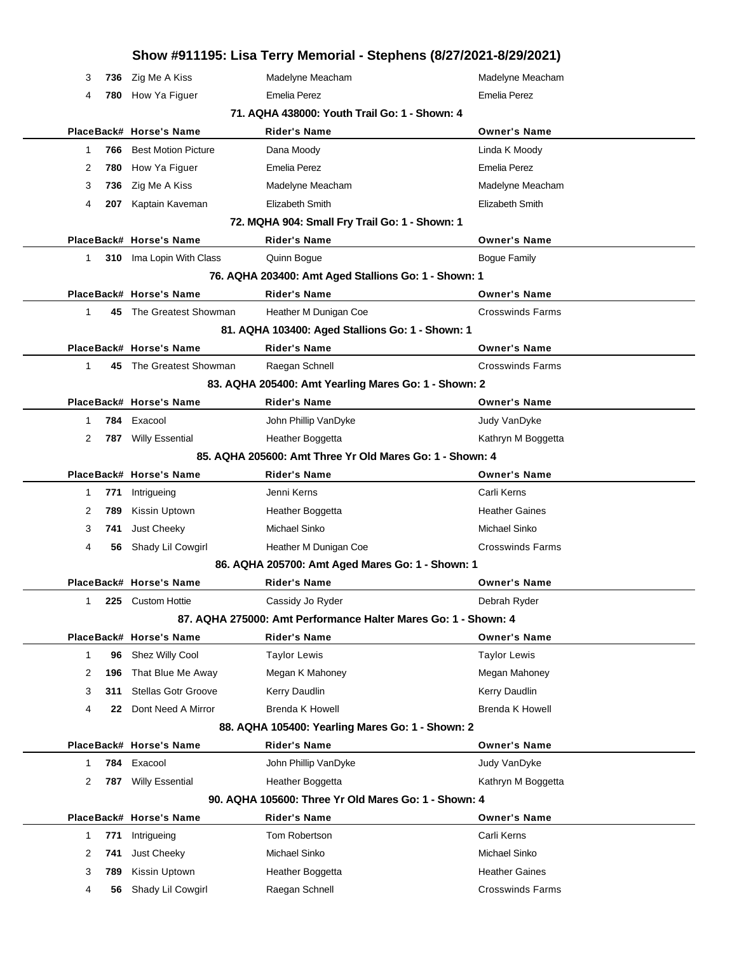|                    |                                 | Show #911195: Lisa Terry Memorial - Stephens (8/27/2021-8/29/2021) |                         |
|--------------------|---------------------------------|--------------------------------------------------------------------|-------------------------|
| 3<br>736           | Zig Me A Kiss                   | Madelyne Meacham                                                   | Madelyne Meacham        |
| 4<br>780           | How Ya Figuer                   | <b>Emelia Perez</b>                                                | <b>Emelia Perez</b>     |
|                    |                                 | 71. AQHA 438000: Youth Trail Go: 1 - Shown: 4                      |                         |
|                    | PlaceBack# Horse's Name         | Rider's Name                                                       | <b>Owner's Name</b>     |
| 766<br>1           | <b>Best Motion Picture</b>      | Dana Moody                                                         | Linda K Moody           |
| 2<br>780           | How Ya Figuer                   | <b>Emelia Perez</b>                                                | <b>Emelia Perez</b>     |
| 3<br>736           | Zig Me A Kiss                   | Madelyne Meacham                                                   | Madelyne Meacham        |
| 4<br>207           | Kaptain Kaveman                 | Elizabeth Smith                                                    | Elizabeth Smith         |
|                    |                                 | 72. MQHA 904: Small Fry Trail Go: 1 - Shown: 1                     |                         |
|                    | PlaceBack# Horse's Name         | <b>Rider's Name</b>                                                | <b>Owner's Name</b>     |
| 1                  | <b>310</b> Ima Lopin With Class | Quinn Bogue                                                        | Bogue Family            |
|                    |                                 | 76. AQHA 203400: Amt Aged Stallions Go: 1 - Shown: 1               |                         |
|                    | PlaceBack# Horse's Name         | Rider's Name                                                       | <b>Owner's Name</b>     |
| $\mathbf{1}$       | 45 The Greatest Showman         | Heather M Dunigan Coe                                              | <b>Crosswinds Farms</b> |
|                    |                                 | 81. AQHA 103400: Aged Stallions Go: 1 - Shown: 1                   |                         |
|                    | PlaceBack# Horse's Name         | <b>Rider's Name</b>                                                | <b>Owner's Name</b>     |
| 1<br>45            | The Greatest Showman            | Raegan Schnell                                                     | <b>Crosswinds Farms</b> |
|                    |                                 | 83. AQHA 205400: Amt Yearling Mares Go: 1 - Shown: 2               |                         |
|                    | PlaceBack# Horse's Name         | Rider's Name                                                       | <b>Owner's Name</b>     |
| 1                  | 784 Exacool                     | John Phillip VanDyke                                               | Judy VanDyke            |
| 2<br>787           | <b>Willy Essential</b>          | Heather Boggetta                                                   | Kathryn M Boggetta      |
|                    |                                 | 85. AQHA 205600: Amt Three Yr Old Mares Go: 1 - Shown: 4           |                         |
|                    | PlaceBack# Horse's Name         | Rider's Name                                                       | <b>Owner's Name</b>     |
| 771<br>1           | Intrigueing                     | Jenni Kerns                                                        | Carli Kerns             |
| 2<br>789           | Kissin Uptown                   | Heather Boggetta                                                   | <b>Heather Gaines</b>   |
| 3<br>741           | Just Cheeky                     | Michael Sinko                                                      | Michael Sinko           |
| 4<br>56            | Shady Lil Cowgirl               | Heather M Dunigan Coe                                              | <b>Crosswinds Farms</b> |
|                    |                                 | 86. AQHA 205700: Amt Aged Mares Go: 1 - Shown: 1                   |                         |
|                    | PlaceBack# Horse's Name         | Rider's Name                                                       | <b>Owner's Name</b>     |
| 1<br>225           | <b>Custom Hottie</b>            | Cassidy Jo Ryder                                                   | Debrah Ryder            |
|                    |                                 | 87. AQHA 275000: Amt Performance Halter Mares Go: 1 - Shown: 4     |                         |
|                    | PlaceBack# Horse's Name         | <b>Rider's Name</b>                                                | <b>Owner's Name</b>     |
| $\mathbf{1}$<br>96 | Shez Willy Cool                 | <b>Taylor Lewis</b>                                                | <b>Taylor Lewis</b>     |
| 2<br>196           | That Blue Me Away               | Megan K Mahoney                                                    | Megan Mahoney           |
| 3<br>311           | <b>Stellas Gotr Groove</b>      | Kerry Daudlin                                                      | Kerry Daudlin           |
| 4<br>22            | Dont Need A Mirror              | <b>Brenda K Howell</b>                                             | <b>Brenda K Howell</b>  |
|                    |                                 | 88. AQHA 105400: Yearling Mares Go: 1 - Shown: 2                   |                         |
|                    | PlaceBack# Horse's Name         | <b>Rider's Name</b>                                                | <b>Owner's Name</b>     |
| 1<br>784           | Exacool                         | John Phillip VanDyke                                               | Judy VanDyke            |
| 2<br>787           | <b>Willy Essential</b>          | Heather Boggetta                                                   | Kathryn M Boggetta      |
|                    |                                 | 90. AQHA 105600: Three Yr Old Mares Go: 1 - Shown: 4               |                         |
|                    | PlaceBack# Horse's Name         | <b>Rider's Name</b>                                                | <b>Owner's Name</b>     |
| 771<br>1           | Intrigueing                     | Tom Robertson                                                      | Carli Kerns             |
| 2<br>741           | Just Cheeky                     | Michael Sinko                                                      | Michael Sinko           |
| 3<br>789           | Kissin Uptown                   | Heather Boggetta                                                   | <b>Heather Gaines</b>   |
| 4<br>56            | Shady Lil Cowgirl               | Raegan Schnell                                                     | <b>Crosswinds Farms</b> |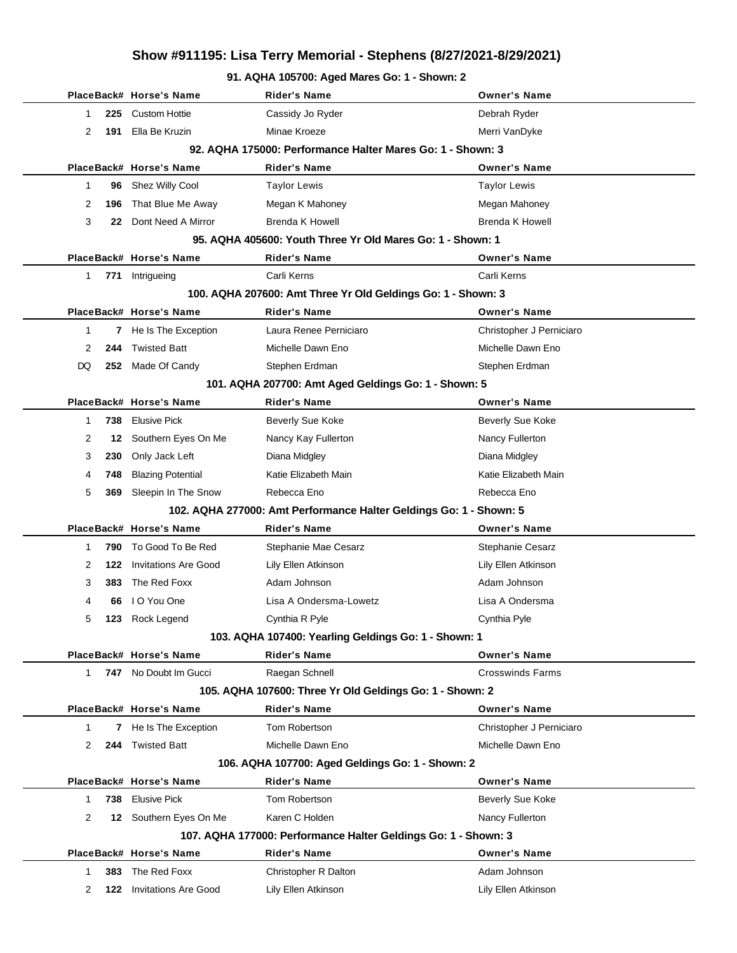#### **91. AQHA 105700: Aged Mares Go: 1 - Shown: 2**

|              |                                                            | PlaceBack# Horse's Name      | Rider's Name                                                       | <b>Owner's Name</b>      |  |  |  |  |
|--------------|------------------------------------------------------------|------------------------------|--------------------------------------------------------------------|--------------------------|--|--|--|--|
| 1            | 225                                                        | <b>Custom Hottie</b>         | Cassidy Jo Ryder                                                   | Debrah Ryder             |  |  |  |  |
| 2            | 191                                                        | Ella Be Kruzin               | Minae Kroeze                                                       | Merri VanDyke            |  |  |  |  |
|              | 92. AQHA 175000: Performance Halter Mares Go: 1 - Shown: 3 |                              |                                                                    |                          |  |  |  |  |
|              |                                                            | PlaceBack# Horse's Name      | <b>Rider's Name</b>                                                | <b>Owner's Name</b>      |  |  |  |  |
| 1            | 96                                                         | Shez Willy Cool              | <b>Taylor Lewis</b>                                                | <b>Taylor Lewis</b>      |  |  |  |  |
| 2            | 196                                                        | That Blue Me Away            | Megan K Mahoney                                                    | Megan Mahoney            |  |  |  |  |
| 3            | 22                                                         | Dont Need A Mirror           | <b>Brenda K Howell</b>                                             | <b>Brenda K Howell</b>   |  |  |  |  |
|              |                                                            |                              | 95. AQHA 405600: Youth Three Yr Old Mares Go: 1 - Shown: 1         |                          |  |  |  |  |
|              |                                                            | PlaceBack# Horse's Name      | Rider's Name                                                       | <b>Owner's Name</b>      |  |  |  |  |
| 1            | 771                                                        | Intrigueing                  | Carli Kerns                                                        | Carli Kerns              |  |  |  |  |
|              |                                                            |                              | 100. AQHA 207600: Amt Three Yr Old Geldings Go: 1 - Shown: 3       |                          |  |  |  |  |
|              |                                                            | PlaceBack# Horse's Name      | <b>Rider's Name</b>                                                | <b>Owner's Name</b>      |  |  |  |  |
| $\mathbf{1}$ |                                                            | <b>7</b> He Is The Exception | Laura Renee Perniciaro                                             | Christopher J Perniciaro |  |  |  |  |
| 2            | 244                                                        | <b>Twisted Batt</b>          | Michelle Dawn Eno                                                  | Michelle Dawn Eno        |  |  |  |  |
| DQ           |                                                            | 252 Made Of Candy            | Stephen Erdman                                                     | Stephen Erdman           |  |  |  |  |
|              |                                                            |                              | 101. AQHA 207700: Amt Aged Geldings Go: 1 - Shown: 5               |                          |  |  |  |  |
|              |                                                            | PlaceBack# Horse's Name      | <b>Rider's Name</b>                                                | <b>Owner's Name</b>      |  |  |  |  |
| $\mathbf{1}$ | 738                                                        | <b>Elusive Pick</b>          | Beverly Sue Koke                                                   | <b>Beverly Sue Koke</b>  |  |  |  |  |
| 2            | 12                                                         | Southern Eyes On Me          | Nancy Kay Fullerton                                                | Nancy Fullerton          |  |  |  |  |
| 3            | 230                                                        | Only Jack Left               | Diana Midgley                                                      | Diana Midgley            |  |  |  |  |
| 4            | 748                                                        | <b>Blazing Potential</b>     | Katie Elizabeth Main                                               | Katie Elizabeth Main     |  |  |  |  |
| 5            | 369                                                        | Sleepin In The Snow          | Rebecca Eno                                                        | Rebecca Eno              |  |  |  |  |
|              |                                                            |                              | 102. AQHA 277000: Amt Performance Halter Geldings Go: 1 - Shown: 5 |                          |  |  |  |  |
|              |                                                            | PlaceBack# Horse's Name      | <b>Rider's Name</b>                                                | <b>Owner's Name</b>      |  |  |  |  |
| 1            | 790                                                        | To Good To Be Red            | Stephanie Mae Cesarz                                               | Stephanie Cesarz         |  |  |  |  |
| 2            | 122                                                        | <b>Invitations Are Good</b>  | Lily Ellen Atkinson                                                | Lily Ellen Atkinson      |  |  |  |  |
| 3            | 383                                                        | The Red Foxx                 | Adam Johnson                                                       | Adam Johnson             |  |  |  |  |
| 4            | 66                                                         | I O You One                  | Lisa A Ondersma-Lowetz                                             | Lisa A Ondersma          |  |  |  |  |
| 5            | 123                                                        | Rock Legend                  | Cynthia R Pyle                                                     | Cynthia Pyle             |  |  |  |  |
|              |                                                            |                              | 103. AQHA 107400: Yearling Geldings Go: 1 - Shown: 1               |                          |  |  |  |  |
|              |                                                            | PlaceBack# Horse's Name      | <b>Rider's Name</b>                                                | <b>Owner's Name</b>      |  |  |  |  |
| $\mathbf{1}$ |                                                            | 747 No Doubt Im Gucci        | Raegan Schnell                                                     | <b>Crosswinds Farms</b>  |  |  |  |  |
|              |                                                            |                              | 105. AQHA 107600: Three Yr Old Geldings Go: 1 - Shown: 2           |                          |  |  |  |  |
|              |                                                            | PlaceBack# Horse's Name      | <b>Rider's Name</b>                                                | <b>Owner's Name</b>      |  |  |  |  |
| 1            |                                                            | 7 He Is The Exception        | Tom Robertson                                                      | Christopher J Perniciaro |  |  |  |  |
| 2            | 244                                                        | <b>Twisted Batt</b>          | Michelle Dawn Eno                                                  | Michelle Dawn Eno        |  |  |  |  |
|              |                                                            |                              | 106. AQHA 107700: Aged Geldings Go: 1 - Shown: 2                   |                          |  |  |  |  |
|              |                                                            | PlaceBack# Horse's Name      | <b>Rider's Name</b>                                                | <b>Owner's Name</b>      |  |  |  |  |
| $\mathbf{1}$ | 738                                                        | <b>Elusive Pick</b>          | Tom Robertson                                                      | <b>Beverly Sue Koke</b>  |  |  |  |  |
| 2            | 12                                                         | Southern Eyes On Me          | Karen C Holden                                                     | Nancy Fullerton          |  |  |  |  |
|              |                                                            |                              | 107. AQHA 177000: Performance Halter Geldings Go: 1 - Shown: 3     |                          |  |  |  |  |
|              |                                                            | PlaceBack# Horse's Name      | <b>Rider's Name</b>                                                | <b>Owner's Name</b>      |  |  |  |  |
| 1            | 383                                                        | The Red Foxx                 | Christopher R Dalton                                               | Adam Johnson             |  |  |  |  |
| 2            | 122                                                        | <b>Invitations Are Good</b>  | Lily Ellen Atkinson                                                | Lily Ellen Atkinson      |  |  |  |  |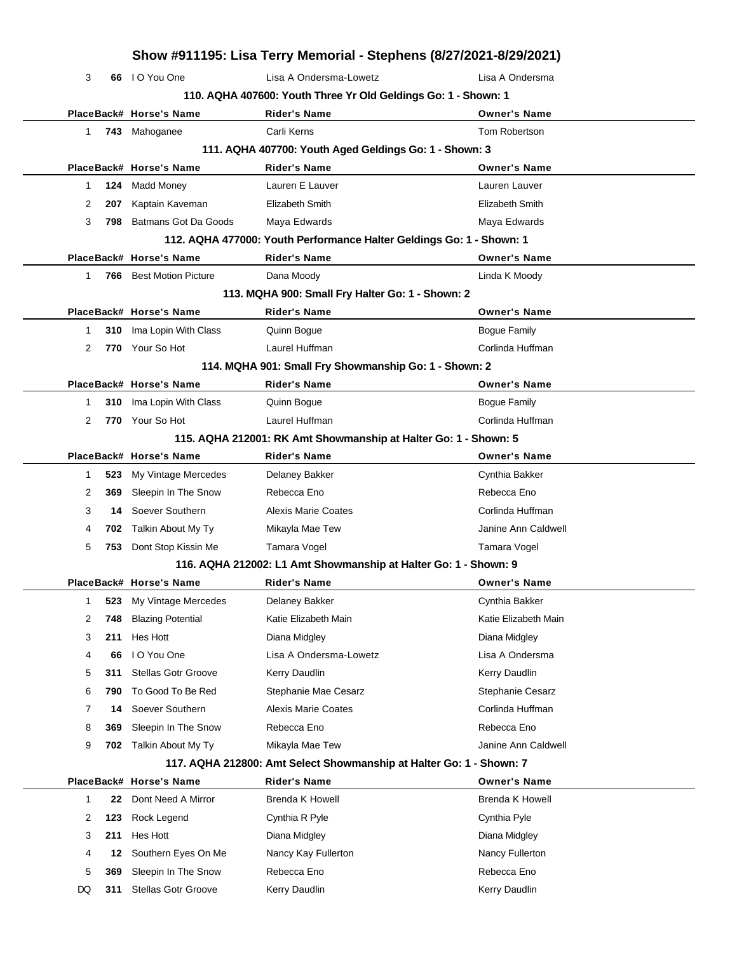| Show #911195: Lisa Terry Memorial - Stephens (8/27/2021-8/29/2021) |           |                                           |                                                                      |                                      |  |  |
|--------------------------------------------------------------------|-----------|-------------------------------------------|----------------------------------------------------------------------|--------------------------------------|--|--|
| 3                                                                  |           | 66 IO You One                             | Lisa A Ondersma-Lowetz                                               | Lisa A Ondersma                      |  |  |
| 110. AQHA 407600: Youth Three Yr Old Geldings Go: 1 - Shown: 1     |           |                                           |                                                                      |                                      |  |  |
|                                                                    |           | PlaceBack# Horse's Name                   | <b>Rider's Name</b>                                                  | <b>Owner's Name</b>                  |  |  |
| $\mathbf{1}$                                                       |           | 743 Mahoganee                             | Carli Kerns                                                          | Tom Robertson                        |  |  |
|                                                                    |           |                                           | 111. AQHA 407700: Youth Aged Geldings Go: 1 - Shown: 3               |                                      |  |  |
|                                                                    |           | PlaceBack# Horse's Name                   | <b>Rider's Name</b>                                                  | <b>Owner's Name</b>                  |  |  |
| $\mathbf{1}$                                                       | 124       | <b>Madd Money</b>                         | Lauren E Lauver                                                      | Lauren Lauver                        |  |  |
| 2                                                                  | 207       | Kaptain Kaveman                           | <b>Elizabeth Smith</b>                                               | Elizabeth Smith                      |  |  |
| 3                                                                  | 798       | <b>Batmans Got Da Goods</b>               | Maya Edwards                                                         | Maya Edwards                         |  |  |
|                                                                    |           |                                           | 112. AQHA 477000: Youth Performance Halter Geldings Go: 1 - Shown: 1 |                                      |  |  |
|                                                                    |           | PlaceBack# Horse's Name                   | <b>Rider's Name</b>                                                  | <b>Owner's Name</b>                  |  |  |
| 1                                                                  |           | <b>766</b> Best Motion Picture            | Dana Moody                                                           | Linda K Moody                        |  |  |
|                                                                    |           |                                           | 113. MQHA 900: Small Fry Halter Go: 1 - Shown: 2                     |                                      |  |  |
|                                                                    |           | PlaceBack# Horse's Name                   | <b>Rider's Name</b>                                                  | <b>Owner's Name</b>                  |  |  |
| 1                                                                  | 310       | Ima Lopin With Class                      | Quinn Boque                                                          | <b>Bogue Family</b>                  |  |  |
| 2                                                                  |           | 770 Your So Hot                           | Laurel Huffman                                                       | Corlinda Huffman                     |  |  |
|                                                                    |           |                                           | 114. MQHA 901: Small Fry Showmanship Go: 1 - Shown: 2                |                                      |  |  |
|                                                                    |           | PlaceBack# Horse's Name                   | <b>Rider's Name</b>                                                  | <b>Owner's Name</b>                  |  |  |
| 1                                                                  | 310       | Ima Lopin With Class                      | Quinn Bogue                                                          | Bogue Family                         |  |  |
| 2                                                                  |           | 770 Your So Hot                           | Laurel Huffman                                                       | Corlinda Huffman                     |  |  |
| 115. AQHA 212001: RK Amt Showmanship at Halter Go: 1 - Shown: 5    |           |                                           |                                                                      |                                      |  |  |
|                                                                    |           | PlaceBack# Horse's Name                   | <b>Rider's Name</b>                                                  | <b>Owner's Name</b>                  |  |  |
| $\mathbf{1}$                                                       | 523       | My Vintage Mercedes                       | Delaney Bakker                                                       | Cynthia Bakker                       |  |  |
| 2                                                                  | 369       | Sleepin In The Snow                       | Rebecca Eno                                                          | Rebecca Eno                          |  |  |
| 3                                                                  | 14        | Soever Southern                           | <b>Alexis Marie Coates</b>                                           | Corlinda Huffman                     |  |  |
| 4                                                                  | 702       | Talkin About My Ty                        | Mikayla Mae Tew                                                      | Janine Ann Caldwell                  |  |  |
| 5                                                                  | 753       | Dont Stop Kissin Me                       | Tamara Vogel                                                         | Tamara Vogel                         |  |  |
|                                                                    |           |                                           | 116. AQHA 212002: L1 Amt Showmanship at Halter Go: 1 - Shown: 9      |                                      |  |  |
|                                                                    |           | PlaceBack# Horse's Name                   | <b>Rider's Name</b>                                                  | <b>Owner's Name</b>                  |  |  |
| 1                                                                  | 523       | My Vintage Mercedes                       | Delaney Bakker                                                       | Cynthia Bakker                       |  |  |
| 2                                                                  | 748       | <b>Blazing Potential</b>                  | Katie Elizabeth Main                                                 | Katie Elizabeth Main                 |  |  |
| 3                                                                  | 211       | Hes Hott                                  | Diana Midgley                                                        | Diana Midgley                        |  |  |
| 4<br>5                                                             | 66<br>311 | I O You One<br><b>Stellas Gotr Groove</b> | Lisa A Ondersma-Lowetz                                               | Lisa A Ondersma                      |  |  |
| 6                                                                  | 790       | To Good To Be Red                         | Kerry Daudlin<br>Stephanie Mae Cesarz                                | Kerry Daudlin                        |  |  |
| 7                                                                  | 14        | Soever Southern                           | <b>Alexis Marie Coates</b>                                           | Stephanie Cesarz<br>Corlinda Huffman |  |  |
| 8                                                                  | 369       | Sleepin In The Snow                       | Rebecca Eno                                                          | Rebecca Eno                          |  |  |
| 9                                                                  | 702       | Talkin About My Ty                        | Mikayla Mae Tew                                                      | Janine Ann Caldwell                  |  |  |
|                                                                    |           |                                           | 117. AQHA 212800: Amt Select Showmanship at Halter Go: 1 - Shown: 7  |                                      |  |  |
|                                                                    |           | PlaceBack# Horse's Name                   | <b>Rider's Name</b>                                                  | <b>Owner's Name</b>                  |  |  |
| $\mathbf{1}$                                                       | 22        | Dont Need A Mirror                        | <b>Brenda K Howell</b>                                               | <b>Brenda K Howell</b>               |  |  |
| 2                                                                  | 123       | Rock Legend                               | Cynthia R Pyle                                                       | Cynthia Pyle                         |  |  |
| 3                                                                  | 211       | Hes Hott                                  | Diana Midgley                                                        | Diana Midgley                        |  |  |
| 4                                                                  | 12        | Southern Eyes On Me                       | Nancy Kay Fullerton                                                  | Nancy Fullerton                      |  |  |
| 5                                                                  | 369       | Sleepin In The Snow                       | Rebecca Eno                                                          | Rebecca Eno                          |  |  |
| DQ                                                                 | 311       | Stellas Gotr Groove                       | Kerry Daudlin                                                        | Kerry Daudlin                        |  |  |
|                                                                    |           |                                           |                                                                      |                                      |  |  |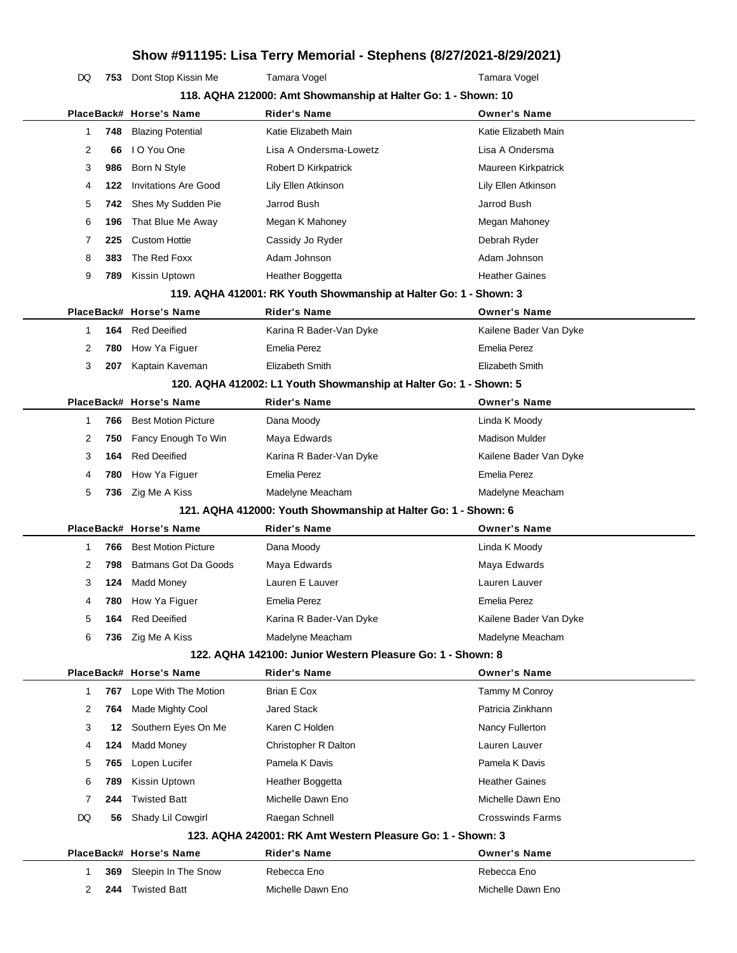DQ 753 Dont Stop Kissin Me Tamara Vogel Tamara Vogel

|              |     |                             | 118. AQHA 212000: Amt Showmanship at Halter Go: 1 - Shown: 10     |                         |
|--------------|-----|-----------------------------|-------------------------------------------------------------------|-------------------------|
|              |     | PlaceBack# Horse's Name     | <b>Rider's Name</b>                                               | <b>Owner's Name</b>     |
| 1            | 748 | <b>Blazing Potential</b>    | Katie Elizabeth Main                                              | Katie Elizabeth Main    |
| 2            | 66  | I O You One                 | Lisa A Ondersma-Lowetz                                            | Lisa A Ondersma         |
| 3            | 986 | Born N Style                | Robert D Kirkpatrick                                              | Maureen Kirkpatrick     |
| 4            | 122 | <b>Invitations Are Good</b> | Lily Ellen Atkinson                                               | Lily Ellen Atkinson     |
| 5            | 742 | Shes My Sudden Pie          | Jarrod Bush                                                       | Jarrod Bush             |
| 6            | 196 | That Blue Me Away           | Megan K Mahoney                                                   | Megan Mahoney           |
| 7            | 225 | <b>Custom Hottie</b>        | Cassidy Jo Ryder                                                  | Debrah Ryder            |
| 8            | 383 | The Red Foxx                | Adam Johnson                                                      | Adam Johnson            |
| 9            | 789 | Kissin Uptown               | Heather Boggetta                                                  | <b>Heather Gaines</b>   |
|              |     |                             | 119. AQHA 412001: RK Youth Showmanship at Halter Go: 1 - Shown: 3 |                         |
|              |     | PlaceBack# Horse's Name     | <b>Rider's Name</b>                                               | <b>Owner's Name</b>     |
| 1            | 164 | <b>Red Deeified</b>         | Karina R Bader-Van Dyke                                           | Kailene Bader Van Dyke  |
| 2            | 780 | How Ya Figuer               | Emelia Perez                                                      | Emelia Perez            |
| 3            | 207 | Kaptain Kaveman             | Elizabeth Smith                                                   | Elizabeth Smith         |
|              |     |                             | 120. AQHA 412002: L1 Youth Showmanship at Halter Go: 1 - Shown: 5 |                         |
|              |     | PlaceBack# Horse's Name     | <b>Rider's Name</b>                                               | <b>Owner's Name</b>     |
| -1           | 766 | <b>Best Motion Picture</b>  | Dana Moody                                                        | Linda K Moody           |
| 2            | 750 | Fancy Enough To Win         | Maya Edwards                                                      | <b>Madison Mulder</b>   |
| 3            | 164 | <b>Red Deeified</b>         | Karina R Bader-Van Dyke                                           | Kailene Bader Van Dyke  |
| 4            | 780 | How Ya Figuer               | Emelia Perez                                                      | <b>Emelia Perez</b>     |
| 5            | 736 | Zig Me A Kiss               | Madelyne Meacham                                                  | Madelyne Meacham        |
|              |     |                             | 121. AQHA 412000: Youth Showmanship at Halter Go: 1 - Shown: 6    |                         |
|              |     | PlaceBack# Horse's Name     | <b>Rider's Name</b>                                               | <b>Owner's Name</b>     |
| -1           | 766 | <b>Best Motion Picture</b>  | Dana Moody                                                        | Linda K Moody           |
| 2            | 798 | Batmans Got Da Goods        | Maya Edwards                                                      | Maya Edwards            |
| 3            | 124 | <b>Madd Money</b>           | Lauren E Lauver                                                   | Lauren Lauver           |
| 4            | 780 | How Ya Figuer               | Emelia Perez                                                      | <b>Emelia Perez</b>     |
| 5            | 164 | <b>Red Deeified</b>         | Karina R Bader-Van Dyke                                           | Kailene Bader Van Dyke  |
| 6            |     | 736 Zig Me A Kiss           | Madelyne Meacham                                                  | Madelyne Meacham        |
|              |     |                             | 122. AQHA 142100: Junior Western Pleasure Go: 1 - Shown: 8        |                         |
|              |     | PlaceBack# Horse's Name     | <b>Rider's Name</b>                                               | <b>Owner's Name</b>     |
| $\mathbf{1}$ | 767 | Lope With The Motion        | Brian E Cox                                                       | Tammy M Conroy          |
| 2            | 764 | Made Mighty Cool            | <b>Jared Stack</b>                                                | Patricia Zinkhann       |
| 3            | 12  | Southern Eyes On Me         | Karen C Holden                                                    | Nancy Fullerton         |
| 4            | 124 | <b>Madd Money</b>           | Christopher R Dalton                                              | Lauren Lauver           |
| 5            | 765 | Lopen Lucifer               | Pamela K Davis                                                    | Pamela K Davis          |
| 6            | 789 | Kissin Uptown               | Heather Boggetta                                                  | <b>Heather Gaines</b>   |
| 7            | 244 | <b>Twisted Batt</b>         | Michelle Dawn Eno                                                 | Michelle Dawn Eno       |
| DQ           | 56  | Shady Lil Cowgirl           | Raegan Schnell                                                    | <b>Crosswinds Farms</b> |
|              |     |                             | 123. AQHA 242001: RK Amt Western Pleasure Go: 1 - Shown: 3        |                         |
|              |     | PlaceBack# Horse's Name     | <b>Rider's Name</b>                                               | <b>Owner's Name</b>     |
| 1            | 369 | Sleepin In The Snow         | Rebecca Eno                                                       | Rebecca Eno             |
| 2            | 244 | <b>Twisted Batt</b>         | Michelle Dawn Eno                                                 | Michelle Dawn Eno       |
|              |     |                             |                                                                   |                         |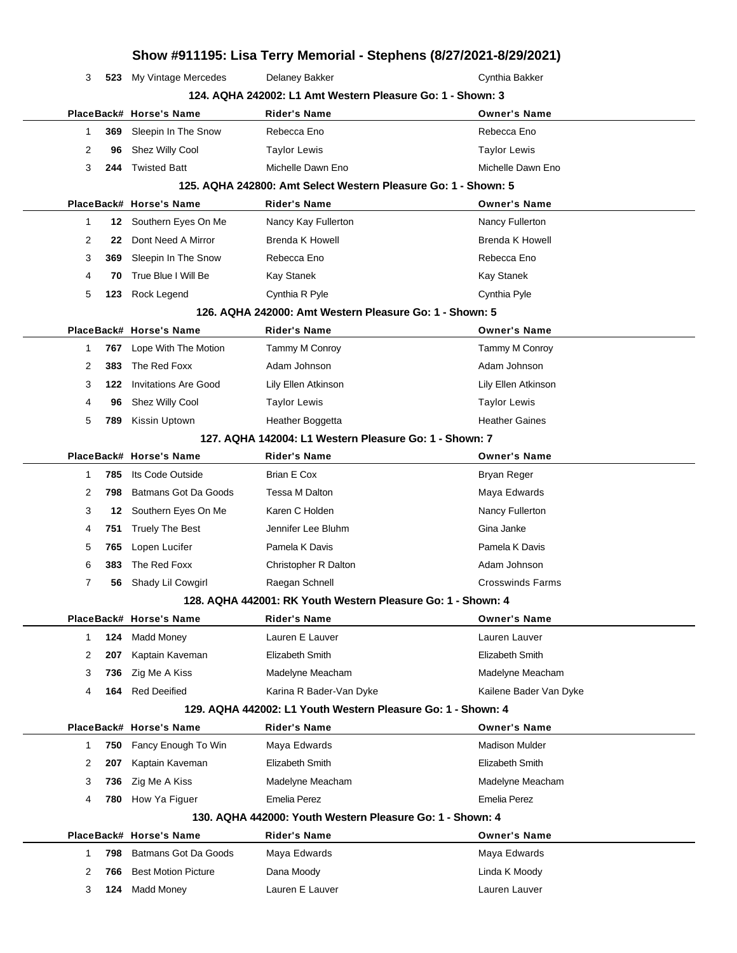|             |     |                             |                                                                | Show #911195: Lisa Terry Memorial - Stephens (8/27/2021-8/29/2021) |  |  |
|-------------|-----|-----------------------------|----------------------------------------------------------------|--------------------------------------------------------------------|--|--|
| 3           | 523 | My Vintage Mercedes         | Delaney Bakker                                                 | Cynthia Bakker                                                     |  |  |
|             |     |                             | 124. AQHA 242002: L1 Amt Western Pleasure Go: 1 - Shown: 3     |                                                                    |  |  |
|             |     | PlaceBack# Horse's Name     | <b>Rider's Name</b>                                            | <b>Owner's Name</b>                                                |  |  |
| 1           | 369 | Sleepin In The Snow         | Rebecca Eno                                                    | Rebecca Eno                                                        |  |  |
| 2           | 96  | Shez Willy Cool             | <b>Taylor Lewis</b>                                            | <b>Taylor Lewis</b>                                                |  |  |
| 3           | 244 | <b>Twisted Batt</b>         | Michelle Dawn Eno                                              | Michelle Dawn Eno                                                  |  |  |
|             |     |                             | 125. AQHA 242800: Amt Select Western Pleasure Go: 1 - Shown: 5 |                                                                    |  |  |
|             |     | PlaceBack# Horse's Name     | <b>Rider's Name</b>                                            | <b>Owner's Name</b>                                                |  |  |
| 1           | 12  | Southern Eyes On Me         | Nancy Kay Fullerton                                            | Nancy Fullerton                                                    |  |  |
| 2           | 22  | Dont Need A Mirror          | <b>Brenda K Howell</b>                                         | <b>Brenda K Howell</b>                                             |  |  |
| 3           | 369 | Sleepin In The Snow         | Rebecca Eno                                                    | Rebecca Eno                                                        |  |  |
| 4           | 70  | True Blue I Will Be         | Kay Stanek                                                     | Kay Stanek                                                         |  |  |
| 5           | 123 | Rock Legend                 | Cynthia R Pyle                                                 | Cynthia Pyle                                                       |  |  |
|             |     |                             | 126, AQHA 242000: Amt Western Pleasure Go: 1 - Shown: 5        |                                                                    |  |  |
|             |     | PlaceBack# Horse's Name     | <b>Rider's Name</b>                                            | <b>Owner's Name</b>                                                |  |  |
| 1           | 767 | Lope With The Motion        | Tammy M Conroy                                                 | Tammy M Conroy                                                     |  |  |
| 2           | 383 | The Red Foxx                | Adam Johnson                                                   | Adam Johnson                                                       |  |  |
| 3           | 122 | <b>Invitations Are Good</b> | Lily Ellen Atkinson                                            | Lily Ellen Atkinson                                                |  |  |
| 4           | 96  | Shez Willy Cool             | <b>Taylor Lewis</b>                                            | <b>Taylor Lewis</b>                                                |  |  |
| 5           | 789 | Kissin Uptown               | Heather Boggetta                                               | <b>Heather Gaines</b>                                              |  |  |
|             |     |                             | 127. AQHA 142004: L1 Western Pleasure Go: 1 - Shown: 7         |                                                                    |  |  |
|             |     | PlaceBack# Horse's Name     | <b>Rider's Name</b>                                            | <b>Owner's Name</b>                                                |  |  |
| 1           | 785 | Its Code Outside            | Brian E Cox                                                    | Bryan Reger                                                        |  |  |
| 2           | 798 | Batmans Got Da Goods        | Tessa M Dalton                                                 | Maya Edwards                                                       |  |  |
| 3           | 12  | Southern Eyes On Me         | Karen C Holden                                                 | Nancy Fullerton                                                    |  |  |
| 4           | 751 | <b>Truely The Best</b>      | Jennifer Lee Bluhm                                             | Gina Janke                                                         |  |  |
| 5           | 765 | Lopen Lucifer               | Pamela K Davis                                                 | Pamela K Davis                                                     |  |  |
| 6           | 383 | The Red Foxx                | Christopher R Dalton                                           | Adam Johnson                                                       |  |  |
| 7           | 56  | Shady Lil Cowgirl           | Raegan Schnell                                                 | <b>Crosswinds Farms</b>                                            |  |  |
|             |     |                             | 128. AQHA 442001: RK Youth Western Pleasure Go: 1 - Shown: 4   |                                                                    |  |  |
|             |     | PlaceBack# Horse's Name     | <b>Rider's Name</b>                                            | <b>Owner's Name</b>                                                |  |  |
| $\mathbf 1$ | 124 | <b>Madd Money</b>           | Lauren E Lauver                                                | Lauren Lauver                                                      |  |  |
| 2           | 207 | Kaptain Kaveman             | Elizabeth Smith                                                | Elizabeth Smith                                                    |  |  |
| 3           | 736 | Zig Me A Kiss               | Madelyne Meacham                                               | Madelyne Meacham                                                   |  |  |
| 4           | 164 | <b>Red Deeified</b>         | Karina R Bader-Van Dyke                                        | Kailene Bader Van Dyke                                             |  |  |
|             |     |                             | 129. AQHA 442002: L1 Youth Western Pleasure Go: 1 - Shown: 4   |                                                                    |  |  |
|             |     | PlaceBack# Horse's Name     | <b>Rider's Name</b>                                            | <b>Owner's Name</b>                                                |  |  |
| 1           | 750 | Fancy Enough To Win         | Maya Edwards                                                   | <b>Madison Mulder</b>                                              |  |  |
| 2           | 207 | Kaptain Kaveman             | Elizabeth Smith                                                | Elizabeth Smith                                                    |  |  |
| 3           | 736 | Zig Me A Kiss               | Madelyne Meacham                                               | Madelyne Meacham                                                   |  |  |
| 4           | 780 | How Ya Figuer               | <b>Emelia Perez</b>                                            | Emelia Perez                                                       |  |  |
|             |     |                             | 130. AQHA 442000: Youth Western Pleasure Go: 1 - Shown: 4      |                                                                    |  |  |
|             |     | PlaceBack# Horse's Name     | <b>Rider's Name</b>                                            | <b>Owner's Name</b>                                                |  |  |
| 1           | 798 | Batmans Got Da Goods        | Maya Edwards                                                   | Maya Edwards                                                       |  |  |
| 2           | 766 | <b>Best Motion Picture</b>  | Dana Moody                                                     | Linda K Moody                                                      |  |  |
| 3           | 124 | <b>Madd Money</b>           | Lauren E Lauver                                                | Lauren Lauver                                                      |  |  |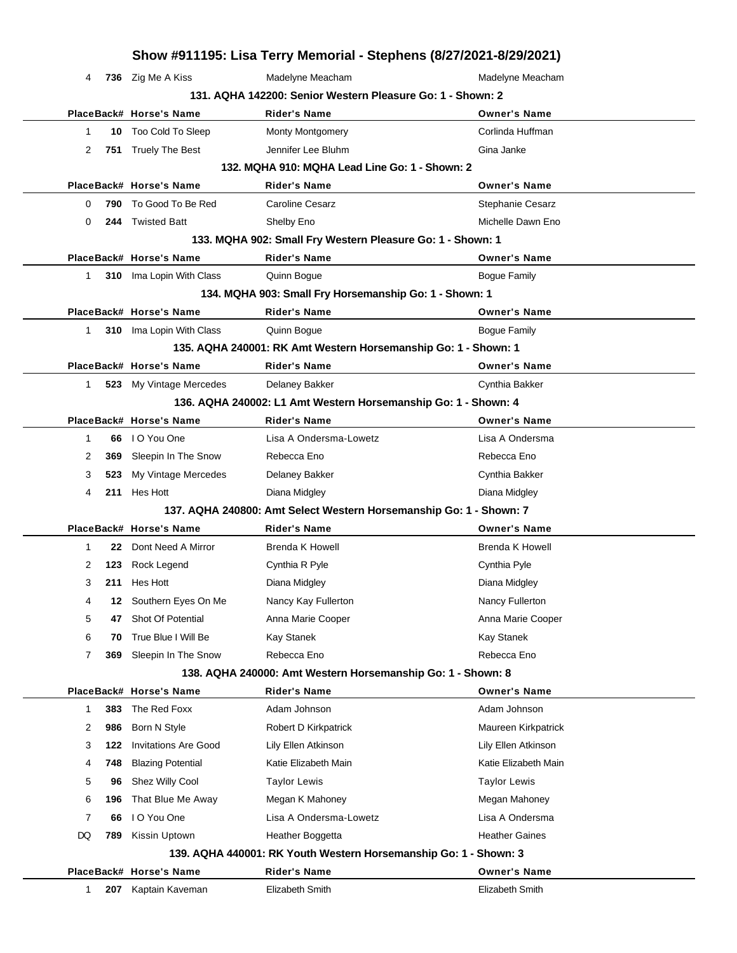|              | Show #911195: Lisa Terry Memorial - Stephens (8/27/2021-8/29/2021) |                                 |                                                                    |                        |  |
|--------------|--------------------------------------------------------------------|---------------------------------|--------------------------------------------------------------------|------------------------|--|
| 4            |                                                                    | 736 Zig Me A Kiss               | Madelyne Meacham                                                   | Madelyne Meacham       |  |
|              |                                                                    |                                 | 131, AQHA 142200: Senior Western Pleasure Go: 1 - Shown: 2         |                        |  |
|              |                                                                    | PlaceBack# Horse's Name         | <b>Rider's Name</b>                                                | <b>Owner's Name</b>    |  |
| 1            | 10                                                                 | Too Cold To Sleep               | <b>Monty Montgomery</b>                                            | Corlinda Huffman       |  |
| 2            |                                                                    | 751 Truely The Best             | Jennifer Lee Bluhm                                                 | Gina Janke             |  |
|              |                                                                    |                                 | 132. MQHA 910: MQHA Lead Line Go: 1 - Shown: 2                     |                        |  |
|              |                                                                    | PlaceBack# Horse's Name         | <b>Rider's Name</b>                                                | <b>Owner's Name</b>    |  |
| 0            | 790                                                                | To Good To Be Red               | <b>Caroline Cesarz</b>                                             | Stephanie Cesarz       |  |
| 0            |                                                                    | 244 Twisted Batt                | Shelby Eno                                                         | Michelle Dawn Eno      |  |
|              |                                                                    |                                 | 133. MQHA 902: Small Fry Western Pleasure Go: 1 - Shown: 1         |                        |  |
|              |                                                                    | PlaceBack# Horse's Name         | <b>Rider's Name</b>                                                | <b>Owner's Name</b>    |  |
| $\mathbf{1}$ |                                                                    | 310 Ima Lopin With Class        | Quinn Bogue                                                        | <b>Bogue Family</b>    |  |
|              |                                                                    |                                 | 134. MQHA 903: Small Fry Horsemanship Go: 1 - Shown: 1             |                        |  |
|              |                                                                    | PlaceBack# Horse's Name         | <b>Rider's Name</b>                                                | <b>Owner's Name</b>    |  |
| 1            |                                                                    | <b>310</b> Ima Lopin With Class | Quinn Bogue                                                        | <b>Bogue Family</b>    |  |
|              |                                                                    |                                 | 135. AQHA 240001: RK Amt Western Horsemanship Go: 1 - Shown: 1     |                        |  |
|              |                                                                    | PlaceBack# Horse's Name         | <b>Rider's Name</b>                                                | <b>Owner's Name</b>    |  |
| $\mathbf{1}$ |                                                                    | 523 My Vintage Mercedes         | Delaney Bakker                                                     | Cynthia Bakker         |  |
|              |                                                                    |                                 | 136. AQHA 240002: L1 Amt Western Horsemanship Go: 1 - Shown: 4     |                        |  |
|              |                                                                    | PlaceBack# Horse's Name         | <b>Rider's Name</b>                                                | <b>Owner's Name</b>    |  |
| 1            |                                                                    | 66 IO You One                   | Lisa A Ondersma-Lowetz                                             | Lisa A Ondersma        |  |
| 2            | 369                                                                | Sleepin In The Snow             | Rebecca Eno                                                        | Rebecca Eno            |  |
| 3            | 523                                                                | My Vintage Mercedes             | Delaney Bakker                                                     | Cynthia Bakker         |  |
| 4            |                                                                    | 211 Hes Hott                    | Diana Midgley                                                      | Diana Midgley          |  |
|              |                                                                    |                                 | 137. AQHA 240800: Amt Select Western Horsemanship Go: 1 - Shown: 7 |                        |  |
|              |                                                                    | PlaceBack# Horse's Name         | <b>Rider's Name</b>                                                | <b>Owner's Name</b>    |  |
| 1            | 22                                                                 | Dont Need A Mirror              | Brenda K Howell                                                    | <b>Brenda K Howell</b> |  |
| 2            | 123                                                                | Rock Legend                     | Cynthia R Pyle                                                     | Cynthia Pyle           |  |
| 3            | 211                                                                | <b>Hes Hott</b>                 | Diana Midgley                                                      | Diana Midgley          |  |
| 4            | 12                                                                 | Southern Eyes On Me             | Nancy Kay Fullerton                                                | Nancy Fullerton        |  |
| 5            | 47                                                                 | Shot Of Potential               | Anna Marie Cooper                                                  | Anna Marie Cooper      |  |
| 6            | 70                                                                 | True Blue I Will Be             | Kay Stanek                                                         | Kay Stanek             |  |
| 7            | 369                                                                | Sleepin In The Snow             | Rebecca Eno                                                        | Rebecca Eno            |  |
|              |                                                                    |                                 | 138. AQHA 240000: Amt Western Horsemanship Go: 1 - Shown: 8        |                        |  |
|              |                                                                    | PlaceBack# Horse's Name         | <b>Rider's Name</b>                                                | <b>Owner's Name</b>    |  |
| $\mathbf{1}$ | 383                                                                | The Red Foxx                    | Adam Johnson                                                       | Adam Johnson           |  |
| 2            | 986                                                                | Born N Style                    | Robert D Kirkpatrick                                               | Maureen Kirkpatrick    |  |
| 3            | 122                                                                | <b>Invitations Are Good</b>     | Lily Ellen Atkinson                                                | Lily Ellen Atkinson    |  |
| 4            | 748                                                                | <b>Blazing Potential</b>        | Katie Elizabeth Main                                               | Katie Elizabeth Main   |  |
| 5            | 96                                                                 | Shez Willy Cool                 | <b>Taylor Lewis</b>                                                | <b>Taylor Lewis</b>    |  |
| 6            | 196                                                                | That Blue Me Away               | Megan K Mahoney                                                    | Megan Mahoney          |  |
| 7            | 66                                                                 | I O You One                     | Lisa A Ondersma-Lowetz                                             | Lisa A Ondersma        |  |
| DQ           | 789                                                                | Kissin Uptown                   | Heather Boggetta                                                   | <b>Heather Gaines</b>  |  |
|              |                                                                    |                                 | 139. AQHA 440001: RK Youth Western Horsemanship Go: 1 - Shown: 3   |                        |  |
|              |                                                                    | PlaceBack# Horse's Name         | <b>Rider's Name</b>                                                | <b>Owner's Name</b>    |  |
| 1            | 207                                                                | Kaptain Kaveman                 | Elizabeth Smith                                                    | Elizabeth Smith        |  |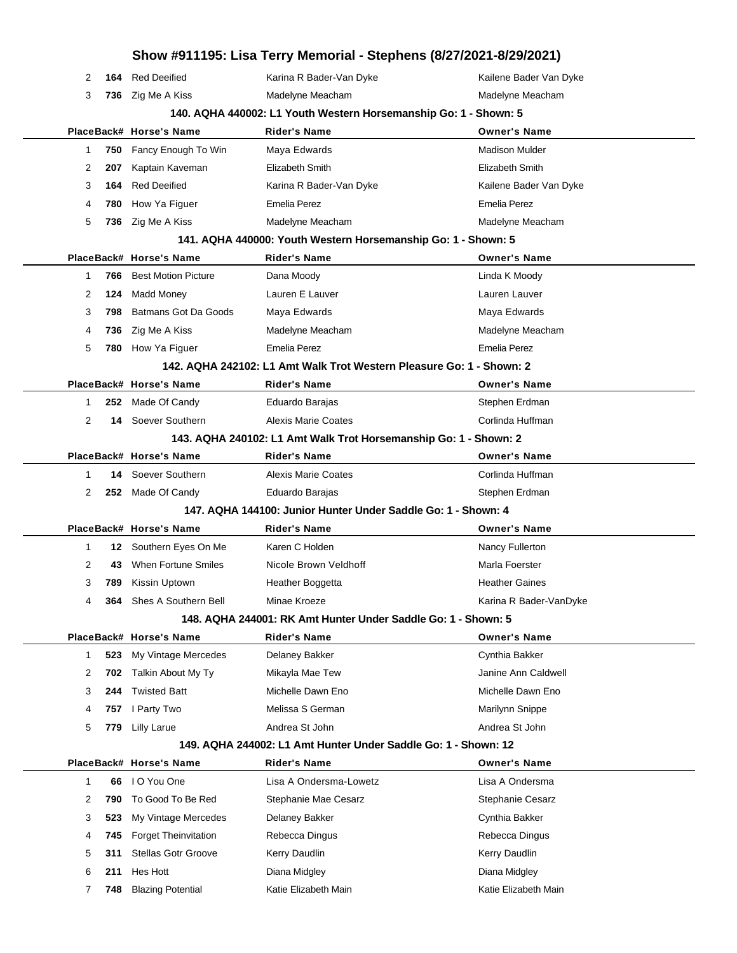|              |            |                                           | Show #911195: Lisa Terry Memorial - Stephens (8/27/2021-8/29/2021)   |                                       |
|--------------|------------|-------------------------------------------|----------------------------------------------------------------------|---------------------------------------|
| 2            | 164        | <b>Red Deeified</b>                       | Karina R Bader-Van Dyke                                              | Kailene Bader Van Dyke                |
| 3            |            | 736 Zig Me A Kiss                         | Madelyne Meacham                                                     | Madelyne Meacham                      |
|              |            |                                           | 140. AQHA 440002: L1 Youth Western Horsemanship Go: 1 - Shown: 5     |                                       |
|              |            | PlaceBack# Horse's Name                   | <b>Rider's Name</b>                                                  | <b>Owner's Name</b>                   |
| 1            | 750        | Fancy Enough To Win                       | Maya Edwards                                                         | <b>Madison Mulder</b>                 |
| 2            | 207        | Kaptain Kaveman                           | Elizabeth Smith                                                      | Elizabeth Smith                       |
| 3            | 164        | <b>Red Deeified</b>                       | Karina R Bader-Van Dyke                                              | Kailene Bader Van Dyke                |
| 4            | 780        | How Ya Figuer                             | <b>Emelia Perez</b>                                                  | <b>Emelia Perez</b>                   |
| 5            | 736        | Zig Me A Kiss                             | Madelyne Meacham                                                     | Madelyne Meacham                      |
|              |            |                                           | 141. AQHA 440000: Youth Western Horsemanship Go: 1 - Shown: 5        |                                       |
|              |            | PlaceBack# Horse's Name                   | <b>Rider's Name</b>                                                  | <b>Owner's Name</b>                   |
| 1            | 766        | <b>Best Motion Picture</b>                | Dana Moody                                                           | Linda K Moody                         |
| 2            | 124        | <b>Madd Money</b>                         | Lauren E Lauver                                                      | Lauren Lauver                         |
| 3            | 798        | Batmans Got Da Goods                      | Maya Edwards                                                         | Maya Edwards                          |
| 4            | 736        | Zig Me A Kiss                             | Madelyne Meacham                                                     | Madelyne Meacham                      |
| 5            |            | 780 How Ya Figuer                         | <b>Emelia Perez</b>                                                  | <b>Emelia Perez</b>                   |
|              |            |                                           | 142. AQHA 242102: L1 Amt Walk Trot Western Pleasure Go: 1 - Shown: 2 |                                       |
|              |            | PlaceBack# Horse's Name                   | Rider's Name                                                         | <b>Owner's Name</b>                   |
| 1            | 252        | Made Of Candy                             | Eduardo Barajas                                                      | Stephen Erdman                        |
| 2            |            | 14 Soever Southern                        | Alexis Marie Coates                                                  | Corlinda Huffman                      |
|              |            |                                           | 143. AQHA 240102: L1 Amt Walk Trot Horsemanship Go: 1 - Shown: 2     |                                       |
|              |            | PlaceBack# Horse's Name                   | <b>Rider's Name</b>                                                  | <b>Owner's Name</b>                   |
| $\mathbf{1}$ | 14         | Soever Southern                           | Alexis Marie Coates                                                  | Corlinda Huffman                      |
| 2            |            | 252 Made Of Candy                         | Eduardo Barajas                                                      | Stephen Erdman                        |
|              |            |                                           | 147. AQHA 144100: Junior Hunter Under Saddle Go: 1 - Shown: 4        |                                       |
|              |            | PlaceBack# Horse's Name                   | Rider's Name                                                         | <b>Owner's Name</b>                   |
| $\mathbf{1}$ | 12         | Southern Eyes On Me                       | Karen C Holden                                                       | Nancy Fullerton                       |
| 2            | 43         | <b>When Fortune Smiles</b>                | Nicole Brown Veldhoff                                                | Marla Foerster                        |
| 3            | 789        | Kissin Uptown                             | Heather Boggetta                                                     | <b>Heather Gaines</b>                 |
| 4            | 364        | Shes A Southern Bell                      | Minae Kroeze                                                         | Karina R Bader-VanDyke                |
|              |            |                                           | 148. AQHA 244001: RK Amt Hunter Under Saddle Go: 1 - Shown: 5        |                                       |
|              |            | PlaceBack# Horse's Name                   | Rider's Name                                                         | <b>Owner's Name</b>                   |
| $\mathbf{1}$ | 523<br>702 | My Vintage Mercedes                       | Delaney Bakker<br>Mikayla Mae Tew                                    | Cynthia Bakker<br>Janine Ann Caldwell |
| 2<br>3       | 244        | Talkin About My Ty<br><b>Twisted Batt</b> | Michelle Dawn Eno                                                    | Michelle Dawn Eno                     |
| 4            | 757        | I Party Two                               | Melissa S German                                                     | Marilynn Snippe                       |
| 5            | 779        | <b>Lilly Larue</b>                        | Andrea St John                                                       | Andrea St John                        |
|              |            |                                           | 149. AQHA 244002: L1 Amt Hunter Under Saddle Go: 1 - Shown: 12       |                                       |
|              |            | PlaceBack# Horse's Name                   | <b>Rider's Name</b>                                                  | <b>Owner's Name</b>                   |
| $\mathbf{1}$ | 66         | I O You One                               | Lisa A Ondersma-Lowetz                                               | Lisa A Ondersma                       |
| 2            | 790        | To Good To Be Red                         | Stephanie Mae Cesarz                                                 | Stephanie Cesarz                      |
| 3            | 523        | My Vintage Mercedes                       | Delaney Bakker                                                       | Cynthia Bakker                        |
| 4            | 745        | Forget Theinvitation                      | Rebecca Dingus                                                       | Rebecca Dingus                        |
| 5            | 311        | <b>Stellas Gotr Groove</b>                | Kerry Daudlin                                                        | Kerry Daudlin                         |
| 6            | 211        | Hes Hott                                  | Diana Midgley                                                        | Diana Midgley                         |
| 7            | 748        | <b>Blazing Potential</b>                  | Katie Elizabeth Main                                                 | Katie Elizabeth Main                  |
|              |            |                                           |                                                                      |                                       |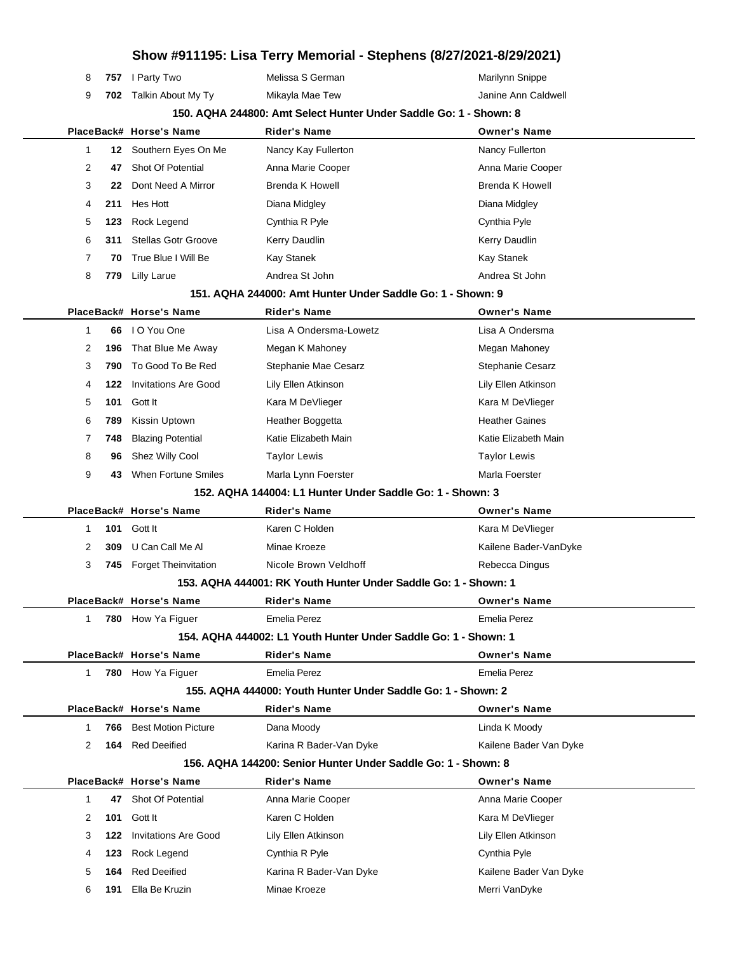| 8                                                                 |     | 757 I Party Two             | Melissa S German                                                | Marilynn Snippe        |  |
|-------------------------------------------------------------------|-----|-----------------------------|-----------------------------------------------------------------|------------------------|--|
| 9                                                                 |     | 702 Talkin About My Ty      | Mikayla Mae Tew                                                 | Janine Ann Caldwell    |  |
| 150. AQHA 244800: Amt Select Hunter Under Saddle Go: 1 - Shown: 8 |     |                             |                                                                 |                        |  |
|                                                                   |     | PlaceBack# Horse's Name     | <b>Rider's Name</b>                                             | <b>Owner's Name</b>    |  |
| 1                                                                 | 12  | Southern Eyes On Me         | Nancy Kay Fullerton                                             | Nancy Fullerton        |  |
| 2                                                                 | 47  | Shot Of Potential           | Anna Marie Cooper                                               | Anna Marie Cooper      |  |
| 3                                                                 | 22  | Dont Need A Mirror          | <b>Brenda K Howell</b>                                          | <b>Brenda K Howell</b> |  |
| 4                                                                 | 211 | Hes Hott                    | Diana Midgley                                                   | Diana Midgley          |  |
| 5                                                                 | 123 | Rock Legend                 | Cynthia R Pyle                                                  | Cynthia Pyle           |  |
| 6                                                                 | 311 | <b>Stellas Gotr Groove</b>  | Kerry Daudlin                                                   | Kerry Daudlin          |  |
| 7                                                                 | 70  | True Blue I Will Be         | Kay Stanek                                                      | <b>Kay Stanek</b>      |  |
| 8                                                                 | 779 | <b>Lilly Larue</b>          | Andrea St John                                                  | Andrea St John         |  |
|                                                                   |     |                             | 151, AQHA 244000: Amt Hunter Under Saddle Go: 1 - Shown: 9      |                        |  |
|                                                                   |     | PlaceBack# Horse's Name     | <b>Rider's Name</b>                                             | <b>Owner's Name</b>    |  |
| 1                                                                 | 66  | I O You One                 | Lisa A Ondersma-Lowetz                                          | Lisa A Ondersma        |  |
| 2                                                                 | 196 | That Blue Me Away           | Megan K Mahoney                                                 | Megan Mahoney          |  |
| 3                                                                 | 790 | To Good To Be Red           | Stephanie Mae Cesarz                                            | Stephanie Cesarz       |  |
| 4                                                                 | 122 | <b>Invitations Are Good</b> | Lily Ellen Atkinson                                             | Lily Ellen Atkinson    |  |
| 5                                                                 | 101 | Gott It                     | Kara M DeVlieger                                                | Kara M DeVlieger       |  |
| 6                                                                 | 789 | Kissin Uptown               | Heather Boggetta                                                | <b>Heather Gaines</b>  |  |
| 7                                                                 | 748 | <b>Blazing Potential</b>    | Katie Elizabeth Main                                            | Katie Elizabeth Main   |  |
| 8                                                                 | 96  | Shez Willy Cool             | <b>Taylor Lewis</b>                                             | <b>Taylor Lewis</b>    |  |
| 9                                                                 | 43  | When Fortune Smiles         | Marla Lynn Foerster                                             | Marla Foerster         |  |
|                                                                   |     |                             | 152. AQHA 144004: L1 Hunter Under Saddle Go: 1 - Shown: 3       |                        |  |
|                                                                   |     | PlaceBack# Horse's Name     | Rider's Name                                                    | <b>Owner's Name</b>    |  |
| 1                                                                 | 101 | Gott It                     | Karen C Holden                                                  | Kara M DeVlieger       |  |
| 2                                                                 | 309 | U Can Call Me Al            | Minae Kroeze                                                    | Kailene Bader-VanDyke  |  |
| 3                                                                 | 745 | <b>Forget Theinvitation</b> | Nicole Brown Veldhoff                                           | Rebecca Dingus         |  |
|                                                                   |     |                             | 153. AQHA 444001: RK Youth Hunter Under Saddle Go: 1 - Shown: 1 |                        |  |
|                                                                   |     | PlaceBack# Horse's Name     | Rider's Name                                                    | <b>Owner's Name</b>    |  |
| 1                                                                 |     | 780 How Ya Figuer           | <b>Emelia Perez</b>                                             | <b>Emelia Perez</b>    |  |
|                                                                   |     |                             | 154, AQHA 444002: L1 Youth Hunter Under Saddle Go: 1 - Shown: 1 |                        |  |
|                                                                   |     | PlaceBack# Horse's Name     | <b>Rider's Name</b>                                             | <b>Owner's Name</b>    |  |
| $\mathbf{1}$                                                      |     | 780 How Ya Figuer           | <b>Emelia Perez</b>                                             | <b>Emelia Perez</b>    |  |
|                                                                   |     |                             | 155. AQHA 444000: Youth Hunter Under Saddle Go: 1 - Shown: 2    |                        |  |
|                                                                   |     | PlaceBack# Horse's Name     | <b>Rider's Name</b>                                             | <b>Owner's Name</b>    |  |
| 1                                                                 | 766 | <b>Best Motion Picture</b>  | Dana Moody                                                      | Linda K Moody          |  |
| 2                                                                 | 164 | <b>Red Deeified</b>         | Karina R Bader-Van Dyke                                         | Kailene Bader Van Dyke |  |
|                                                                   |     |                             | 156, AQHA 144200: Senior Hunter Under Saddle Go: 1 - Shown: 8   |                        |  |
|                                                                   |     | PlaceBack# Horse's Name     | <b>Rider's Name</b>                                             | <b>Owner's Name</b>    |  |
| 1                                                                 | 47  | Shot Of Potential           | Anna Marie Cooper                                               | Anna Marie Cooper      |  |
| 2                                                                 | 101 | Gott It                     | Karen C Holden                                                  | Kara M DeVlieger       |  |
| 3                                                                 | 122 | <b>Invitations Are Good</b> | Lily Ellen Atkinson                                             | Lily Ellen Atkinson    |  |
| 4                                                                 | 123 | Rock Legend                 | Cynthia R Pyle                                                  | Cynthia Pyle           |  |
| 5                                                                 | 164 | <b>Red Deeified</b>         | Karina R Bader-Van Dyke                                         | Kailene Bader Van Dyke |  |
| 6                                                                 | 191 | Ella Be Kruzin              | Minae Kroeze                                                    | Merri VanDyke          |  |
|                                                                   |     |                             |                                                                 |                        |  |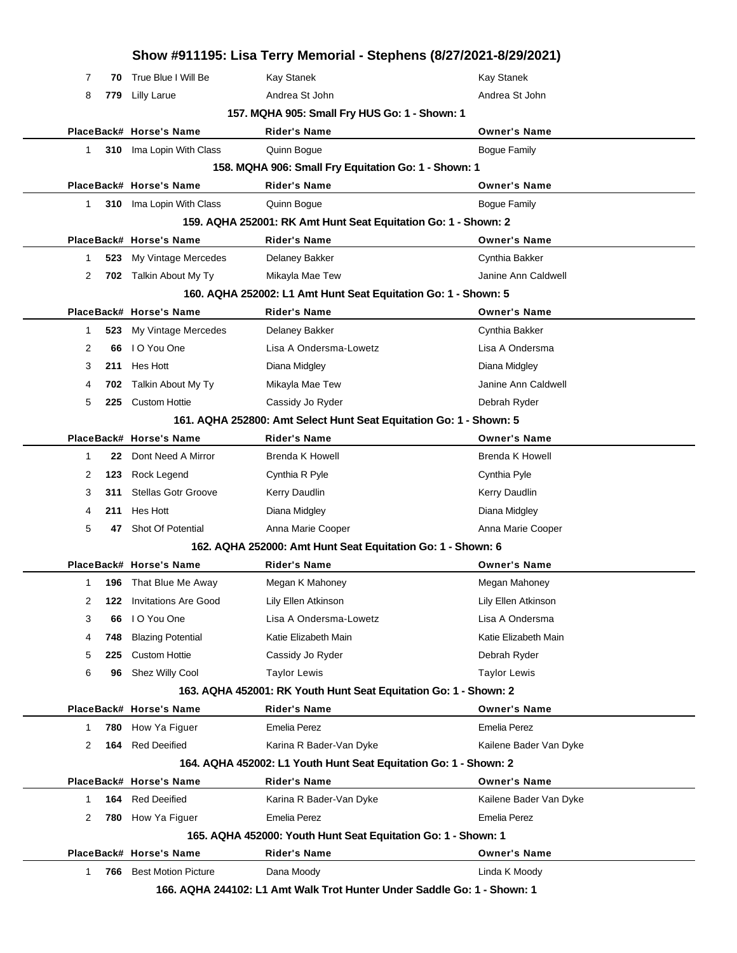|              |     |                            | Show #911195: Lisa Terry Memorial - Stephens (8/27/2021-8/29/2021) |                        |
|--------------|-----|----------------------------|--------------------------------------------------------------------|------------------------|
| 7            | 70  | True Blue I Will Be        | Kay Stanek                                                         | Kay Stanek             |
| 8            | 779 | <b>Lilly Larue</b>         | Andrea St John                                                     | Andrea St John         |
|              |     |                            | 157. MQHA 905: Small Fry HUS Go: 1 - Shown: 1                      |                        |
|              |     | PlaceBack# Horse's Name    | <b>Rider's Name</b>                                                | <b>Owner's Name</b>    |
| $\mathbf 1$  |     | 310 Ima Lopin With Class   | Quinn Bogue                                                        | <b>Bogue Family</b>    |
|              |     |                            | 158. MQHA 906: Small Fry Equitation Go: 1 - Shown: 1               |                        |
|              |     | PlaceBack# Horse's Name    | <b>Rider's Name</b>                                                | <b>Owner's Name</b>    |
| $\mathbf{1}$ |     | 310 Ima Lopin With Class   | Quinn Bogue                                                        | <b>Bogue Family</b>    |
|              |     |                            | 159. AQHA 252001: RK Amt Hunt Seat Equitation Go: 1 - Shown: 2     |                        |
|              |     | PlaceBack# Horse's Name    | <b>Rider's Name</b>                                                | <b>Owner's Name</b>    |
| 1            | 523 | My Vintage Mercedes        | Delaney Bakker                                                     | Cynthia Bakker         |
| 2            |     | 702 Talkin About My Ty     | Mikayla Mae Tew                                                    | Janine Ann Caldwell    |
|              |     |                            | 160. AQHA 252002: L1 Amt Hunt Seat Equitation Go: 1 - Shown: 5     |                        |
|              |     | PlaceBack# Horse's Name    | <b>Rider's Name</b>                                                | <b>Owner's Name</b>    |
| 1            | 523 | My Vintage Mercedes        | Delaney Bakker                                                     | Cynthia Bakker         |
| 2            | 66  | I O You One                | Lisa A Ondersma-Lowetz                                             | Lisa A Ondersma        |
| 3            | 211 | Hes Hott                   | Diana Midgley                                                      | Diana Midgley          |
| 4            | 702 | Talkin About My Ty         | Mikayla Mae Tew                                                    | Janine Ann Caldwell    |
| 5            | 225 | <b>Custom Hottie</b>       | Cassidy Jo Ryder                                                   | Debrah Ryder           |
|              |     |                            | 161. AQHA 252800: Amt Select Hunt Seat Equitation Go: 1 - Shown: 5 |                        |
|              |     | PlaceBack# Horse's Name    | <b>Rider's Name</b>                                                | <b>Owner's Name</b>    |
| 1            | 22  | Dont Need A Mirror         | Brenda K Howell                                                    | <b>Brenda K Howell</b> |
| 2            | 123 | Rock Legend                | Cynthia R Pyle                                                     | Cynthia Pyle           |
| 3            | 311 | <b>Stellas Gotr Groove</b> | Kerry Daudlin                                                      | Kerry Daudlin          |
| 4            | 211 | Hes Hott                   | Diana Midgley                                                      | Diana Midgley          |
| 5            | 47  | <b>Shot Of Potential</b>   | Anna Marie Cooper                                                  | Anna Marie Cooper      |
|              |     |                            | 162. AQHA 252000: Amt Hunt Seat Equitation Go: 1 - Shown: 6        |                        |
|              |     | PlaceBack# Horse's Name    | <b>Rider's Name</b>                                                | <b>Owner's Name</b>    |
| 1            |     | 196 That Blue Me Away      | Megan K Mahoney                                                    | Megan Mahoney          |
| 2            | 122 | Invitations Are Good       | Lily Ellen Atkinson                                                | Lily Ellen Atkinson    |
| 3            | 66  | I O You One                | Lisa A Ondersma-Lowetz                                             | Lisa A Ondersma        |
|              | 748 | <b>Blazing Potential</b>   | Katie Elizabeth Main                                               | Katie Elizabeth Main   |
| 4            |     |                            | Cassidy Jo Ryder                                                   | Debrah Ryder           |
| 5            | 225 | <b>Custom Hottie</b>       |                                                                    |                        |
| 6            | 96  | Shez Willy Cool            | <b>Taylor Lewis</b>                                                | <b>Taylor Lewis</b>    |
|              |     |                            | 163. AQHA 452001: RK Youth Hunt Seat Equitation Go: 1 - Shown: 2   |                        |
|              |     | PlaceBack# Horse's Name    | <b>Rider's Name</b>                                                | <b>Owner's Name</b>    |
| 1            |     | 780 How Ya Figuer          | <b>Emelia Perez</b>                                                | Emelia Perez           |
| 2            | 164 | <b>Red Deeified</b>        | Karina R Bader-Van Dyke                                            | Kailene Bader Van Dyke |
|              |     |                            | 164. AQHA 452002: L1 Youth Hunt Seat Equitation Go: 1 - Shown: 2   |                        |
|              |     | PlaceBack# Horse's Name    | <b>Rider's Name</b>                                                | <b>Owner's Name</b>    |
| 1            |     | 164 Red Deeified           | Karina R Bader-Van Dyke                                            | Kailene Bader Van Dyke |
| 2            |     | 780 How Ya Figuer          | <b>Emelia Perez</b>                                                | Emelia Perez           |
|              |     |                            | 165. AQHA 452000: Youth Hunt Seat Equitation Go: 1 - Shown: 1      |                        |
|              |     | PlaceBack# Horse's Name    | <b>Rider's Name</b>                                                | <b>Owner's Name</b>    |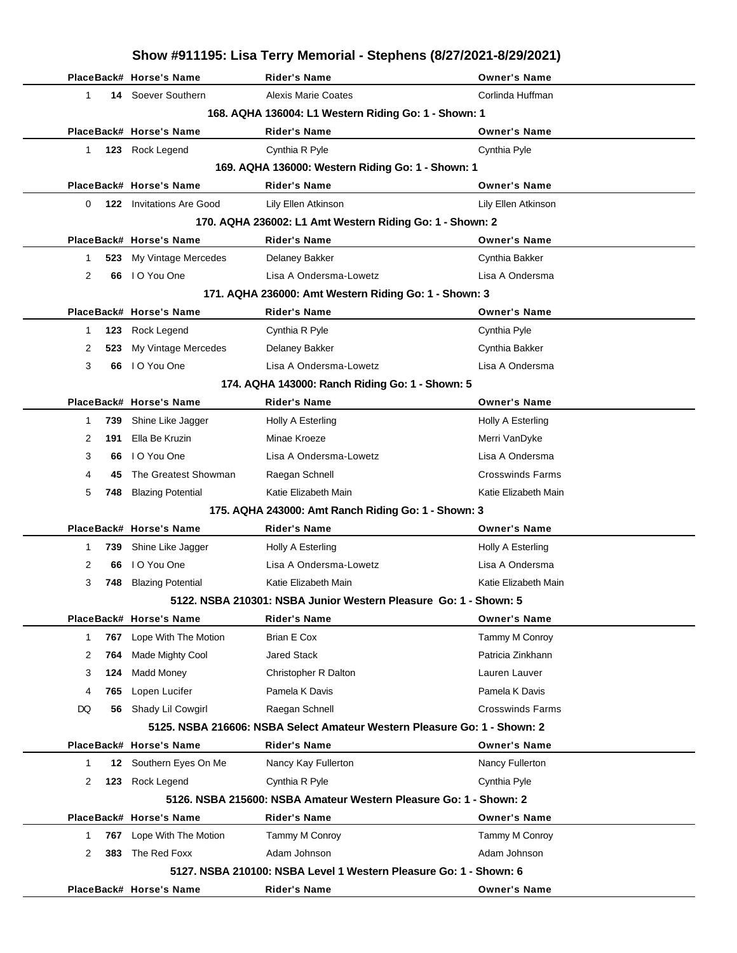|             |                                 | Show #911195: Lisa Terry Memorial - Stephens (8/27/2021-8/29/2021)       |                         |
|-------------|---------------------------------|--------------------------------------------------------------------------|-------------------------|
|             | PlaceBack# Horse's Name         | <b>Rider's Name</b>                                                      | <b>Owner's Name</b>     |
| 1           | 14 Soever Southern              | Alexis Marie Coates                                                      | Corlinda Huffman        |
|             |                                 | 168. AQHA 136004: L1 Western Riding Go: 1 - Shown: 1                     |                         |
|             | PlaceBack# Horse's Name         | <b>Rider's Name</b>                                                      | <b>Owner's Name</b>     |
| $\mathbf 1$ | 123 Rock Legend                 | Cynthia R Pyle                                                           | Cynthia Pyle            |
|             |                                 | 169. AQHA 136000: Western Riding Go: 1 - Shown: 1                        |                         |
|             | PlaceBack# Horse's Name         | <b>Rider's Name</b>                                                      | <b>Owner's Name</b>     |
| 0           | <b>122</b> Invitations Are Good | Lily Ellen Atkinson                                                      | Lily Ellen Atkinson     |
|             |                                 | 170. AQHA 236002: L1 Amt Western Riding Go: 1 - Shown: 2                 |                         |
|             | PlaceBack# Horse's Name         | <b>Rider's Name</b>                                                      | <b>Owner's Name</b>     |
| 523<br>1    | My Vintage Mercedes             | Delaney Bakker                                                           | Cynthia Bakker          |
| 2           | 66 IO You One                   | Lisa A Ondersma-Lowetz                                                   | Lisa A Ondersma         |
|             |                                 | 171. AQHA 236000: Amt Western Riding Go: 1 - Shown: 3                    |                         |
|             | PlaceBack# Horse's Name         | <b>Rider's Name</b>                                                      | <b>Owner's Name</b>     |
| 123<br>1    | Rock Legend                     | Cynthia R Pyle                                                           | Cynthia Pyle            |
| 2<br>523    | My Vintage Mercedes             | Delaney Bakker                                                           | Cynthia Bakker          |
| 3<br>66     | I O You One                     | Lisa A Ondersma-Lowetz                                                   | Lisa A Ondersma         |
|             |                                 | 174. AQHA 143000: Ranch Riding Go: 1 - Shown: 5                          |                         |
|             | PlaceBack# Horse's Name         | <b>Rider's Name</b>                                                      | <b>Owner's Name</b>     |
| 739<br>1    | Shine Like Jagger               | Holly A Esterling                                                        | Holly A Esterling       |
| 2<br>191    | Ella Be Kruzin                  | Minae Kroeze                                                             | Merri VanDyke           |
| 3<br>66     | I O You One                     | Lisa A Ondersma-Lowetz                                                   | Lisa A Ondersma         |
| 4<br>45     | The Greatest Showman            | Raegan Schnell                                                           | <b>Crosswinds Farms</b> |
| 5<br>748    | <b>Blazing Potential</b>        | Katie Elizabeth Main                                                     | Katie Elizabeth Main    |
|             |                                 | 175. AQHA 243000: Amt Ranch Riding Go: 1 - Shown: 3                      |                         |
|             | PlaceBack# Horse's Name         | <b>Rider's Name</b>                                                      | <b>Owner's Name</b>     |
| 1<br>739    | Shine Like Jagger               | Holly A Esterling                                                        | Holly A Esterling       |
| 2<br>66     | I O You One                     | Lisa A Ondersma-Lowetz                                                   | Lisa A Ondersma         |
| 3<br>748    | <b>Blazing Potential</b>        | Katie Elizabeth Main                                                     | Katie Elizabeth Main    |
|             |                                 | 5122. NSBA 210301: NSBA Junior Western Pleasure Go: 1 - Shown: 5         |                         |
|             | PlaceBack# Horse's Name         | <b>Rider's Name</b>                                                      | <b>Owner's Name</b>     |
| 1<br>767    | Lope With The Motion            | Brian E Cox                                                              | Tammy M Conroy          |
| 2<br>764    | Made Mighty Cool                | <b>Jared Stack</b>                                                       | Patricia Zinkhann       |
| 3<br>124    | Madd Money                      | Christopher R Dalton                                                     | Lauren Lauver           |
| 4<br>765    | Lopen Lucifer                   | Pamela K Davis                                                           | Pamela K Davis          |
| DQ<br>56    | Shady Lil Cowgirl               | Raegan Schnell                                                           | <b>Crosswinds Farms</b> |
|             |                                 | 5125. NSBA 216606: NSBA Select Amateur Western Pleasure Go: 1 - Shown: 2 |                         |
|             | PlaceBack# Horse's Name         | <b>Rider's Name</b>                                                      | <b>Owner's Name</b>     |
| 1<br>12     | Southern Eyes On Me             | Nancy Kay Fullerton                                                      | Nancy Fullerton         |
| 2<br>123    | Rock Legend                     | Cynthia R Pyle                                                           | Cynthia Pyle            |
|             |                                 | 5126. NSBA 215600: NSBA Amateur Western Pleasure Go: 1 - Shown: 2        |                         |
|             | PlaceBack# Horse's Name         | <b>Rider's Name</b>                                                      | <b>Owner's Name</b>     |
| 767<br>1    | Lope With The Motion            | Tammy M Conroy                                                           | Tammy M Conroy          |
| 2<br>383    | The Red Foxx                    | Adam Johnson                                                             | Adam Johnson            |
|             |                                 | 5127, NSBA 210100: NSBA Level 1 Western Pleasure Go: 1 - Shown: 6        |                         |
|             | PlaceBack# Horse's Name         | Rider's Name                                                             | <b>Owner's Name</b>     |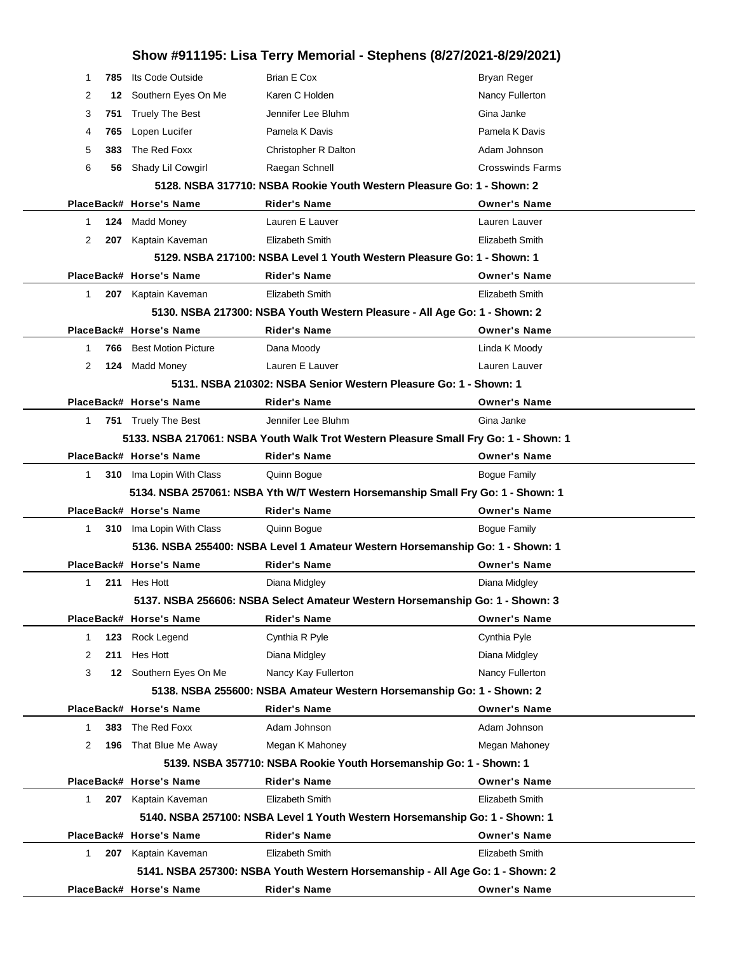|              |     |                            | Show #911195: Lisa Terry Memorial - Stephens (8/27/2021-8/29/2021)                  |                         |
|--------------|-----|----------------------------|-------------------------------------------------------------------------------------|-------------------------|
| -1           | 785 | Its Code Outside           | <b>Brian E Cox</b>                                                                  | <b>Bryan Reger</b>      |
| 2            | 12  | Southern Eyes On Me        | Karen C Holden                                                                      | Nancy Fullerton         |
| 3            | 751 | <b>Truely The Best</b>     | Jennifer Lee Bluhm                                                                  | Gina Janke              |
| 4            | 765 | Lopen Lucifer              | Pamela K Davis                                                                      | Pamela K Davis          |
| 5            | 383 | The Red Foxx               | Christopher R Dalton                                                                | Adam Johnson            |
| 6            | 56  | Shady Lil Cowgirl          | Raegan Schnell                                                                      | <b>Crosswinds Farms</b> |
|              |     |                            | 5128. NSBA 317710: NSBA Rookie Youth Western Pleasure Go: 1 - Shown: 2              |                         |
|              |     | PlaceBack# Horse's Name    | <b>Rider's Name</b>                                                                 | <b>Owner's Name</b>     |
| 1            | 124 | <b>Madd Money</b>          | Lauren E Lauver                                                                     | Lauren Lauver           |
| 2            | 207 | Kaptain Kaveman            | Elizabeth Smith                                                                     | <b>Elizabeth Smith</b>  |
|              |     |                            | 5129. NSBA 217100: NSBA Level 1 Youth Western Pleasure Go: 1 - Shown: 1             |                         |
|              |     | PlaceBack# Horse's Name    | <b>Rider's Name</b>                                                                 | <b>Owner's Name</b>     |
| $\mathbf{1}$ | 207 | Kaptain Kaveman            | Elizabeth Smith                                                                     | Elizabeth Smith         |
|              |     |                            | 5130. NSBA 217300: NSBA Youth Western Pleasure - All Age Go: 1 - Shown: 2           |                         |
|              |     | PlaceBack# Horse's Name    | <b>Rider's Name</b>                                                                 | <b>Owner's Name</b>     |
| 1            | 766 | <b>Best Motion Picture</b> | Dana Moody                                                                          | Linda K Moody           |
| 2            | 124 | <b>Madd Money</b>          | Lauren E Lauver                                                                     | Lauren Lauver           |
|              |     |                            | 5131. NSBA 210302: NSBA Senior Western Pleasure Go: 1 - Shown: 1                    |                         |
|              |     | PlaceBack# Horse's Name    | <b>Rider's Name</b>                                                                 | <b>Owner's Name</b>     |
| 1            |     | 751 Truely The Best        | Jennifer Lee Bluhm                                                                  | Gina Janke              |
|              |     |                            | 5133. NSBA 217061: NSBA Youth Walk Trot Western Pleasure Small Fry Go: 1 - Shown: 1 |                         |
|              |     | PlaceBack# Horse's Name    | <b>Rider's Name</b>                                                                 | <b>Owner's Name</b>     |
| $\mathbf{1}$ |     | 310 Ima Lopin With Class   | Quinn Bogue                                                                         | <b>Bogue Family</b>     |
|              |     |                            | 5134. NSBA 257061: NSBA Yth W/T Western Horsemanship Small Fry Go: 1 - Shown: 1     |                         |
|              |     | PlaceBack# Horse's Name    | <b>Rider's Name</b>                                                                 | <b>Owner's Name</b>     |
| $\mathbf{1}$ |     | 310 Ima Lopin With Class   | Quinn Boque                                                                         | <b>Boque Family</b>     |
|              |     |                            | 5136. NSBA 255400: NSBA Level 1 Amateur Western Horsemanship Go: 1 - Shown: 1       |                         |
|              |     | PlaceBack# Horse's Name    | <b>Rider's Name</b>                                                                 | <b>Owner's Name</b>     |
|              |     | 211 Hes Hott               | Diana Midgley                                                                       | Diana Midgley           |
|              |     |                            | 5137. NSBA 256606: NSBA Select Amateur Western Horsemanship Go: 1 - Shown: 3        |                         |
|              |     | PlaceBack# Horse's Name    | <b>Rider's Name</b>                                                                 | <b>Owner's Name</b>     |
| 1            | 123 | Rock Legend                | Cynthia R Pyle                                                                      | Cynthia Pyle            |
| 2            | 211 | Hes Hott                   | Diana Midgley                                                                       | Diana Midgley           |
| 3            |     | 12 Southern Eyes On Me     | Nancy Kay Fullerton                                                                 | Nancy Fullerton         |
|              |     |                            | 5138. NSBA 255600: NSBA Amateur Western Horsemanship Go: 1 - Shown: 2               |                         |
|              |     | PlaceBack# Horse's Name    | <b>Rider's Name</b>                                                                 | <b>Owner's Name</b>     |
| $\mathbf{1}$ | 383 | The Red Foxx               | Adam Johnson                                                                        | Adam Johnson            |
| 2            | 196 | That Blue Me Away          | Megan K Mahoney                                                                     | Megan Mahoney           |
|              |     |                            | 5139. NSBA 357710: NSBA Rookie Youth Horsemanship Go: 1 - Shown: 1                  |                         |
|              |     | PlaceBack# Horse's Name    | <b>Rider's Name</b>                                                                 | <b>Owner's Name</b>     |
| $\mathbf{1}$ |     | 207 Kaptain Kaveman        | Elizabeth Smith                                                                     | Elizabeth Smith         |
|              |     |                            | 5140. NSBA 257100: NSBA Level 1 Youth Western Horsemanship Go: 1 - Shown: 1         |                         |
|              |     | PlaceBack# Horse's Name    | <b>Rider's Name</b>                                                                 | <b>Owner's Name</b>     |
| 1            |     | 207 Kaptain Kaveman        | Elizabeth Smith                                                                     | Elizabeth Smith         |
|              |     |                            | 5141. NSBA 257300: NSBA Youth Western Horsemanship - All Age Go: 1 - Shown: 2       |                         |
|              |     | PlaceBack# Horse's Name    | <b>Rider's Name</b>                                                                 | <b>Owner's Name</b>     |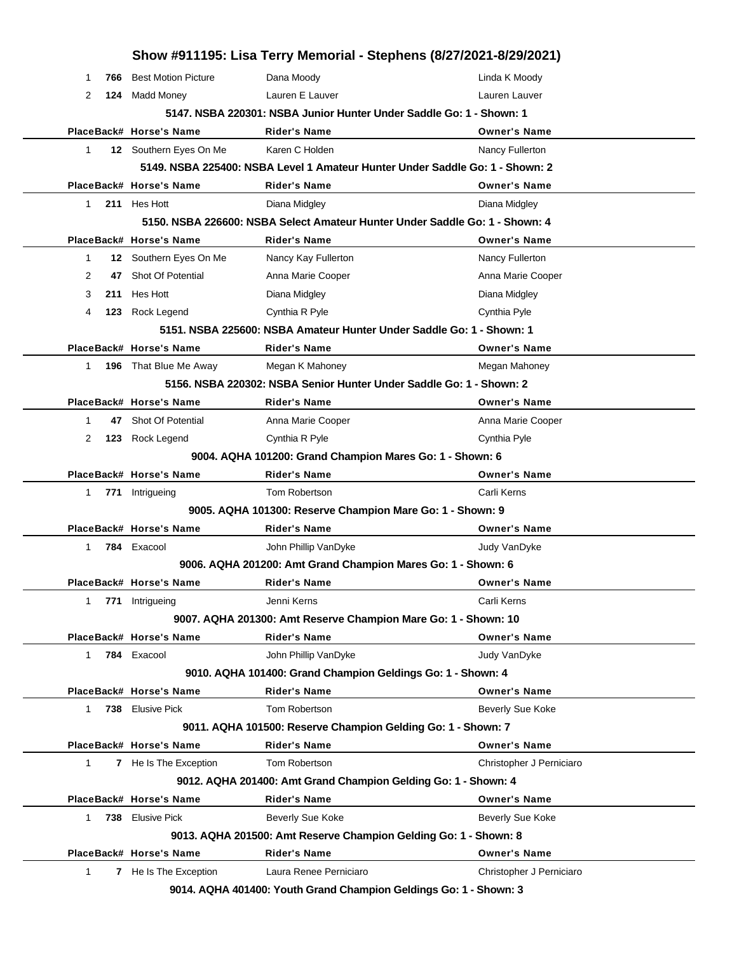|                     |                              | Show #911195: Lisa Terry Memorial - Stephens (8/27/2021-8/29/2021)           |                          |
|---------------------|------------------------------|------------------------------------------------------------------------------|--------------------------|
| 1<br>766            | <b>Best Motion Picture</b>   | Dana Moody                                                                   | Linda K Moody            |
| 2<br>124            | Madd Money                   | Lauren E Lauver                                                              | Lauren Lauver            |
|                     |                              | 5147. NSBA 220301: NSBA Junior Hunter Under Saddle Go: 1 - Shown: 1          |                          |
|                     | PlaceBack# Horse's Name      | Rider's Name                                                                 | <b>Owner's Name</b>      |
| 1                   | 12 Southern Eyes On Me       | Karen C Holden                                                               | Nancy Fullerton          |
|                     |                              | 5149. NSBA 225400: NSBA Level 1 Amateur Hunter Under Saddle Go: 1 - Shown: 2 |                          |
|                     | PlaceBack# Horse's Name      | Rider's Name                                                                 | <b>Owner's Name</b>      |
| $\mathbf 1$         | 211 Hes Hott                 | Diana Midgley                                                                | Diana Midgley            |
|                     |                              | 5150. NSBA 226600: NSBA Select Amateur Hunter Under Saddle Go: 1 - Shown: 4  |                          |
|                     | PlaceBack# Horse's Name      | <b>Rider's Name</b>                                                          | <b>Owner's Name</b>      |
| 1                   | 12 Southern Eyes On Me       | Nancy Kay Fullerton                                                          | Nancy Fullerton          |
| 2<br>47             | Shot Of Potential            | Anna Marie Cooper                                                            | Anna Marie Cooper        |
| 3<br>211            | Hes Hott                     | Diana Midgley                                                                | Diana Midgley            |
| 4<br>123            | Rock Legend                  | Cynthia R Pyle                                                               | Cynthia Pyle             |
|                     |                              | 5151. NSBA 225600: NSBA Amateur Hunter Under Saddle Go: 1 - Shown: 1         |                          |
|                     | PlaceBack# Horse's Name      | Rider's Name                                                                 | <b>Owner's Name</b>      |
| 1                   | 196 That Blue Me Away        | Megan K Mahoney                                                              | Megan Mahoney            |
|                     |                              | 5156. NSBA 220302: NSBA Senior Hunter Under Saddle Go: 1 - Shown: 2          |                          |
|                     | PlaceBack# Horse's Name      | Rider's Name                                                                 | <b>Owner's Name</b>      |
| 1<br>47             | Shot Of Potential            | Anna Marie Cooper                                                            | Anna Marie Cooper        |
| 2<br>123            | Rock Legend                  | Cynthia R Pyle                                                               | Cynthia Pyle             |
|                     |                              | 9004. AQHA 101200: Grand Champion Mares Go: 1 - Shown: 6                     |                          |
|                     | PlaceBack# Horse's Name      | Rider's Name                                                                 | <b>Owner's Name</b>      |
| $\mathbf{1}$<br>771 | Intrigueing                  | Tom Robertson                                                                | Carli Kerns              |
|                     |                              | 9005. AQHA 101300: Reserve Champion Mare Go: 1 - Shown: 9                    |                          |
|                     | PlaceBack# Horse's Name      | <b>Rider's Name</b>                                                          | <b>Owner's Name</b>      |
| 1                   | 784 Exacool                  | John Phillip VanDyke                                                         | Judy VanDyke             |
|                     |                              | 9006. AQHA 201200: Amt Grand Champion Mares Go: 1 - Shown: 6                 |                          |
|                     | PlaceBack# Horse's Name      | Rider's Name                                                                 | <b>Owner's Name</b>      |
| 1<br>771            | Intrigueing                  | Jenni Kerns                                                                  | Carli Kerns              |
|                     |                              | 9007. AQHA 201300: Amt Reserve Champion Mare Go: 1 - Shown: 10               |                          |
|                     | PlaceBack# Horse's Name      | <b>Rider's Name</b>                                                          | <b>Owner's Name</b>      |
| 1                   | 784 Exacool                  | John Phillip VanDyke                                                         | Judy VanDyke             |
|                     |                              | 9010. AQHA 101400: Grand Champion Geldings Go: 1 - Shown: 4                  |                          |
|                     | PlaceBack# Horse's Name      | <b>Rider's Name</b>                                                          | <b>Owner's Name</b>      |
| 1                   | 738 Elusive Pick             | Tom Robertson                                                                | Beverly Sue Koke         |
|                     |                              | 9011. AQHA 101500: Reserve Champion Gelding Go: 1 - Shown: 7                 |                          |
|                     | PlaceBack# Horse's Name      | <b>Rider's Name</b>                                                          | <b>Owner's Name</b>      |
| 1                   | 7 He Is The Exception        | Tom Robertson                                                                | Christopher J Perniciaro |
|                     |                              | 9012. AQHA 201400: Amt Grand Champion Gelding Go: 1 - Shown: 4               |                          |
|                     | PlaceBack# Horse's Name      | <b>Rider's Name</b>                                                          | <b>Owner's Name</b>      |
| 1                   | 738 Elusive Pick             | Beverly Sue Koke                                                             | Beverly Sue Koke         |
|                     |                              | 9013. AQHA 201500: Amt Reserve Champion Gelding Go: 1 - Shown: 8             |                          |
|                     | PlaceBack# Horse's Name      | <b>Rider's Name</b>                                                          | <b>Owner's Name</b>      |
| 1                   | <b>7</b> He Is The Exception | Laura Renee Perniciaro                                                       | Christopher J Perniciaro |
|                     |                              | 9014. AQHA 401400: Youth Grand Champion Geldings Go: 1 - Shown: 3            |                          |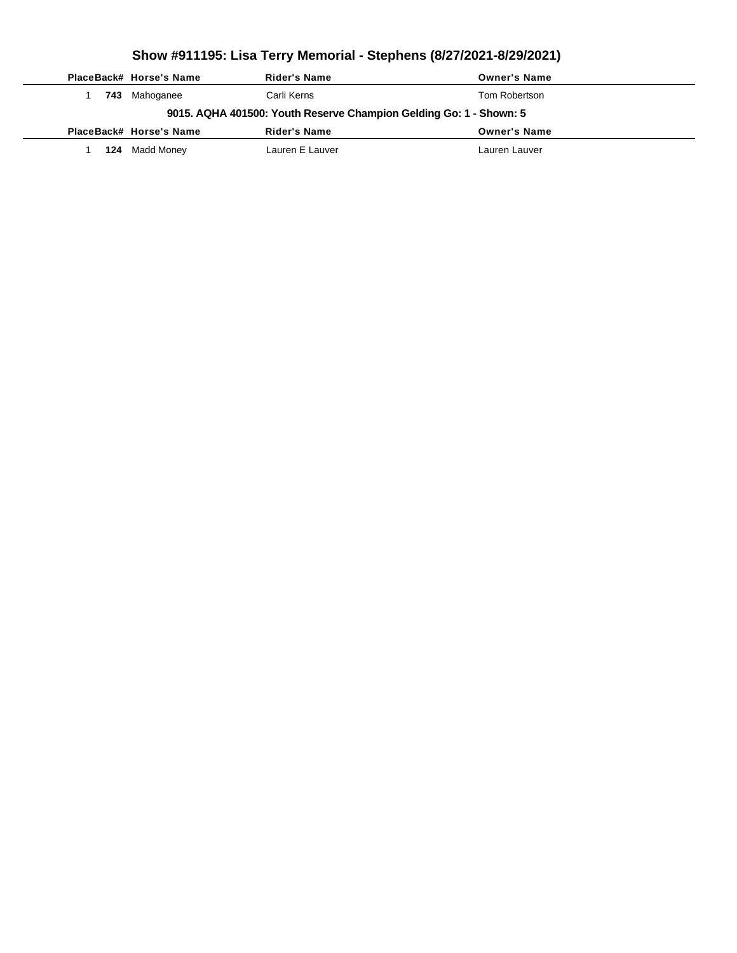|                                                                    |     | PlaceBack# Horse's Name | Rider's Name    | <b>Owner's Name</b> |  |  |  |
|--------------------------------------------------------------------|-----|-------------------------|-----------------|---------------------|--|--|--|
|                                                                    | 743 | Mahoganee               | Carli Kerns     | Tom Robertson       |  |  |  |
| 9015. AQHA 401500: Youth Reserve Champion Gelding Go: 1 - Shown: 5 |     |                         |                 |                     |  |  |  |
|                                                                    |     | PlaceBack# Horse's Name | Rider's Name    | <b>Owner's Name</b> |  |  |  |
|                                                                    | 124 | Madd Money              | Lauren E Lauver | Lauren Lauver       |  |  |  |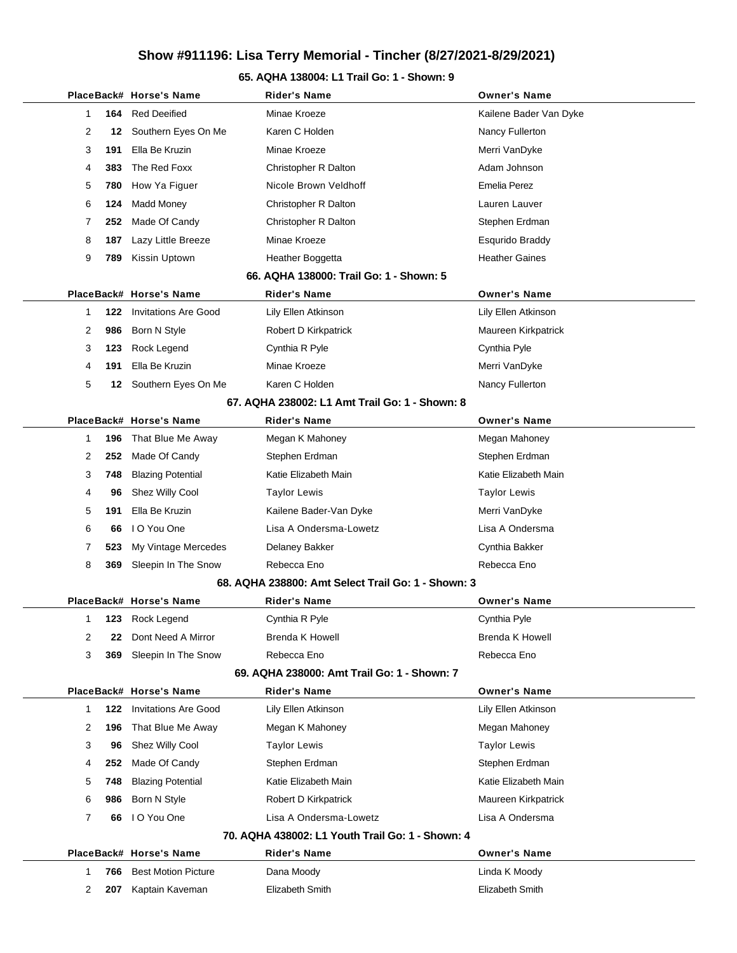#### **65. AQHA 138004: L1 Trail Go: 1 - Shown: 9**

|                                         |     | PlaceBack# Horse's Name     | Rider's Name                                       | <b>Owner's Name</b>    |  |  |  |  |
|-----------------------------------------|-----|-----------------------------|----------------------------------------------------|------------------------|--|--|--|--|
| 1                                       | 164 | <b>Red Deeified</b>         | Minae Kroeze                                       | Kailene Bader Van Dyke |  |  |  |  |
| 2                                       | 12  | Southern Eyes On Me         | Karen C Holden                                     | Nancy Fullerton        |  |  |  |  |
| 3                                       | 191 | Ella Be Kruzin              | Minae Kroeze                                       | Merri VanDyke          |  |  |  |  |
| 4                                       | 383 | The Red Foxx                | Christopher R Dalton                               | Adam Johnson           |  |  |  |  |
| 5                                       | 780 | How Ya Figuer               | Nicole Brown Veldhoff                              | <b>Emelia Perez</b>    |  |  |  |  |
| 6                                       | 124 | <b>Madd Money</b>           | Christopher R Dalton                               | Lauren Lauver          |  |  |  |  |
| 7                                       | 252 | Made Of Candy               | Christopher R Dalton                               | Stephen Erdman         |  |  |  |  |
| 8                                       | 187 | Lazy Little Breeze          | Minae Kroeze                                       | Esqurido Braddy        |  |  |  |  |
| 9                                       | 789 | Kissin Uptown               | Heather Boggetta                                   | <b>Heather Gaines</b>  |  |  |  |  |
| 66. AQHA 138000: Trail Go: 1 - Shown: 5 |     |                             |                                                    |                        |  |  |  |  |
|                                         |     | PlaceBack# Horse's Name     | <b>Rider's Name</b>                                | <b>Owner's Name</b>    |  |  |  |  |
| 1                                       | 122 | <b>Invitations Are Good</b> | Lily Ellen Atkinson                                | Lily Ellen Atkinson    |  |  |  |  |
| 2                                       | 986 | Born N Style                | Robert D Kirkpatrick                               | Maureen Kirkpatrick    |  |  |  |  |
| 3                                       | 123 | Rock Legend                 | Cynthia R Pyle                                     | Cynthia Pyle           |  |  |  |  |
| 4                                       | 191 | Ella Be Kruzin              | Minae Kroeze                                       | Merri VanDyke          |  |  |  |  |
| 5                                       |     | 12 Southern Eyes On Me      | Karen C Holden                                     | Nancy Fullerton        |  |  |  |  |
|                                         |     |                             | 67, AQHA 238002: L1 Amt Trail Go: 1 - Shown: 8     |                        |  |  |  |  |
|                                         |     | PlaceBack# Horse's Name     | Rider's Name                                       | <b>Owner's Name</b>    |  |  |  |  |
| 1                                       | 196 | That Blue Me Away           | Megan K Mahoney                                    | Megan Mahoney          |  |  |  |  |
| 2                                       | 252 | Made Of Candy               | Stephen Erdman                                     | Stephen Erdman         |  |  |  |  |
| 3                                       | 748 | <b>Blazing Potential</b>    | Katie Elizabeth Main                               | Katie Elizabeth Main   |  |  |  |  |
| 4                                       | 96  | Shez Willy Cool             | <b>Taylor Lewis</b>                                | <b>Taylor Lewis</b>    |  |  |  |  |
| 5                                       | 191 | Ella Be Kruzin              | Kailene Bader-Van Dyke                             | Merri VanDyke          |  |  |  |  |
| 6                                       | 66  | I O You One                 | Lisa A Ondersma-Lowetz                             | Lisa A Ondersma        |  |  |  |  |
| 7                                       | 523 | My Vintage Mercedes         | Delaney Bakker                                     | Cynthia Bakker         |  |  |  |  |
| 8                                       | 369 | Sleepin In The Snow         | Rebecca Eno                                        | Rebecca Eno            |  |  |  |  |
|                                         |     |                             | 68. AQHA 238800: Amt Select Trail Go: 1 - Shown: 3 |                        |  |  |  |  |
|                                         |     | PlaceBack# Horse's Name     | <b>Rider's Name</b>                                | <b>Owner's Name</b>    |  |  |  |  |
| 1                                       |     | 123 Rock Legend             | Cynthia R Pyle                                     | Cynthia Pyle           |  |  |  |  |
| 2                                       | 22  | Dont Need A Mirror          | <b>Brenda K Howell</b>                             | Brenda K Howell        |  |  |  |  |
| 3                                       | 369 | Sleepin In The Snow         | Rebecca Eno                                        | Rebecca Eno            |  |  |  |  |
|                                         |     |                             | 69. AQHA 238000: Amt Trail Go: 1 - Shown: 7        |                        |  |  |  |  |
|                                         |     | PlaceBack# Horse's Name     | <b>Rider's Name</b>                                | <b>Owner's Name</b>    |  |  |  |  |
| 1                                       | 122 | <b>Invitations Are Good</b> | Lily Ellen Atkinson                                | Lily Ellen Atkinson    |  |  |  |  |
| 2                                       | 196 | That Blue Me Away           | Megan K Mahoney                                    | Megan Mahoney          |  |  |  |  |
| 3                                       | 96  | Shez Willy Cool             | <b>Taylor Lewis</b>                                | <b>Taylor Lewis</b>    |  |  |  |  |
| 4                                       | 252 | Made Of Candy               | Stephen Erdman                                     | Stephen Erdman         |  |  |  |  |
| 5                                       | 748 | <b>Blazing Potential</b>    | Katie Elizabeth Main                               | Katie Elizabeth Main   |  |  |  |  |
| 6                                       | 986 | Born N Style                | Robert D Kirkpatrick                               | Maureen Kirkpatrick    |  |  |  |  |
| 7                                       | 66  | I O You One                 | Lisa A Ondersma-Lowetz                             | Lisa A Ondersma        |  |  |  |  |
|                                         |     |                             | 70. AQHA 438002: L1 Youth Trail Go: 1 - Shown: 4   |                        |  |  |  |  |
|                                         |     | PlaceBack# Horse's Name     | Rider's Name                                       | <b>Owner's Name</b>    |  |  |  |  |
| 1                                       | 766 | <b>Best Motion Picture</b>  | Dana Moody                                         | Linda K Moody          |  |  |  |  |
| 2                                       | 207 | Kaptain Kaveman             | Elizabeth Smith                                    | Elizabeth Smith        |  |  |  |  |
|                                         |     |                             |                                                    |                        |  |  |  |  |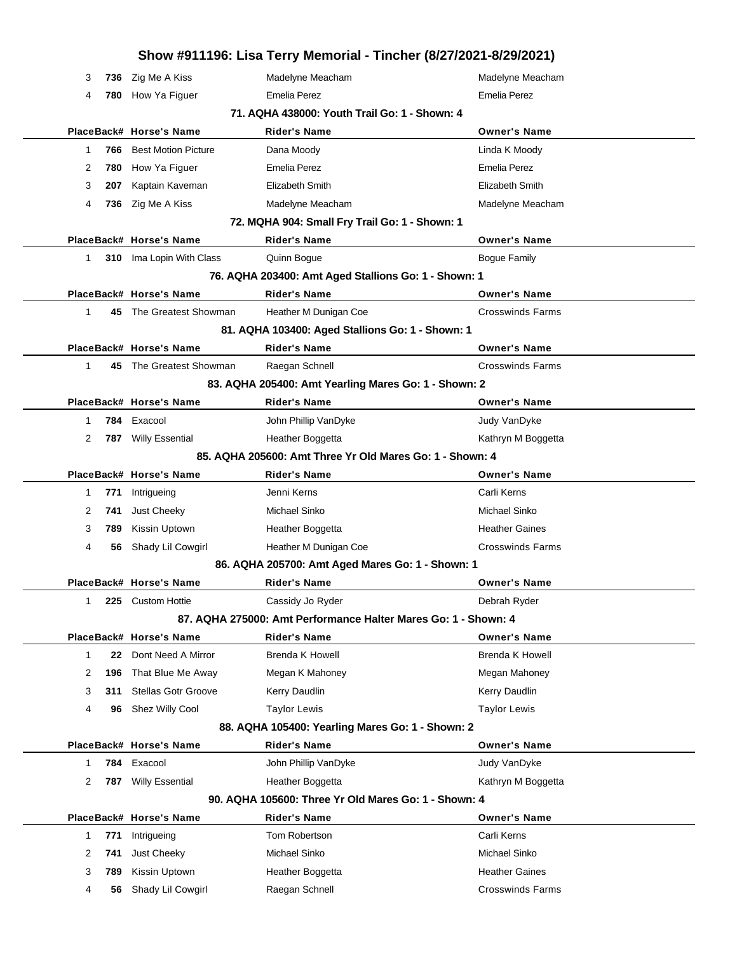|              |     |                            | Show #911196: Lisa Terry Memorial - Tincher (8/27/2021-8/29/2021) |                         |
|--------------|-----|----------------------------|-------------------------------------------------------------------|-------------------------|
| 3            | 736 | Zig Me A Kiss              | Madelyne Meacham                                                  | Madelyne Meacham        |
| 4            | 780 | How Ya Figuer              | Emelia Perez                                                      | Emelia Perez            |
|              |     |                            | 71. AQHA 438000: Youth Trail Go: 1 - Shown: 4                     |                         |
|              |     | PlaceBack# Horse's Name    | <b>Rider's Name</b>                                               | <b>Owner's Name</b>     |
| $\mathbf{1}$ | 766 | <b>Best Motion Picture</b> | Dana Moody                                                        | Linda K Moody           |
| 2            | 780 | How Ya Figuer              | Emelia Perez                                                      | Emelia Perez            |
| 3            | 207 | Kaptain Kaveman            | Elizabeth Smith                                                   | Elizabeth Smith         |
| 4            | 736 | Zig Me A Kiss              | Madelyne Meacham                                                  | Madelyne Meacham        |
|              |     |                            | 72. MQHA 904: Small Fry Trail Go: 1 - Shown: 1                    |                         |
|              |     | PlaceBack# Horse's Name    | <b>Rider's Name</b>                                               | <b>Owner's Name</b>     |
| $\mathbf{1}$ |     | 310 Ima Lopin With Class   | Quinn Bogue                                                       | <b>Bogue Family</b>     |
|              |     |                            | 76. AQHA 203400: Amt Aged Stallions Go: 1 - Shown: 1              |                         |
|              |     | PlaceBack# Horse's Name    | <b>Rider's Name</b>                                               | <b>Owner's Name</b>     |
| 1            |     | 45 The Greatest Showman    | Heather M Dunigan Coe                                             | <b>Crosswinds Farms</b> |
|              |     |                            | 81. AQHA 103400: Aged Stallions Go: 1 - Shown: 1                  |                         |
|              |     | PlaceBack# Horse's Name    | <b>Rider's Name</b>                                               | <b>Owner's Name</b>     |
| $\mathbf{1}$ |     | 45 The Greatest Showman    | Raegan Schnell                                                    | <b>Crosswinds Farms</b> |
|              |     |                            | 83. AQHA 205400: Amt Yearling Mares Go: 1 - Shown: 2              |                         |
|              |     | PlaceBack# Horse's Name    | <b>Rider's Name</b>                                               | <b>Owner's Name</b>     |
| 1            |     | 784 Exacool                | John Phillip VanDyke                                              | Judy VanDyke            |
| 2            |     | 787 Willy Essential        | Heather Boggetta                                                  | Kathryn M Boggetta      |
|              |     |                            | 85. AQHA 205600: Amt Three Yr Old Mares Go: 1 - Shown: 4          |                         |
|              |     | PlaceBack# Horse's Name    | <b>Rider's Name</b>                                               | <b>Owner's Name</b>     |
| 1            | 771 | Intrigueing                | Jenni Kerns                                                       | Carli Kerns             |
| 2            | 741 | Just Cheeky                | Michael Sinko                                                     | Michael Sinko           |
| 3            | 789 | Kissin Uptown              | Heather Boggetta                                                  | <b>Heather Gaines</b>   |
| 4            | 56  | Shady Lil Cowgirl          | Heather M Dunigan Coe                                             | <b>Crosswinds Farms</b> |
|              |     |                            | 86. AQHA 205700: Amt Aged Mares Go: 1 - Shown: 1                  |                         |
|              |     | PlaceBack# Horse's Name    | <b>Rider's Name</b>                                               | <b>Owner's Name</b>     |
| 1            | 225 | <b>Custom Hottie</b>       | Cassidy Jo Ryder                                                  | Debrah Ryder            |
|              |     |                            | 87. AQHA 275000: Amt Performance Halter Mares Go: 1 - Shown: 4    |                         |
|              |     | PlaceBack# Horse's Name    | <b>Rider's Name</b>                                               | <b>Owner's Name</b>     |
| $\mathbf{1}$ | 22  | Dont Need A Mirror         | <b>Brenda K Howell</b>                                            | <b>Brenda K Howell</b>  |
| 2            | 196 | That Blue Me Away          | Megan K Mahoney                                                   | Megan Mahoney           |
| 3            | 311 | <b>Stellas Gotr Groove</b> | Kerry Daudlin                                                     | Kerry Daudlin           |
| 4            | 96  | Shez Willy Cool            | <b>Taylor Lewis</b>                                               | <b>Taylor Lewis</b>     |
|              |     |                            | 88. AQHA 105400: Yearling Mares Go: 1 - Shown: 2                  |                         |
|              |     | PlaceBack# Horse's Name    | <b>Rider's Name</b>                                               | <b>Owner's Name</b>     |
| $\mathbf{1}$ | 784 | Exacool                    | John Phillip VanDyke                                              | Judy VanDyke            |
| 2            | 787 | <b>Willy Essential</b>     | Heather Boggetta                                                  | Kathryn M Boggetta      |
|              |     |                            | 90. AQHA 105600: Three Yr Old Mares Go: 1 - Shown: 4              |                         |
|              |     | PlaceBack# Horse's Name    | <b>Rider's Name</b>                                               | <b>Owner's Name</b>     |
| $\mathbf{1}$ | 771 | Intrigueing                | Tom Robertson                                                     | Carli Kerns             |
| 2            | 741 | Just Cheeky                | Michael Sinko                                                     | Michael Sinko           |
| 3            | 789 | Kissin Uptown              | Heather Boggetta                                                  | <b>Heather Gaines</b>   |
| 4            | 56  | Shady Lil Cowgirl          | Raegan Schnell                                                    | <b>Crosswinds Farms</b> |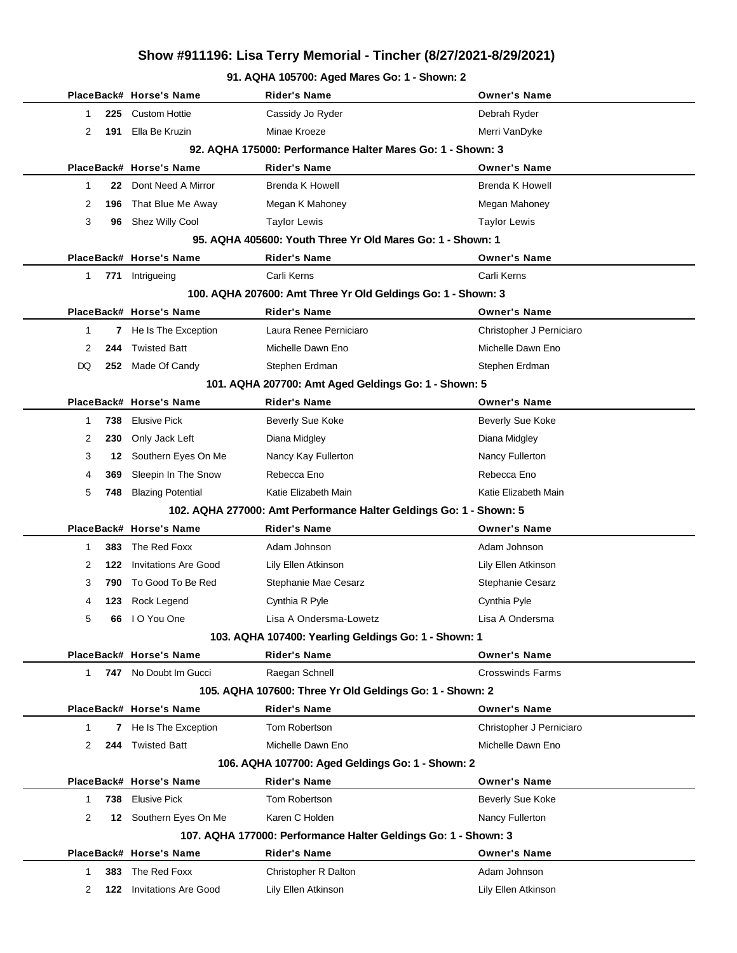#### **91. AQHA 105700: Aged Mares Go: 1 - Shown: 2**

|             |      | PlaceBack# Horse's Name     | Rider's Name                                                       | <b>Owner's Name</b>      |
|-------------|------|-----------------------------|--------------------------------------------------------------------|--------------------------|
| 1           | 225  | <b>Custom Hottie</b>        | Cassidy Jo Ryder                                                   | Debrah Ryder             |
| 2           | 191  | Ella Be Kruzin              | Minae Kroeze                                                       | Merri VanDyke            |
|             |      |                             | 92. AQHA 175000: Performance Halter Mares Go: 1 - Shown: 3         |                          |
|             |      | PlaceBack# Horse's Name     | <b>Rider's Name</b>                                                | <b>Owner's Name</b>      |
| 1           | 22   | Dont Need A Mirror          | <b>Brenda K Howell</b>                                             | <b>Brenda K Howell</b>   |
| 2           |      | 196 That Blue Me Away       | Megan K Mahoney                                                    | Megan Mahoney            |
| 3           |      | 96 Shez Willy Cool          | <b>Taylor Lewis</b>                                                | <b>Taylor Lewis</b>      |
|             |      |                             | 95. AQHA 405600: Youth Three Yr Old Mares Go: 1 - Shown: 1         |                          |
|             |      | PlaceBack# Horse's Name     | <b>Rider's Name</b>                                                | <b>Owner's Name</b>      |
| 1           |      | 771 Intrigueing             | Carli Kerns                                                        | Carli Kerns              |
|             |      |                             | 100. AQHA 207600: Amt Three Yr Old Geldings Go: 1 - Shown: 3       |                          |
|             |      | PlaceBack# Horse's Name     | <b>Rider's Name</b>                                                | <b>Owner's Name</b>      |
| 1           | 7    | He Is The Exception         | Laura Renee Perniciaro                                             | Christopher J Perniciaro |
| 2           | 244  | <b>Twisted Batt</b>         | Michelle Dawn Eno                                                  | Michelle Dawn Eno        |
| DQ          |      | 252 Made Of Candy           | Stephen Erdman                                                     | Stephen Erdman           |
|             |      |                             | 101. AQHA 207700: Amt Aged Geldings Go: 1 - Shown: 5               |                          |
|             |      | PlaceBack# Horse's Name     | <b>Rider's Name</b>                                                | <b>Owner's Name</b>      |
| 1           | 738  | <b>Elusive Pick</b>         | <b>Beverly Sue Koke</b>                                            | <b>Beverly Sue Koke</b>  |
| 2           | 230  | Only Jack Left              | Diana Midgley                                                      | Diana Midgley            |
| 3           | 12.  | Southern Eyes On Me         | Nancy Kay Fullerton                                                | Nancy Fullerton          |
| 4           | 369  | Sleepin In The Snow         | Rebecca Eno                                                        | Rebecca Eno              |
| 5           | 748  | <b>Blazing Potential</b>    | Katie Elizabeth Main                                               | Katie Elizabeth Main     |
|             |      |                             | 102. AQHA 277000: Amt Performance Halter Geldings Go: 1 - Shown: 5 |                          |
|             |      | PlaceBack# Horse's Name     | <b>Rider's Name</b>                                                | <b>Owner's Name</b>      |
| 1           | 383. | The Red Foxx                | Adam Johnson                                                       | Adam Johnson             |
| 2           | 122  | <b>Invitations Are Good</b> | Lily Ellen Atkinson                                                | Lily Ellen Atkinson      |
| 3           | 790  | To Good To Be Red           | Stephanie Mae Cesarz                                               | <b>Stephanie Cesarz</b>  |
| 4           |      | 123 Rock Legend             | Cynthia R Pyle                                                     | Cynthia Pyle             |
| 5           | 66   | I O You One                 | Lisa A Ondersma-Lowetz                                             | Lisa A Ondersma          |
|             |      |                             | 103. AQHA 107400: Yearling Geldings Go: 1 - Shown: 1               |                          |
|             |      | PlaceBack# Horse's Name     | <b>Rider's Name</b>                                                | <b>Owner's Name</b>      |
| $\mathbf 1$ |      | 747 No Doubt Im Gucci       | Raegan Schnell                                                     | <b>Crosswinds Farms</b>  |
|             |      |                             | 105. AQHA 107600: Three Yr Old Geldings Go: 1 - Shown: 2           |                          |
|             |      | PlaceBack# Horse's Name     | Rider's Name                                                       | <b>Owner's Name</b>      |
| 1           | 7    | He Is The Exception         | Tom Robertson                                                      | Christopher J Perniciaro |
| 2           | 244  | <b>Twisted Batt</b>         | Michelle Dawn Eno                                                  | Michelle Dawn Eno        |
|             |      |                             | 106. AQHA 107700: Aged Geldings Go: 1 - Shown: 2                   |                          |
|             |      | PlaceBack# Horse's Name     | Rider's Name                                                       | <b>Owner's Name</b>      |
| 1           | 738  | <b>Elusive Pick</b>         | Tom Robertson                                                      | <b>Beverly Sue Koke</b>  |
| 2           |      | 12 Southern Eyes On Me      | Karen C Holden                                                     | Nancy Fullerton          |
|             |      |                             | 107. AQHA 177000: Performance Halter Geldings Go: 1 - Shown: 3     |                          |
|             |      | PlaceBack# Horse's Name     | Rider's Name                                                       | <b>Owner's Name</b>      |
| 1           | 383  | The Red Foxx                | Christopher R Dalton                                               | Adam Johnson             |
| 2           |      | 122 Invitations Are Good    | Lily Ellen Atkinson                                                | Lily Ellen Atkinson      |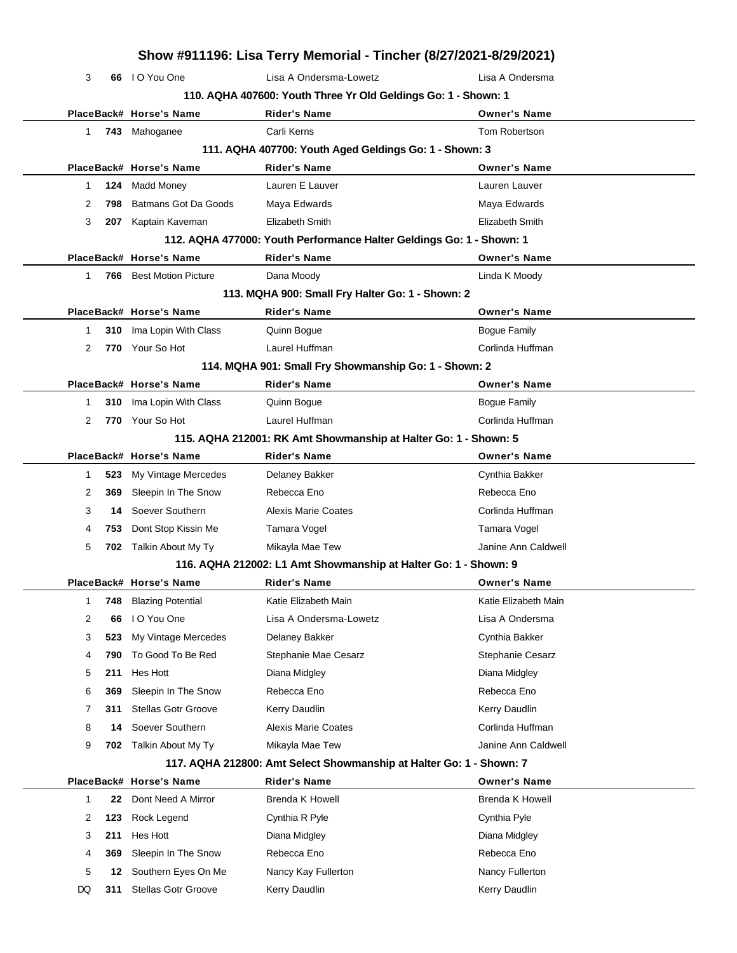|    |     |                                | Show #911196: Lisa Terry Memorial - Tincher (8/27/2021-8/29/2021)    |                        |
|----|-----|--------------------------------|----------------------------------------------------------------------|------------------------|
| 3  |     | 66 IO You One                  | Lisa A Ondersma-Lowetz                                               | Lisa A Ondersma        |
|    |     |                                | 110. AQHA 407600: Youth Three Yr Old Geldings Go: 1 - Shown: 1       |                        |
|    |     | PlaceBack# Horse's Name        | <b>Rider's Name</b>                                                  | <b>Owner's Name</b>    |
| 1  |     | 743 Mahoganee                  | Carli Kerns                                                          | Tom Robertson          |
|    |     |                                | 111. AQHA 407700: Youth Aged Geldings Go: 1 - Shown: 3               |                        |
|    |     | PlaceBack# Horse's Name        | <b>Rider's Name</b>                                                  | <b>Owner's Name</b>    |
| 1  | 124 | Madd Money                     | Lauren E Lauver                                                      | Lauren Lauver          |
| 2  | 798 | Batmans Got Da Goods           | Maya Edwards                                                         | Maya Edwards           |
| 3  |     | 207 Kaptain Kaveman            | Elizabeth Smith                                                      | Elizabeth Smith        |
|    |     |                                | 112. AQHA 477000: Youth Performance Halter Geldings Go: 1 - Shown: 1 |                        |
|    |     | PlaceBack# Horse's Name        | <b>Rider's Name</b>                                                  | <b>Owner's Name</b>    |
| 1  |     | <b>766</b> Best Motion Picture | Dana Moody                                                           | Linda K Moody          |
|    |     |                                | 113. MQHA 900: Small Fry Halter Go: 1 - Shown: 2                     |                        |
|    |     | PlaceBack# Horse's Name        | <b>Rider's Name</b>                                                  | <b>Owner's Name</b>    |
| 1  | 310 | Ima Lopin With Class           | Quinn Bogue                                                          | <b>Bogue Family</b>    |
| 2  |     | 770 Your So Hot                | Laurel Huffman                                                       | Corlinda Huffman       |
|    |     |                                | 114. MQHA 901: Small Fry Showmanship Go: 1 - Shown: 2                |                        |
|    |     | PlaceBack# Horse's Name        | <b>Rider's Name</b>                                                  | <b>Owner's Name</b>    |
| 1  | 310 | Ima Lopin With Class           | Quinn Bogue                                                          | <b>Bogue Family</b>    |
| 2  |     | 770 Your So Hot                | Laurel Huffman                                                       | Corlinda Huffman       |
|    |     |                                | 115. AQHA 212001: RK Amt Showmanship at Halter Go: 1 - Shown: 5      |                        |
|    |     | PlaceBack# Horse's Name        | <b>Rider's Name</b>                                                  | <b>Owner's Name</b>    |
| 1  | 523 | My Vintage Mercedes            | Delaney Bakker                                                       | Cynthia Bakker         |
| 2  | 369 | Sleepin In The Snow            | Rebecca Eno                                                          | Rebecca Eno            |
| 3  | 14  | Soever Southern                | Alexis Marie Coates                                                  | Corlinda Huffman       |
| 4  | 753 | Dont Stop Kissin Me            | Tamara Vogel                                                         | Tamara Vogel           |
| 5  |     | 702 Talkin About My Ty         | Mikayla Mae Tew                                                      | Janine Ann Caldwell    |
|    |     |                                | 116. AQHA 212002: L1 Amt Showmanship at Halter Go: 1 - Shown: 9      |                        |
|    |     | PlaceBack# Horse's Name        | <b>Rider's Name</b>                                                  | <b>Owner's Name</b>    |
| 1  | 748 | <b>Blazing Potential</b>       | Katie Elizabeth Main                                                 | Katie Elizabeth Main   |
| 2  | 66  | I O You One                    | Lisa A Ondersma-Lowetz                                               | Lisa A Ondersma        |
| 3  | 523 | My Vintage Mercedes            | Delaney Bakker                                                       | Cynthia Bakker         |
| 4  | 790 | To Good To Be Red              | Stephanie Mae Cesarz                                                 | Stephanie Cesarz       |
| 5  | 211 | Hes Hott                       | Diana Midgley                                                        | Diana Midgley          |
| 6  | 369 | Sleepin In The Snow            | Rebecca Eno                                                          | Rebecca Eno            |
| 7  | 311 | <b>Stellas Gotr Groove</b>     | Kerry Daudlin                                                        | Kerry Daudlin          |
| 8  | 14  | Soever Southern                | <b>Alexis Marie Coates</b>                                           | Corlinda Huffman       |
| 9  | 702 | Talkin About My Ty             | Mikayla Mae Tew                                                      | Janine Ann Caldwell    |
|    |     |                                | 117. AQHA 212800: Amt Select Showmanship at Halter Go: 1 - Shown: 7  |                        |
|    |     | PlaceBack# Horse's Name        | <b>Rider's Name</b>                                                  | <b>Owner's Name</b>    |
| 1  | 22  | Dont Need A Mirror             | <b>Brenda K Howell</b>                                               | <b>Brenda K Howell</b> |
| 2  | 123 | Rock Legend                    | Cynthia R Pyle                                                       | Cynthia Pyle           |
| 3  | 211 | Hes Hott                       | Diana Midgley                                                        | Diana Midgley          |
| 4  | 369 | Sleepin In The Snow            | Rebecca Eno                                                          | Rebecca Eno            |
| 5  | 12  | Southern Eyes On Me            | Nancy Kay Fullerton                                                  | Nancy Fullerton        |
| DQ | 311 | Stellas Gotr Groove            | Kerry Daudlin                                                        | Kerry Daudlin          |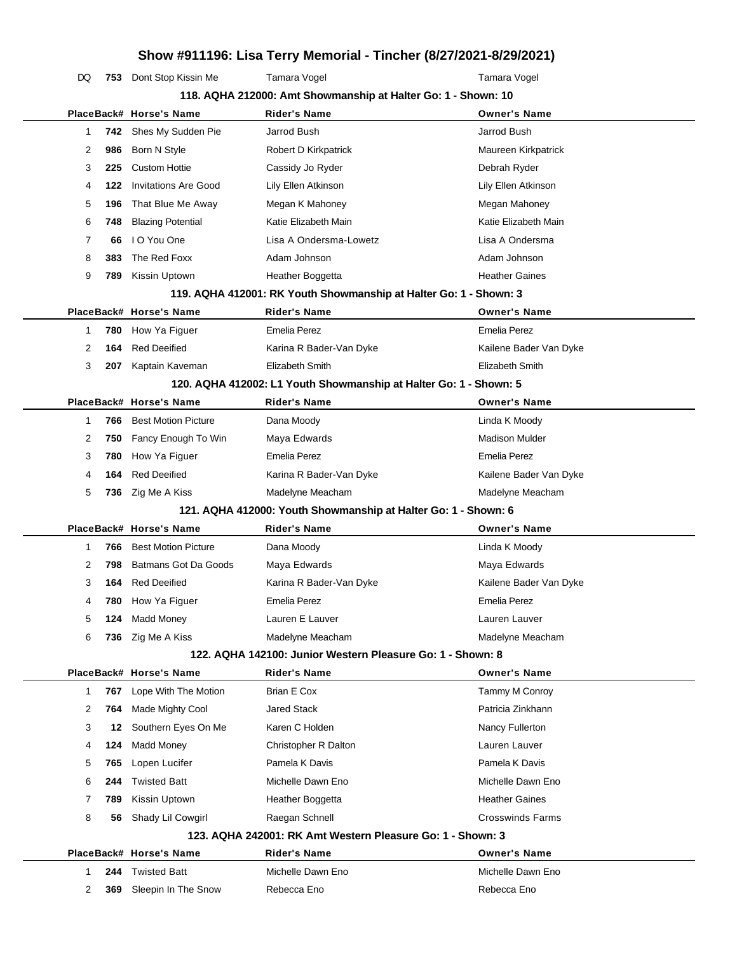**Show #911196: Lisa Terry Memorial - Tincher (8/27/2021-8/29/2021)** DQ 753 Dont Stop Kissin Me Tamara Vogel Tamara Vogel

|              |     |                                            | 118. AQHA 212000: Amt Showmanship at Halter Go: 1 - Shown: 10     |                                  |  |
|--------------|-----|--------------------------------------------|-------------------------------------------------------------------|----------------------------------|--|
|              |     | PlaceBack# Horse's Name                    | Rider's Name                                                      | <b>Owner's Name</b>              |  |
| 1            | 742 | Shes My Sudden Pie                         | Jarrod Bush                                                       | Jarrod Bush                      |  |
| 2            | 986 | Born N Style                               | Robert D Kirkpatrick                                              | Maureen Kirkpatrick              |  |
| 3            | 225 | <b>Custom Hottie</b>                       | Cassidy Jo Ryder                                                  | Debrah Ryder                     |  |
| 4            | 122 | <b>Invitations Are Good</b>                | Lily Ellen Atkinson                                               | Lily Ellen Atkinson              |  |
| 5            | 196 | That Blue Me Away                          | Megan K Mahoney                                                   | Megan Mahoney                    |  |
| 6            | 748 | <b>Blazing Potential</b>                   | Katie Elizabeth Main                                              | Katie Elizabeth Main             |  |
| 7            | 66  | I O You One                                | Lisa A Ondersma-Lowetz                                            | Lisa A Ondersma                  |  |
| 8            | 383 | The Red Foxx                               | Adam Johnson                                                      | Adam Johnson                     |  |
| 9            | 789 | Kissin Uptown                              | Heather Boggetta                                                  | <b>Heather Gaines</b>            |  |
|              |     |                                            | 119. AQHA 412001: RK Youth Showmanship at Halter Go: 1 - Shown: 3 |                                  |  |
|              |     | PlaceBack# Horse's Name                    | <b>Rider's Name</b>                                               | <b>Owner's Name</b>              |  |
| -1           | 780 | How Ya Figuer                              | <b>Emelia Perez</b>                                               | <b>Emelia Perez</b>              |  |
| 2            | 164 | <b>Red Deeified</b>                        | Karina R Bader-Van Dyke                                           | Kailene Bader Van Dyke           |  |
| 3            | 207 | Kaptain Kaveman                            | <b>Elizabeth Smith</b>                                            | Elizabeth Smith                  |  |
|              |     |                                            | 120. AQHA 412002: L1 Youth Showmanship at Halter Go: 1 - Shown: 5 |                                  |  |
|              |     | PlaceBack# Horse's Name                    | Rider's Name                                                      | <b>Owner's Name</b>              |  |
| -1           | 766 | <b>Best Motion Picture</b>                 | Dana Moody                                                        | Linda K Moody                    |  |
| 2            | 750 | Fancy Enough To Win                        | Maya Edwards                                                      | <b>Madison Mulder</b>            |  |
| 3            | 780 | How Ya Figuer                              | <b>Emelia Perez</b>                                               | <b>Emelia Perez</b>              |  |
| 4            | 164 | <b>Red Deeified</b>                        | Karina R Bader-Van Dyke                                           | Kailene Bader Van Dyke           |  |
| 5            | 736 | Zig Me A Kiss                              | Madelyne Meacham                                                  | Madelyne Meacham                 |  |
|              |     |                                            | 121. AQHA 412000: Youth Showmanship at Halter Go: 1 - Shown: 6    |                                  |  |
|              |     | PlaceBack# Horse's Name                    | Rider's Name                                                      | <b>Owner's Name</b>              |  |
| 1            | 766 | <b>Best Motion Picture</b>                 | Dana Moody                                                        | Linda K Moody                    |  |
| 2            | 798 | Batmans Got Da Goods                       | Maya Edwards                                                      | Maya Edwards                     |  |
|              |     |                                            |                                                                   |                                  |  |
| 3            | 164 | <b>Red Deeified</b>                        | Karina R Bader-Van Dyke                                           | Kailene Bader Van Dyke           |  |
| 4            | 780 | How Ya Figuer                              | <b>Emelia Perez</b>                                               | <b>Emelia Perez</b>              |  |
| 5            | 124 | <b>Madd Money</b>                          | Lauren E Lauver                                                   | Lauren Lauver                    |  |
| 6            |     | 736 Zig Me A Kiss                          | Madelyne Meacham                                                  | Madelyne Meacham                 |  |
|              |     |                                            | 122. AQHA 142100: Junior Western Pleasure Go: 1 - Shown: 8        |                                  |  |
|              |     | PlaceBack# Horse's Name                    | Rider's Name                                                      | <b>Owner's Name</b>              |  |
| $\mathbf{1}$ | 767 | Lope With The Motion                       | Brian E Cox                                                       | Tammy M Conroy                   |  |
| 2            | 764 | Made Mighty Cool                           | <b>Jared Stack</b>                                                | Patricia Zinkhann                |  |
| 3            | 12  | Southern Eyes On Me                        | Karen C Holden                                                    | Nancy Fullerton                  |  |
| 4            | 124 | Madd Money                                 | Christopher R Dalton                                              | Lauren Lauver                    |  |
| 5            | 765 | Lopen Lucifer                              | Pamela K Davis                                                    | Pamela K Davis                   |  |
| 6            | 244 | <b>Twisted Batt</b>                        | Michelle Dawn Eno                                                 | Michelle Dawn Eno                |  |
| 7            | 789 | Kissin Uptown                              | Heather Boggetta                                                  | <b>Heather Gaines</b>            |  |
| 8            | 56  | Shady Lil Cowgirl                          | Raegan Schnell                                                    | <b>Crosswinds Farms</b>          |  |
|              |     |                                            | 123. AQHA 242001: RK Amt Western Pleasure Go: 1 - Shown: 3        |                                  |  |
|              |     | PlaceBack# Horse's Name                    | Rider's Name                                                      | <b>Owner's Name</b>              |  |
| 1<br>2       | 244 | <b>Twisted Batt</b><br>Sleepin In The Snow | Michelle Dawn Eno<br>Rebecca Eno                                  | Michelle Dawn Eno<br>Rebecca Eno |  |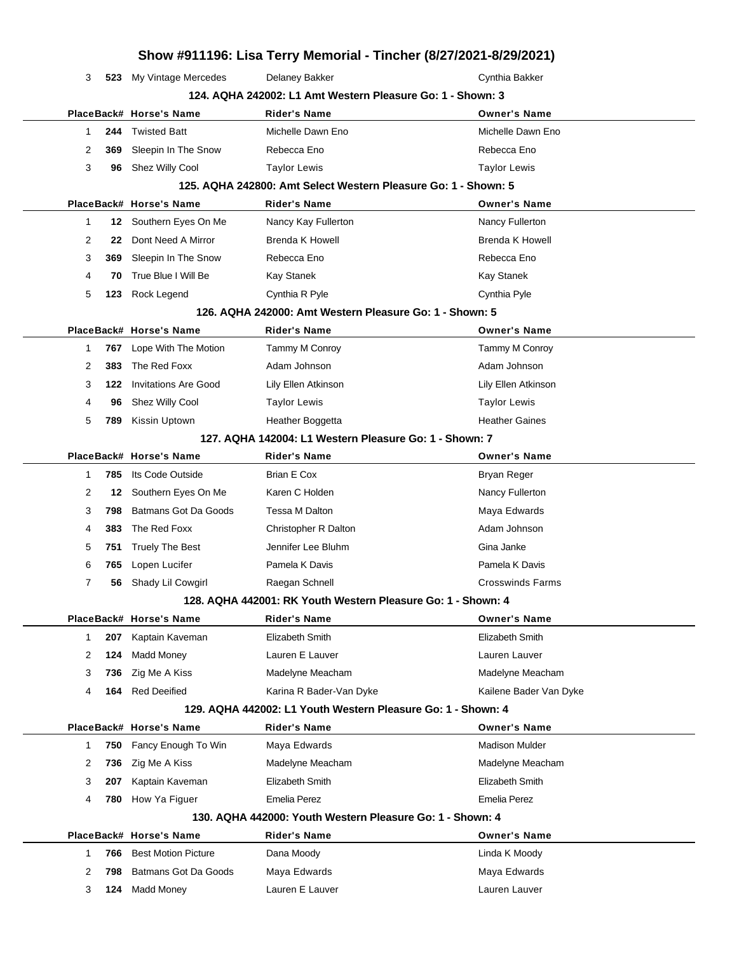|                     |                                                       |                                                                | Show #911196: Lisa Terry Memorial - Tincher (8/27/2021-8/29/2021) |
|---------------------|-------------------------------------------------------|----------------------------------------------------------------|-------------------------------------------------------------------|
| 3<br>523            | My Vintage Mercedes                                   | Delaney Bakker                                                 | Cynthia Bakker                                                    |
|                     |                                                       | 124. AQHA 242002: L1 Amt Western Pleasure Go: 1 - Shown: 3     |                                                                   |
|                     | PlaceBack# Horse's Name                               | <b>Rider's Name</b>                                            | <b>Owner's Name</b>                                               |
| 244<br>1            | <b>Twisted Batt</b>                                   | Michelle Dawn Eno                                              | Michelle Dawn Eno                                                 |
| 2<br>369            | Sleepin In The Snow                                   | Rebecca Eno                                                    | Rebecca Eno                                                       |
| 3<br>96             | Shez Willy Cool                                       | <b>Taylor Lewis</b>                                            | <b>Taylor Lewis</b>                                               |
|                     |                                                       | 125. AQHA 242800: Amt Select Western Pleasure Go: 1 - Shown: 5 |                                                                   |
|                     | PlaceBack# Horse's Name                               | <b>Rider's Name</b>                                            | <b>Owner's Name</b>                                               |
| $\mathbf{1}$<br>12  | Southern Eyes On Me                                   | Nancy Kay Fullerton                                            | Nancy Fullerton                                                   |
| 2<br>22             | Dont Need A Mirror                                    | <b>Brenda K Howell</b>                                         | <b>Brenda K Howell</b>                                            |
| 3<br>369            | Sleepin In The Snow                                   | Rebecca Eno                                                    | Rebecca Eno                                                       |
| 4<br>70             | True Blue I Will Be                                   | Kay Stanek                                                     | Kay Stanek                                                        |
| 5<br>123            | Rock Legend                                           | Cynthia R Pyle                                                 | Cynthia Pyle                                                      |
|                     |                                                       | 126. AQHA 242000: Amt Western Pleasure Go: 1 - Shown: 5        |                                                                   |
|                     | PlaceBack# Horse's Name                               | Rider's Name                                                   | <b>Owner's Name</b>                                               |
| 767<br>1            | Lope With The Motion                                  | Tammy M Conroy                                                 | Tammy M Conroy                                                    |
| 2<br>383            | The Red Foxx                                          | Adam Johnson                                                   | Adam Johnson                                                      |
| 3<br>122            | <b>Invitations Are Good</b>                           | Lily Ellen Atkinson                                            | Lily Ellen Atkinson                                               |
| 4<br>96             | Shez Willy Cool                                       | <b>Taylor Lewis</b>                                            | <b>Taylor Lewis</b>                                               |
| 5<br>789            | Kissin Uptown                                         | Heather Boggetta                                               | <b>Heather Gaines</b>                                             |
|                     |                                                       | 127. AQHA 142004: L1 Western Pleasure Go: 1 - Shown: 7         |                                                                   |
|                     | PlaceBack# Horse's Name                               | <b>Rider's Name</b>                                            | <b>Owner's Name</b>                                               |
| 785<br>1            | Its Code Outside                                      | Brian E Cox                                                    | Bryan Reger                                                       |
| 2<br>12             | Southern Eyes On Me                                   | Karen C Holden                                                 | Nancy Fullerton                                                   |
| 3<br>798            | Batmans Got Da Goods                                  | Tessa M Dalton                                                 | Maya Edwards                                                      |
| 383<br>4            | The Red Foxx                                          | Christopher R Dalton                                           | Adam Johnson                                                      |
| 5<br>751            | <b>Truely The Best</b>                                | Jennifer Lee Bluhm                                             | Gina Janke                                                        |
| 6<br>765            | Lopen Lucifer                                         | Pamela K Davis                                                 | Pamela K Davis                                                    |
| 7<br>56             | Shady Lil Cowgirl                                     | Raegan Schnell                                                 | <b>Crosswinds Farms</b>                                           |
|                     |                                                       | 128. AQHA 442001: RK Youth Western Pleasure Go: 1 - Shown: 4   |                                                                   |
|                     | PlaceBack# Horse's Name                               | Rider's Name                                                   | <b>Owner's Name</b>                                               |
| $\mathbf{1}$<br>207 | Kaptain Kaveman                                       | Elizabeth Smith                                                | Elizabeth Smith                                                   |
| 2<br>124            | <b>Madd Money</b>                                     | Lauren E Lauver                                                | Lauren Lauver                                                     |
| 3<br>736            | Zig Me A Kiss                                         | Madelyne Meacham                                               | Madelyne Meacham                                                  |
| 4<br>164            | <b>Red Deeified</b>                                   | Karina R Bader-Van Dyke                                        | Kailene Bader Van Dyke                                            |
|                     |                                                       | 129. AQHA 442002: L1 Youth Western Pleasure Go: 1 - Shown: 4   |                                                                   |
|                     | PlaceBack# Horse's Name                               | <b>Rider's Name</b>                                            | <b>Owner's Name</b>                                               |
| 750<br>1            | Fancy Enough To Win                                   | Maya Edwards                                                   | <b>Madison Mulder</b>                                             |
| 2<br>736            | Zig Me A Kiss                                         | Madelyne Meacham                                               | Madelyne Meacham                                                  |
| 3<br>207            | Kaptain Kaveman                                       | Elizabeth Smith                                                | Elizabeth Smith                                                   |
| 4<br>780            | How Ya Figuer                                         | <b>Emelia Perez</b>                                            | <b>Emelia Perez</b>                                               |
|                     |                                                       | 130. AQHA 442000: Youth Western Pleasure Go: 1 - Shown: 4      |                                                                   |
|                     | PlaceBack# Horse's Name<br><b>Best Motion Picture</b> | Rider's Name                                                   | <b>Owner's Name</b>                                               |
| 1<br>766            |                                                       | Dana Moody                                                     | Linda K Moody                                                     |
| 2<br>798            | Batmans Got Da Goods                                  | Maya Edwards<br>Lauren E Lauver                                | Maya Edwards                                                      |
| 3<br>124            | <b>Madd Money</b>                                     |                                                                | Lauren Lauver                                                     |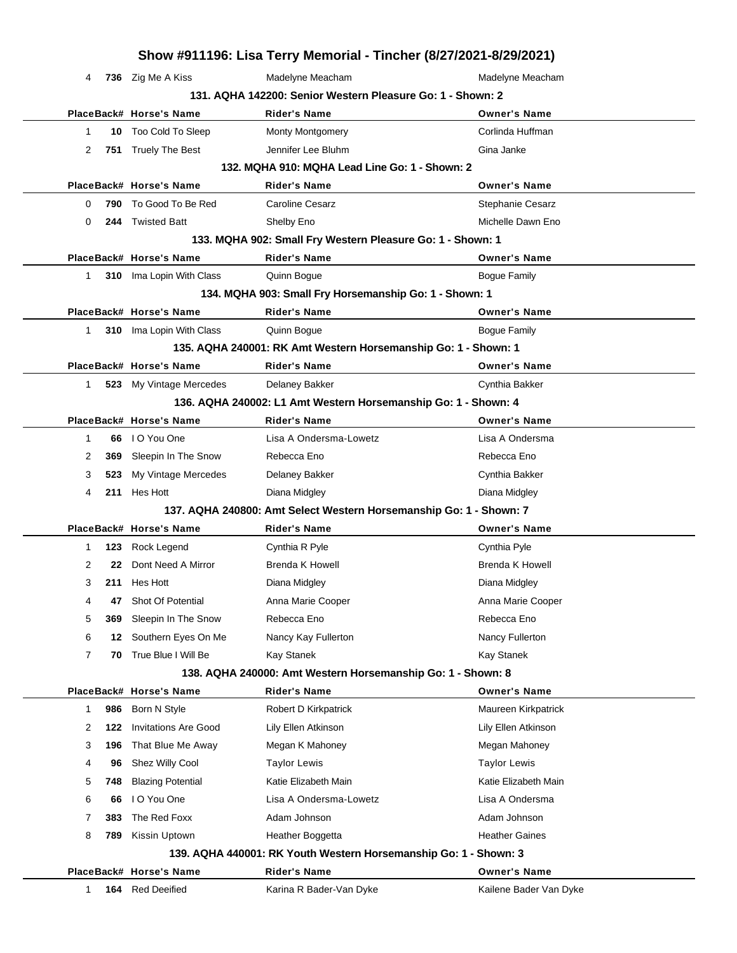|              |            |                                             |                                                                                    | Show #911196: Lisa Terry Memorial - Tincher (8/27/2021-8/29/2021) |
|--------------|------------|---------------------------------------------|------------------------------------------------------------------------------------|-------------------------------------------------------------------|
| 4            |            | 736 Zig Me A Kiss                           | Madelyne Meacham                                                                   | Madelyne Meacham                                                  |
|              |            |                                             | 131. AQHA 142200: Senior Western Pleasure Go: 1 - Shown: 2                         |                                                                   |
|              |            | PlaceBack# Horse's Name                     | <b>Rider's Name</b>                                                                | <b>Owner's Name</b>                                               |
| 1            |            | 10 Too Cold To Sleep                        | <b>Monty Montgomery</b>                                                            | Corlinda Huffman                                                  |
| 2            |            | 751 Truely The Best                         | Jennifer Lee Bluhm                                                                 | Gina Janke                                                        |
|              |            |                                             | 132. MQHA 910: MQHA Lead Line Go: 1 - Shown: 2                                     |                                                                   |
|              |            | PlaceBack# Horse's Name                     | <b>Rider's Name</b>                                                                | <b>Owner's Name</b>                                               |
| 0            | 790        | To Good To Be Red                           | <b>Caroline Cesarz</b>                                                             | Stephanie Cesarz                                                  |
| 0            | 244        | <b>Twisted Batt</b>                         | Shelby Eno                                                                         | Michelle Dawn Eno                                                 |
|              |            |                                             | 133. MQHA 902: Small Fry Western Pleasure Go: 1 - Shown: 1                         |                                                                   |
|              |            | PlaceBack# Horse's Name                     | <b>Rider's Name</b>                                                                | <b>Owner's Name</b>                                               |
| $\mathbf{1}$ |            | 310 Ima Lopin With Class                    | Quinn Bogue                                                                        | <b>Bogue Family</b>                                               |
|              |            |                                             | 134. MQHA 903: Small Fry Horsemanship Go: 1 - Shown: 1                             |                                                                   |
|              |            | PlaceBack# Horse's Name                     | <b>Rider's Name</b>                                                                | <b>Owner's Name</b>                                               |
| $\mathbf{1}$ |            | <b>310</b> Ima Lopin With Class             | Quinn Bogue                                                                        | <b>Bogue Family</b>                                               |
|              |            |                                             | 135. AQHA 240001: RK Amt Western Horsemanship Go: 1 - Shown: 1                     |                                                                   |
|              |            | PlaceBack# Horse's Name                     | <b>Rider's Name</b>                                                                | <b>Owner's Name</b>                                               |
| $\mathbf{1}$ |            | 523 My Vintage Mercedes                     | Delaney Bakker                                                                     | Cynthia Bakker                                                    |
|              |            |                                             | 136. AQHA 240002: L1 Amt Western Horsemanship Go: 1 - Shown: 4                     |                                                                   |
|              |            | PlaceBack# Horse's Name                     | <b>Rider's Name</b>                                                                | <b>Owner's Name</b>                                               |
| $\mathbf{1}$ |            | 66 IO You One                               | Lisa A Ondersma-Lowetz                                                             | Lisa A Ondersma                                                   |
| 2            | 369        | Sleepin In The Snow                         | Rebecca Eno                                                                        | Rebecca Eno                                                       |
| 3            | 523        | My Vintage Mercedes                         | Delaney Bakker                                                                     | Cynthia Bakker                                                    |
| 4            |            | 211 Hes Hott                                | Diana Midgley                                                                      | Diana Midgley                                                     |
|              |            |                                             | 137. AQHA 240800: Amt Select Western Horsemanship Go: 1 - Shown: 7                 |                                                                   |
|              |            | PlaceBack# Horse's Name                     | <b>Rider's Name</b>                                                                | <b>Owner's Name</b>                                               |
| 1            |            | 123 Rock Legend                             | Cynthia R Pyle                                                                     | Cynthia Pyle                                                      |
| 2            | 22         | Dont Need A Mirror                          | <b>Brenda K Howell</b>                                                             | <b>Brenda K Howell</b>                                            |
| 3            |            | 211 Hes Hott                                | Diana Midgley                                                                      | Diana Midgley                                                     |
| 4            | 47         | Shot Of Potential                           | Anna Marie Cooper                                                                  | Anna Marie Cooper                                                 |
| 5            | 369        | Sleepin In The Snow                         | Rebecca Eno                                                                        | Rebecca Eno                                                       |
| 6            | 12         | Southern Eyes On Me                         | Nancy Kay Fullerton                                                                | Nancy Fullerton                                                   |
| 7            | 70         | True Blue I Will Be                         | Kay Stanek                                                                         | <b>Kay Stanek</b>                                                 |
|              |            | PlaceBack# Horse's Name                     | 138. AQHA 240000: Amt Western Horsemanship Go: 1 - Shown: 8<br><b>Rider's Name</b> | <b>Owner's Name</b>                                               |
| 1            |            |                                             |                                                                                    | Maureen Kirkpatrick                                               |
| 2            | 986<br>122 | Born N Style<br><b>Invitations Are Good</b> | Robert D Kirkpatrick<br>Lily Ellen Atkinson                                        | Lily Ellen Atkinson                                               |
| 3            | 196        | That Blue Me Away                           | Megan K Mahoney                                                                    | Megan Mahoney                                                     |
| 4            | 96         |                                             |                                                                                    |                                                                   |
| 5            | 748        | Shez Willy Cool<br><b>Blazing Potential</b> | <b>Taylor Lewis</b><br>Katie Elizabeth Main                                        | <b>Taylor Lewis</b><br>Katie Elizabeth Main                       |
| 6            | 66         | I O You One                                 | Lisa A Ondersma-Lowetz                                                             | Lisa A Ondersma                                                   |
| 7            | 383        | The Red Foxx                                | Adam Johnson                                                                       | Adam Johnson                                                      |
|              |            |                                             |                                                                                    |                                                                   |
| 8            | 789        | Kissin Uptown                               | Heather Boggetta                                                                   | <b>Heather Gaines</b>                                             |
|              |            |                                             | 139. AQHA 440001: RK Youth Western Horsemanship Go: 1 - Shown: 3                   | <b>Owner's Name</b>                                               |
|              |            | PlaceBack# Horse's Name                     | <b>Rider's Name</b>                                                                |                                                                   |
| 1            |            | 164 Red Deeified                            | Karina R Bader-Van Dyke                                                            | Kailene Bader Van Dyke                                            |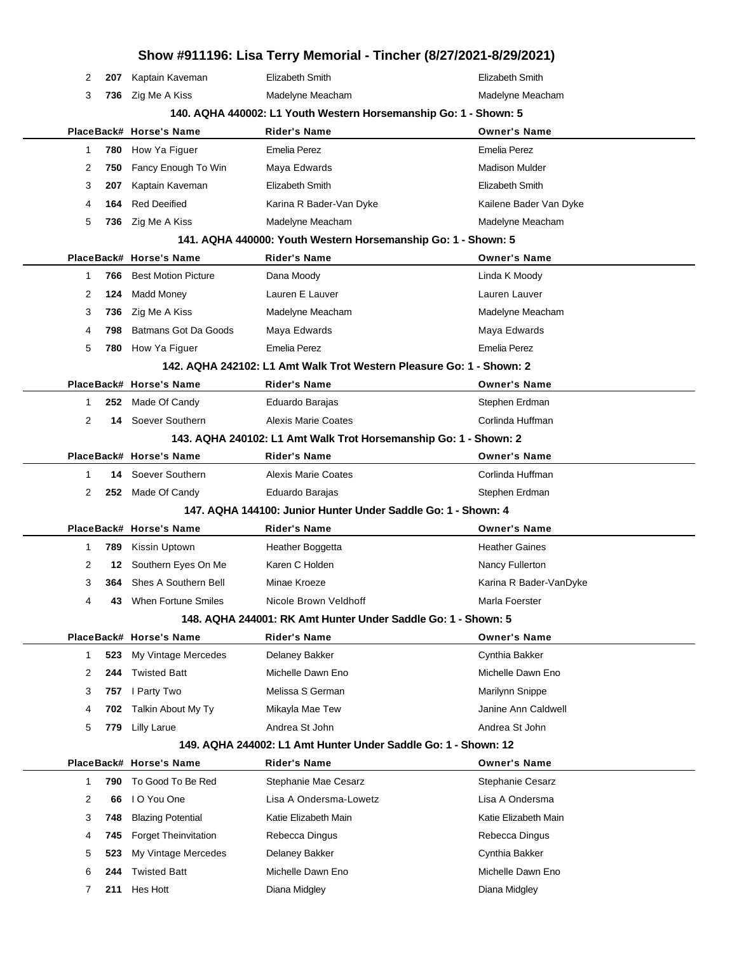|              |                                                                  |                                                    | Show #911196: Lisa Terry Memorial - Tincher (8/27/2021-8/29/2021)    |                                         |  |  |  |  |
|--------------|------------------------------------------------------------------|----------------------------------------------------|----------------------------------------------------------------------|-----------------------------------------|--|--|--|--|
| 2            | 207                                                              | Kaptain Kaveman                                    | <b>Elizabeth Smith</b>                                               | Elizabeth Smith                         |  |  |  |  |
| 3            | 736                                                              | Zig Me A Kiss                                      | Madelyne Meacham                                                     | Madelyne Meacham                        |  |  |  |  |
|              | 140. AQHA 440002: L1 Youth Western Horsemanship Go: 1 - Shown: 5 |                                                    |                                                                      |                                         |  |  |  |  |
|              |                                                                  | PlaceBack# Horse's Name                            | <b>Rider's Name</b>                                                  | <b>Owner's Name</b>                     |  |  |  |  |
| $\mathbf{1}$ | 780                                                              | How Ya Figuer                                      | <b>Emelia Perez</b>                                                  | <b>Emelia Perez</b>                     |  |  |  |  |
| 2            | 750                                                              | Fancy Enough To Win                                | Maya Edwards                                                         | <b>Madison Mulder</b>                   |  |  |  |  |
| 3            | 207                                                              | Kaptain Kaveman                                    | Elizabeth Smith                                                      | Elizabeth Smith                         |  |  |  |  |
| 4            | 164                                                              | <b>Red Deeified</b>                                | Karina R Bader-Van Dyke                                              | Kailene Bader Van Dyke                  |  |  |  |  |
| 5            | 736                                                              | Zig Me A Kiss                                      | Madelyne Meacham                                                     | Madelyne Meacham                        |  |  |  |  |
|              |                                                                  |                                                    | 141. AQHA 440000: Youth Western Horsemanship Go: 1 - Shown: 5        |                                         |  |  |  |  |
|              |                                                                  | PlaceBack# Horse's Name                            | <b>Rider's Name</b>                                                  | <b>Owner's Name</b>                     |  |  |  |  |
| 1            | 766                                                              | <b>Best Motion Picture</b>                         | Dana Moody                                                           | Linda K Moody                           |  |  |  |  |
| 2            | 124                                                              | Madd Money                                         | Lauren E Lauver                                                      | Lauren Lauver                           |  |  |  |  |
| 3            | 736                                                              | Zig Me A Kiss                                      | Madelyne Meacham                                                     | Madelyne Meacham                        |  |  |  |  |
| 4            | 798                                                              | <b>Batmans Got Da Goods</b>                        | Maya Edwards                                                         | Maya Edwards                            |  |  |  |  |
| 5            | 780                                                              | How Ya Figuer                                      | Emelia Perez                                                         | Emelia Perez                            |  |  |  |  |
|              |                                                                  |                                                    | 142. AQHA 242102: L1 Amt Walk Trot Western Pleasure Go: 1 - Shown: 2 |                                         |  |  |  |  |
|              |                                                                  | PlaceBack# Horse's Name                            | Rider's Name                                                         | <b>Owner's Name</b>                     |  |  |  |  |
| 1            | 252                                                              | Made Of Candy                                      | Eduardo Barajas                                                      | Stephen Erdman                          |  |  |  |  |
| 2            | 14                                                               | Soever Southern                                    | <b>Alexis Marie Coates</b>                                           | Corlinda Huffman                        |  |  |  |  |
|              |                                                                  |                                                    | 143. AQHA 240102: L1 Amt Walk Trot Horsemanship Go: 1 - Shown: 2     |                                         |  |  |  |  |
|              |                                                                  | PlaceBack# Horse's Name                            | <b>Rider's Name</b>                                                  | <b>Owner's Name</b>                     |  |  |  |  |
| $\mathbf{1}$ | 14                                                               | Soever Southern                                    | <b>Alexis Marie Coates</b>                                           | Corlinda Huffman                        |  |  |  |  |
| 2            |                                                                  | 252 Made Of Candy                                  | Eduardo Barajas                                                      | Stephen Erdman                          |  |  |  |  |
|              |                                                                  |                                                    | 147, AQHA 144100: Junior Hunter Under Saddle Go: 1 - Shown: 4        |                                         |  |  |  |  |
|              |                                                                  | PlaceBack# Horse's Name                            | Rider's Name                                                         | <b>Owner's Name</b>                     |  |  |  |  |
| $\mathbf{1}$ | 789                                                              | Kissin Uptown                                      | Heather Boggetta                                                     | <b>Heather Gaines</b>                   |  |  |  |  |
| 2            | 12                                                               | Southern Eyes On Me                                | Karen C Holden                                                       | Nancy Fullerton                         |  |  |  |  |
| 3            | 364                                                              | Shes A Southern Bell                               | Minae Kroeze                                                         | Karina R Bader-VanDyke                  |  |  |  |  |
| 4            | 43                                                               | When Fortune Smiles                                | Nicole Brown Veldhoff                                                | Marla Foerster                          |  |  |  |  |
|              |                                                                  |                                                    | 148. AQHA 244001: RK Amt Hunter Under Saddle Go: 1 - Shown: 5        |                                         |  |  |  |  |
|              |                                                                  | PlaceBack# Horse's Name                            | Rider's Name                                                         | <b>Owner's Name</b>                     |  |  |  |  |
| 1            | 523                                                              | My Vintage Mercedes                                | Delaney Bakker                                                       | Cynthia Bakker                          |  |  |  |  |
| 2            | 244                                                              | <b>Twisted Batt</b>                                | Michelle Dawn Eno                                                    | Michelle Dawn Eno                       |  |  |  |  |
| 3            | 757                                                              | I Party Two                                        | Melissa S German                                                     | Marilynn Snippe                         |  |  |  |  |
| 4            | 702                                                              | Talkin About My Ty                                 | Mikayla Mae Tew                                                      | Janine Ann Caldwell                     |  |  |  |  |
| 5            | 779                                                              | Lilly Larue                                        | Andrea St John                                                       | Andrea St John                          |  |  |  |  |
|              |                                                                  |                                                    | 149. AQHA 244002: L1 Amt Hunter Under Saddle Go: 1 - Shown: 12       |                                         |  |  |  |  |
| 1            | 790                                                              | PlaceBack# Horse's Name<br>To Good To Be Red       | <b>Rider's Name</b><br>Stephanie Mae Cesarz                          | <b>Owner's Name</b><br>Stephanie Cesarz |  |  |  |  |
| 2            |                                                                  | I O You One                                        | Lisa A Ondersma-Lowetz                                               | Lisa A Ondersma                         |  |  |  |  |
| 3            | 66<br>748                                                        | <b>Blazing Potential</b>                           | Katie Elizabeth Main                                                 | Katie Elizabeth Main                    |  |  |  |  |
|              | 745                                                              |                                                    |                                                                      |                                         |  |  |  |  |
| 4<br>5       | 523                                                              | <b>Forget Theinvitation</b><br>My Vintage Mercedes | Rebecca Dingus<br>Delaney Bakker                                     | Rebecca Dingus<br>Cynthia Bakker        |  |  |  |  |
| 6            | 244                                                              | <b>Twisted Batt</b>                                | Michelle Dawn Eno                                                    | Michelle Dawn Eno                       |  |  |  |  |
| 7            |                                                                  | 211 Hes Hott                                       |                                                                      |                                         |  |  |  |  |
|              |                                                                  |                                                    | Diana Midgley                                                        | Diana Midgley                           |  |  |  |  |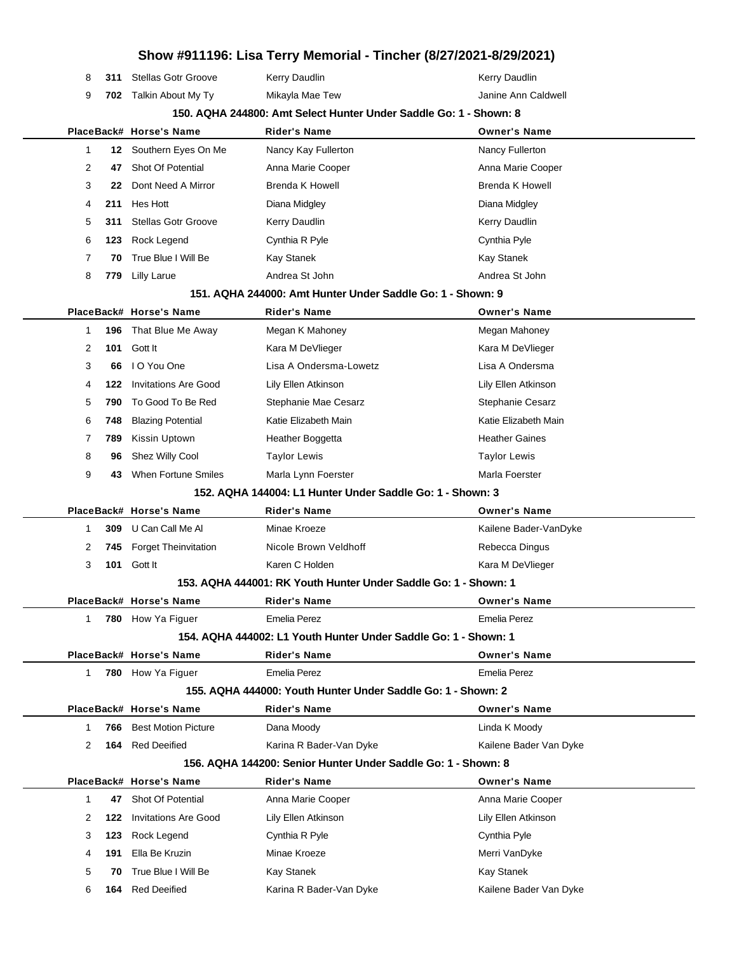|              |     |                             | Show #911196: Lisa Terry Memorial - Tincher (8/27/2021-8/29/2021) |                        |
|--------------|-----|-----------------------------|-------------------------------------------------------------------|------------------------|
| 8            | 311 | <b>Stellas Gotr Groove</b>  | Kerry Daudlin                                                     | Kerry Daudlin          |
| 9            | 702 | Talkin About My Ty          | Mikayla Mae Tew                                                   | Janine Ann Caldwell    |
|              |     |                             | 150. AQHA 244800: Amt Select Hunter Under Saddle Go: 1 - Shown: 8 |                        |
|              |     | PlaceBack# Horse's Name     | <b>Rider's Name</b>                                               | <b>Owner's Name</b>    |
| $\mathbf{1}$ | 12  | Southern Eyes On Me         | Nancy Kay Fullerton                                               | Nancy Fullerton        |
| 2            | 47  | Shot Of Potential           | Anna Marie Cooper                                                 | Anna Marie Cooper      |
| 3            | 22  | Dont Need A Mirror          | <b>Brenda K Howell</b>                                            | <b>Brenda K Howell</b> |
| 4            | 211 | Hes Hott                    | Diana Midgley                                                     | Diana Midgley          |
| 5            | 311 | <b>Stellas Gotr Groove</b>  | Kerry Daudlin                                                     | Kerry Daudlin          |
| 6            | 123 | Rock Legend                 | Cynthia R Pyle                                                    | Cynthia Pyle           |
| 7            | 70  | True Blue I Will Be         | Kay Stanek                                                        | Kay Stanek             |
| 8            | 779 | <b>Lilly Larue</b>          | Andrea St John                                                    | Andrea St John         |
|              |     |                             | 151. AQHA 244000: Amt Hunter Under Saddle Go: 1 - Shown: 9        |                        |
|              |     | PlaceBack# Horse's Name     | Rider's Name                                                      | <b>Owner's Name</b>    |
| 1            | 196 | That Blue Me Away           | Megan K Mahoney                                                   | Megan Mahoney          |
| 2            | 101 | Gott It                     | Kara M DeVlieger                                                  | Kara M DeVlieger       |
| 3            | 66  | I O You One                 | Lisa A Ondersma-Lowetz                                            | Lisa A Ondersma        |
| 4            | 122 | <b>Invitations Are Good</b> | Lily Ellen Atkinson                                               | Lily Ellen Atkinson    |
| 5            | 790 | To Good To Be Red           | Stephanie Mae Cesarz                                              | Stephanie Cesarz       |
| 6            | 748 | <b>Blazing Potential</b>    | Katie Elizabeth Main                                              | Katie Elizabeth Main   |
| 7            | 789 | Kissin Uptown               | Heather Boggetta                                                  | <b>Heather Gaines</b>  |
| 8            | 96  | Shez Willy Cool             | <b>Taylor Lewis</b>                                               | <b>Taylor Lewis</b>    |
| 9            | 43  | When Fortune Smiles         | Marla Lynn Foerster                                               | Marla Foerster         |
|              |     |                             | 152. AQHA 144004: L1 Hunter Under Saddle Go: 1 - Shown: 3         |                        |
|              |     | PlaceBack# Horse's Name     | <b>Rider's Name</b>                                               | <b>Owner's Name</b>    |
| 1            | 309 | U Can Call Me Al            | Minae Kroeze                                                      | Kailene Bader-VanDyke  |
| 2            | 745 | <b>Forget Theinvitation</b> | Nicole Brown Veldhoff                                             | Rebecca Dingus         |
| 3            | 101 | Gott It                     | Karen C Holden                                                    | Kara M DeVlieger       |
|              |     |                             | 153. AQHA 444001: RK Youth Hunter Under Saddle Go: 1 - Shown: 1   |                        |
|              |     | PlaceBack# Horse's Name     | Rider's Name                                                      | <b>Owner's Name</b>    |
| 1            |     | 780 How Ya Figuer           | <b>Emelia Perez</b>                                               | Emelia Perez           |
|              |     |                             | 154, AQHA 444002: L1 Youth Hunter Under Saddle Go: 1 - Shown: 1   |                        |
|              |     | PlaceBack# Horse's Name     | Rider's Name                                                      | <b>Owner's Name</b>    |
| 1            |     | 780 How Ya Figuer           | <b>Emelia Perez</b>                                               | <b>Emelia Perez</b>    |
|              |     |                             | 155. AQHA 444000: Youth Hunter Under Saddle Go: 1 - Shown: 2      |                        |
|              |     | PlaceBack# Horse's Name     | <b>Rider's Name</b>                                               | <b>Owner's Name</b>    |
| 1            | 766 | <b>Best Motion Picture</b>  | Dana Moody                                                        | Linda K Moody          |
| 2            | 164 | <b>Red Deeified</b>         | Karina R Bader-Van Dyke                                           | Kailene Bader Van Dyke |
|              |     |                             | 156, AQHA 144200: Senior Hunter Under Saddle Go: 1 - Shown: 8     |                        |
|              |     | PlaceBack# Horse's Name     | Rider's Name                                                      | <b>Owner's Name</b>    |
| $\mathbf{1}$ | 47  | Shot Of Potential           | Anna Marie Cooper                                                 | Anna Marie Cooper      |
| 2            | 122 | <b>Invitations Are Good</b> | Lily Ellen Atkinson                                               | Lily Ellen Atkinson    |
| 3            | 123 | Rock Legend                 | Cynthia R Pyle                                                    | Cynthia Pyle           |
| 4            | 191 | Ella Be Kruzin              | Minae Kroeze                                                      | Merri VanDyke          |
| 5            | 70  | True Blue I Will Be         | Kay Stanek                                                        | Kay Stanek             |
| 6            | 164 | <b>Red Deeified</b>         | Karina R Bader-Van Dyke                                           | Kailene Bader Van Dyke |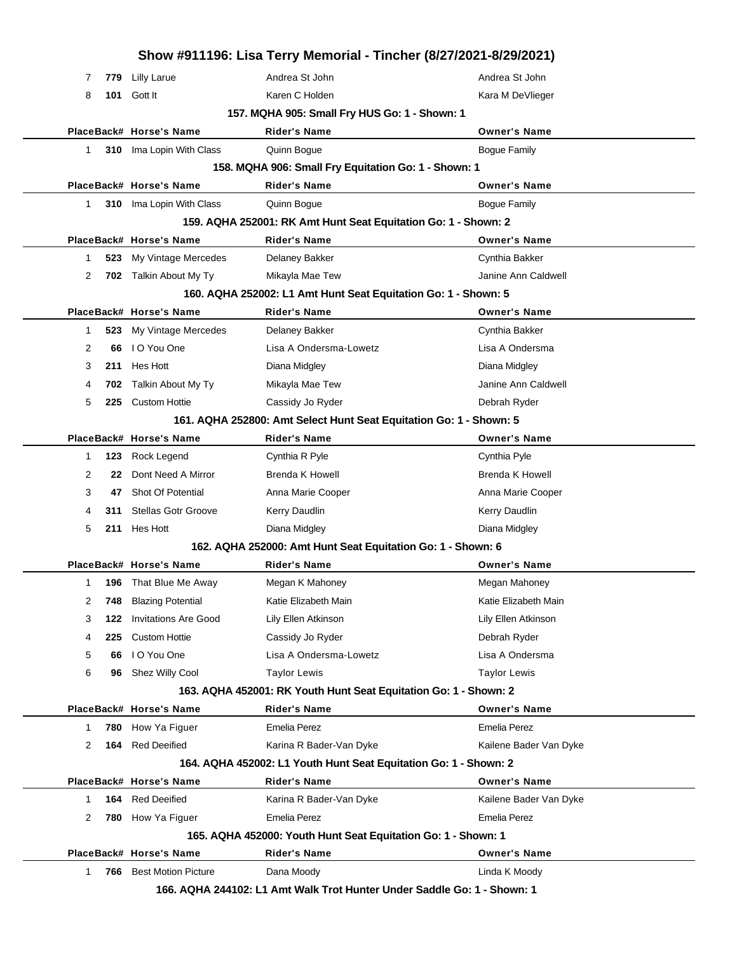|                                                                |     |                                                       | Show #911196: Lisa Terry Memorial - Tincher (8/27/2021-8/29/2021)  |                                      |  |
|----------------------------------------------------------------|-----|-------------------------------------------------------|--------------------------------------------------------------------|--------------------------------------|--|
| 7                                                              | 779 | <b>Lilly Larue</b>                                    | Andrea St John                                                     | Andrea St John                       |  |
| 8                                                              | 101 | Gott It                                               | Karen C Holden                                                     | Kara M DeVlieger                     |  |
|                                                                |     |                                                       | 157. MQHA 905: Small Fry HUS Go: 1 - Shown: 1                      |                                      |  |
|                                                                |     | PlaceBack# Horse's Name                               | Rider's Name                                                       | <b>Owner's Name</b>                  |  |
| 1                                                              |     | 310 Ima Lopin With Class                              | Quinn Bogue                                                        | <b>Bogue Family</b>                  |  |
|                                                                |     |                                                       | 158. MQHA 906: Small Fry Equitation Go: 1 - Shown: 1               |                                      |  |
|                                                                |     | PlaceBack# Horse's Name                               | <b>Rider's Name</b>                                                | <b>Owner's Name</b>                  |  |
| 1                                                              | 310 | Ima Lopin With Class                                  | Quinn Bogue                                                        | <b>Bogue Family</b>                  |  |
| 159. AQHA 252001: RK Amt Hunt Seat Equitation Go: 1 - Shown: 2 |     |                                                       |                                                                    |                                      |  |
|                                                                |     | PlaceBack# Horse's Name                               | <b>Rider's Name</b>                                                | <b>Owner's Name</b>                  |  |
| 1                                                              | 523 | My Vintage Mercedes                                   | Delaney Bakker                                                     | Cynthia Bakker                       |  |
| 2                                                              | 702 | Talkin About My Ty                                    | Mikayla Mae Tew                                                    | Janine Ann Caldwell                  |  |
|                                                                |     |                                                       | 160. AQHA 252002: L1 Amt Hunt Seat Equitation Go: 1 - Shown: 5     |                                      |  |
|                                                                |     | PlaceBack# Horse's Name                               | <b>Rider's Name</b>                                                | <b>Owner's Name</b>                  |  |
| 1                                                              | 523 | My Vintage Mercedes                                   | Delaney Bakker                                                     | Cynthia Bakker                       |  |
| 2                                                              | 66  | I O You One                                           | Lisa A Ondersma-Lowetz                                             | Lisa A Ondersma                      |  |
| 3                                                              | 211 | Hes Hott                                              | Diana Midgley                                                      | Diana Midgley                        |  |
| 4                                                              | 702 | Talkin About My Ty                                    | Mikayla Mae Tew                                                    | Janine Ann Caldwell                  |  |
| 5                                                              | 225 | <b>Custom Hottie</b>                                  | Cassidy Jo Ryder                                                   | Debrah Ryder                         |  |
|                                                                |     |                                                       | 161. AQHA 252800: Amt Select Hunt Seat Equitation Go: 1 - Shown: 5 |                                      |  |
|                                                                |     | PlaceBack# Horse's Name                               | Rider's Name                                                       | <b>Owner's Name</b>                  |  |
| 1                                                              | 123 | Rock Legend                                           | Cynthia R Pyle                                                     | Cynthia Pyle                         |  |
| 2                                                              | 22  | Dont Need A Mirror                                    | Brenda K Howell                                                    | <b>Brenda K Howell</b>               |  |
| 3                                                              | 47  | Shot Of Potential                                     | Anna Marie Cooper                                                  | Anna Marie Cooper                    |  |
| 4                                                              | 311 | <b>Stellas Gotr Groove</b>                            | Kerry Daudlin                                                      | Kerry Daudlin                        |  |
| 5                                                              | 211 | Hes Hott                                              | Diana Midgley                                                      | Diana Midgley                        |  |
|                                                                |     |                                                       | 162. AQHA 252000: Amt Hunt Seat Equitation Go: 1 - Shown: 6        |                                      |  |
|                                                                |     | PlaceBack# Horse's Name                               | Rider's Name                                                       | <b>Owner's Name</b>                  |  |
| 1                                                              |     | <b>196</b> That Blue Me Away                          | Megan K Mahoney                                                    | Megan Mahoney                        |  |
|                                                                |     |                                                       |                                                                    |                                      |  |
| 2                                                              | 748 | <b>Blazing Potential</b>                              | Katie Elizabeth Main                                               | Katie Elizabeth Main                 |  |
| 3                                                              | 122 | <b>Invitations Are Good</b>                           | Lily Ellen Atkinson                                                | Lily Ellen Atkinson                  |  |
| 4                                                              | 225 | <b>Custom Hottie</b>                                  | Cassidy Jo Ryder                                                   | Debrah Ryder                         |  |
| 5                                                              | 66  | I O You One                                           | Lisa A Ondersma-Lowetz                                             | Lisa A Ondersma                      |  |
| 6                                                              | 96  | Shez Willy Cool                                       | <b>Taylor Lewis</b>                                                | <b>Taylor Lewis</b>                  |  |
|                                                                |     |                                                       | 163. AQHA 452001: RK Youth Hunt Seat Equitation Go: 1 - Shown: 2   |                                      |  |
|                                                                |     | PlaceBack# Horse's Name                               | <b>Rider's Name</b>                                                | <b>Owner's Name</b>                  |  |
| 1                                                              | 780 | How Ya Figuer                                         | Emelia Perez                                                       | <b>Emelia Perez</b>                  |  |
| 2                                                              | 164 | <b>Red Deeified</b>                                   | Karina R Bader-Van Dyke                                            | Kailene Bader Van Dyke               |  |
|                                                                |     |                                                       | 164. AQHA 452002: L1 Youth Hunt Seat Equitation Go: 1 - Shown: 2   |                                      |  |
|                                                                |     | PlaceBack# Horse's Name                               | <b>Rider's Name</b>                                                | <b>Owner's Name</b>                  |  |
| 1                                                              | 164 | <b>Red Deeified</b>                                   | Karina R Bader-Van Dyke                                            | Kailene Bader Van Dyke               |  |
| 2                                                              | 780 | How Ya Figuer                                         | Emelia Perez                                                       | <b>Emelia Perez</b>                  |  |
|                                                                |     |                                                       | 165. AQHA 452000: Youth Hunt Seat Equitation Go: 1 - Shown: 1      |                                      |  |
| 1                                                              | 766 | PlaceBack# Horse's Name<br><b>Best Motion Picture</b> | <b>Rider's Name</b><br>Dana Moody                                  | <b>Owner's Name</b><br>Linda K Moody |  |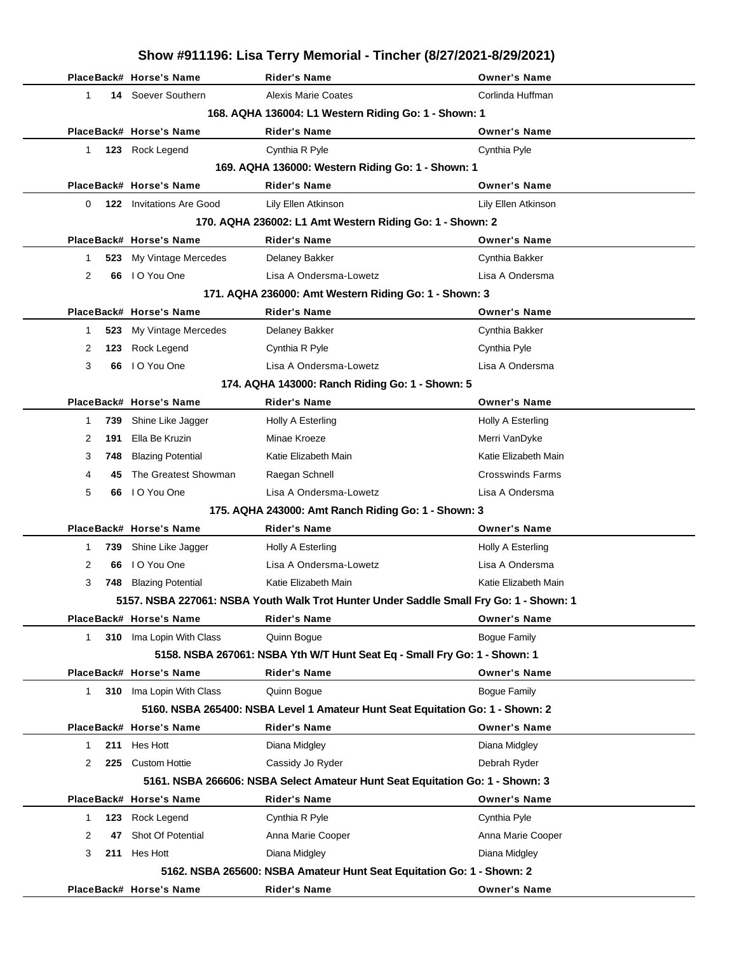|              | Show #911196: Lisa Terry Memorial - Tincher (8/27/2021-8/29/2021) |                                 |                                                                                        |                         |  |  |  |  |  |
|--------------|-------------------------------------------------------------------|---------------------------------|----------------------------------------------------------------------------------------|-------------------------|--|--|--|--|--|
|              |                                                                   | PlaceBack# Horse's Name         | <b>Rider's Name</b>                                                                    | <b>Owner's Name</b>     |  |  |  |  |  |
| 1            |                                                                   | 14 Soever Southern              | <b>Alexis Marie Coates</b>                                                             | Corlinda Huffman        |  |  |  |  |  |
|              | 168. AQHA 136004: L1 Western Riding Go: 1 - Shown: 1              |                                 |                                                                                        |                         |  |  |  |  |  |
|              |                                                                   | PlaceBack# Horse's Name         | <b>Rider's Name</b>                                                                    | <b>Owner's Name</b>     |  |  |  |  |  |
| $\mathbf{1}$ |                                                                   | 123 Rock Legend                 | Cynthia R Pyle                                                                         | Cynthia Pyle            |  |  |  |  |  |
|              |                                                                   |                                 | 169. AQHA 136000: Western Riding Go: 1 - Shown: 1                                      |                         |  |  |  |  |  |
|              |                                                                   | PlaceBack# Horse's Name         | <b>Rider's Name</b>                                                                    | <b>Owner's Name</b>     |  |  |  |  |  |
| 0            |                                                                   | <b>122</b> Invitations Are Good | Lily Ellen Atkinson                                                                    | Lily Ellen Atkinson     |  |  |  |  |  |
|              | 170. AQHA 236002: L1 Amt Western Riding Go: 1 - Shown: 2          |                                 |                                                                                        |                         |  |  |  |  |  |
|              |                                                                   | PlaceBack# Horse's Name         | <b>Rider's Name</b>                                                                    | <b>Owner's Name</b>     |  |  |  |  |  |
| 1            | 523                                                               | My Vintage Mercedes             | Delaney Bakker                                                                         | Cynthia Bakker          |  |  |  |  |  |
| 2            | 66                                                                | I O You One                     | Lisa A Ondersma-Lowetz                                                                 | Lisa A Ondersma         |  |  |  |  |  |
|              |                                                                   |                                 | 171. AQHA 236000: Amt Western Riding Go: 1 - Shown: 3                                  |                         |  |  |  |  |  |
|              |                                                                   | PlaceBack# Horse's Name         | <b>Rider's Name</b>                                                                    | <b>Owner's Name</b>     |  |  |  |  |  |
| 1            | 523                                                               | My Vintage Mercedes             | Delaney Bakker                                                                         | Cynthia Bakker          |  |  |  |  |  |
| 2            | 123                                                               | Rock Legend                     | Cynthia R Pyle                                                                         | Cynthia Pyle            |  |  |  |  |  |
| 3            | 66                                                                | I O You One                     | Lisa A Ondersma-Lowetz                                                                 | Lisa A Ondersma         |  |  |  |  |  |
|              |                                                                   |                                 | 174. AQHA 143000: Ranch Riding Go: 1 - Shown: 5                                        |                         |  |  |  |  |  |
|              |                                                                   | PlaceBack# Horse's Name         | <b>Rider's Name</b>                                                                    | <b>Owner's Name</b>     |  |  |  |  |  |
| 1            | 739                                                               | Shine Like Jagger               | Holly A Esterling                                                                      | Holly A Esterling       |  |  |  |  |  |
| 2            | 191                                                               | Ella Be Kruzin                  | Minae Kroeze                                                                           | Merri VanDyke           |  |  |  |  |  |
| 3            | 748                                                               | <b>Blazing Potential</b>        | Katie Elizabeth Main                                                                   | Katie Elizabeth Main    |  |  |  |  |  |
| 4            | 45                                                                | The Greatest Showman            | Raegan Schnell                                                                         | <b>Crosswinds Farms</b> |  |  |  |  |  |
| 5            | 66                                                                | I O You One                     | Lisa A Ondersma-Lowetz                                                                 | Lisa A Ondersma         |  |  |  |  |  |
|              |                                                                   |                                 | 175. AQHA 243000: Amt Ranch Riding Go: 1 - Shown: 3                                    |                         |  |  |  |  |  |
|              |                                                                   | PlaceBack# Horse's Name         | <b>Rider's Name</b>                                                                    | <b>Owner's Name</b>     |  |  |  |  |  |
| 1            | 739                                                               | Shine Like Jagger               | Holly A Esterling                                                                      | Holly A Esterling       |  |  |  |  |  |
| 2            | 66                                                                | I O You One                     | Lisa A Ondersma-Lowetz                                                                 | Lisa A Ondersma         |  |  |  |  |  |
| 3            |                                                                   | 748 Blazing Potential           | Katie Elizabeth Main                                                                   | Katie Elizabeth Main    |  |  |  |  |  |
|              |                                                                   |                                 | 5157. NSBA 227061: NSBA Youth Walk Trot Hunter Under Saddle Small Fry Go: 1 - Shown: 1 |                         |  |  |  |  |  |
|              |                                                                   | PlaceBack# Horse's Name         | <b>Rider's Name</b>                                                                    | <b>Owner's Name</b>     |  |  |  |  |  |
|              | 1                                                                 | 310 Ima Lopin With Class        | Quinn Bogue                                                                            | <b>Bogue Family</b>     |  |  |  |  |  |
|              |                                                                   |                                 | 5158. NSBA 267061: NSBA Yth W/T Hunt Seat Eq - Small Fry Go: 1 - Shown: 1              |                         |  |  |  |  |  |
|              |                                                                   | PlaceBack# Horse's Name         | <b>Rider's Name</b>                                                                    | <b>Owner's Name</b>     |  |  |  |  |  |
|              | $\mathbf{1}$                                                      | 310 Ima Lopin With Class        | Quinn Bogue                                                                            | <b>Bogue Family</b>     |  |  |  |  |  |
|              |                                                                   |                                 | 5160. NSBA 265400: NSBA Level 1 Amateur Hunt Seat Equitation Go: 1 - Shown: 2          |                         |  |  |  |  |  |
|              |                                                                   | PlaceBack# Horse's Name         | <b>Rider's Name</b>                                                                    | <b>Owner's Name</b>     |  |  |  |  |  |
| 1            | 211                                                               | Hes Hott                        | Diana Midgley                                                                          | Diana Midgley           |  |  |  |  |  |
| 2            |                                                                   | 225 Custom Hottie               | Cassidy Jo Ryder                                                                       | Debrah Ryder            |  |  |  |  |  |
|              |                                                                   |                                 | 5161. NSBA 266606: NSBA Select Amateur Hunt Seat Equitation Go: 1 - Shown: 3           |                         |  |  |  |  |  |
|              |                                                                   | PlaceBack# Horse's Name         | <b>Rider's Name</b>                                                                    | <b>Owner's Name</b>     |  |  |  |  |  |
| 1            | 123                                                               | Rock Legend                     | Cynthia R Pyle                                                                         | Cynthia Pyle            |  |  |  |  |  |
| 2            | 47                                                                | Shot Of Potential               | Anna Marie Cooper                                                                      | Anna Marie Cooper       |  |  |  |  |  |
| 3            | 211                                                               | Hes Hott                        | Diana Midgley                                                                          | Diana Midgley           |  |  |  |  |  |
|              |                                                                   |                                 | 5162. NSBA 265600: NSBA Amateur Hunt Seat Equitation Go: 1 - Shown: 2                  |                         |  |  |  |  |  |
|              |                                                                   | PlaceBack# Horse's Name         | <b>Rider's Name</b>                                                                    | <b>Owner's Name</b>     |  |  |  |  |  |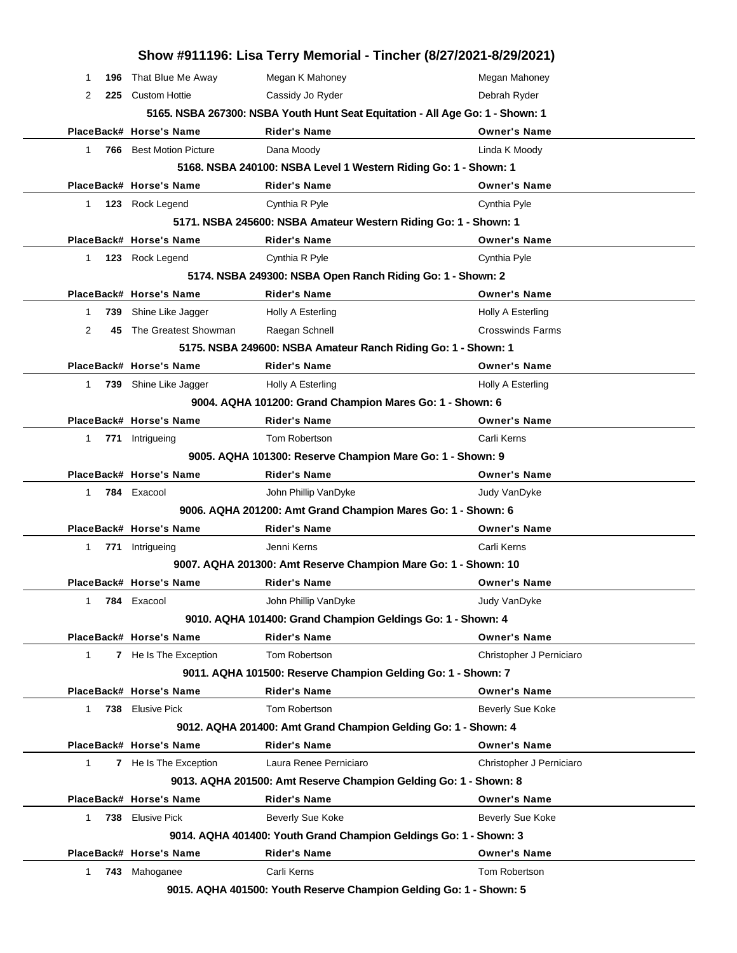|                      | 743 Mahoganee                                                                                                                           | 9015. AQHA 401500: Youth Reserve Champion Gelding Go: 1 - Shown: 5                  |                          |  |  |  |  |
|----------------------|-----------------------------------------------------------------------------------------------------------------------------------------|-------------------------------------------------------------------------------------|--------------------------|--|--|--|--|
| 1                    |                                                                                                                                         | Carli Kerns                                                                         | Tom Robertson            |  |  |  |  |
|                      | PlaceBack# Horse's Name                                                                                                                 | <b>Rider's Name</b>                                                                 | <b>Owner's Name</b>      |  |  |  |  |
|                      |                                                                                                                                         | 9014. AQHA 401400: Youth Grand Champion Geldings Go: 1 - Shown: 3                   |                          |  |  |  |  |
| 738<br>1             | <b>Elusive Pick</b>                                                                                                                     | Beverly Sue Koke                                                                    | Beverly Sue Koke         |  |  |  |  |
|                      | PlaceBack# Horse's Name                                                                                                                 | <b>Rider's Name</b>                                                                 | <b>Owner's Name</b>      |  |  |  |  |
|                      |                                                                                                                                         | 9013. AQHA 201500: Amt Reserve Champion Gelding Go: 1 - Shown: 8                    |                          |  |  |  |  |
| 1                    | 7 He Is The Exception                                                                                                                   | Laura Renee Perniciaro                                                              | Christopher J Perniciaro |  |  |  |  |
|                      | 9012. AQHA 201400: Amt Grand Champion Gelding Go: 1 - Shown: 4<br>PlaceBack# Horse's Name<br><b>Rider's Name</b><br><b>Owner's Name</b> |                                                                                     |                          |  |  |  |  |
|                      |                                                                                                                                         |                                                                                     |                          |  |  |  |  |
| $\mathbf{1}$         | 738 Elusive Pick                                                                                                                        | Tom Robertson                                                                       | Beverly Sue Koke         |  |  |  |  |
|                      | PlaceBack# Horse's Name                                                                                                                 | 9011. AQHA 101500: Reserve Champion Gelding Go: 1 - Shown: 7<br><b>Rider's Name</b> | <b>Owner's Name</b>      |  |  |  |  |
|                      | <b>7</b> He Is The Exception                                                                                                            | Tom Robertson                                                                       | Christopher J Perniciaro |  |  |  |  |
| $\mathbf{1}$         | PlaceBack# Horse's Name                                                                                                                 | <b>Rider's Name</b>                                                                 | <b>Owner's Name</b>      |  |  |  |  |
|                      |                                                                                                                                         | 9010. AQHA 101400: Grand Champion Geldings Go: 1 - Shown: 4                         |                          |  |  |  |  |
| 1                    | 784 Exacool                                                                                                                             | John Phillip VanDyke                                                                | Judy VanDyke             |  |  |  |  |
|                      | PlaceBack# Horse's Name                                                                                                                 | <b>Rider's Name</b>                                                                 | <b>Owner's Name</b>      |  |  |  |  |
|                      |                                                                                                                                         | 9007. AQHA 201300: Amt Reserve Champion Mare Go: 1 - Shown: 10                      |                          |  |  |  |  |
| 1                    | 771 Intrigueing                                                                                                                         | Jenni Kerns                                                                         | Carli Kerns              |  |  |  |  |
|                      | PlaceBack# Horse's Name                                                                                                                 | <b>Rider's Name</b>                                                                 | <b>Owner's Name</b>      |  |  |  |  |
|                      |                                                                                                                                         | 9006. AQHA 201200: Amt Grand Champion Mares Go: 1 - Shown: 6                        |                          |  |  |  |  |
| $\mathbf{1}$         | 784 Exacool                                                                                                                             | John Phillip VanDyke                                                                | Judy VanDyke             |  |  |  |  |
|                      | PlaceBack# Horse's Name                                                                                                                 | <b>Rider's Name</b>                                                                 | <b>Owner's Name</b>      |  |  |  |  |
|                      |                                                                                                                                         | 9005. AQHA 101300: Reserve Champion Mare Go: 1 - Shown: 9                           |                          |  |  |  |  |
| 771<br>1             | Intrigueing                                                                                                                             | Tom Robertson                                                                       | Carli Kerns              |  |  |  |  |
|                      | PlaceBack# Horse's Name                                                                                                                 | <b>Rider's Name</b>                                                                 | <b>Owner's Name</b>      |  |  |  |  |
|                      |                                                                                                                                         | 9004. AQHA 101200: Grand Champion Mares Go: 1 - Shown: 6                            |                          |  |  |  |  |
| 1                    | 739 Shine Like Jagger                                                                                                                   | Holly A Esterling                                                                   | Holly A Esterling        |  |  |  |  |
|                      | PlaceBack# Horse's Name                                                                                                                 | <b>Rider's Name</b>                                                                 | <b>Owner's Name</b>      |  |  |  |  |
|                      |                                                                                                                                         | 5175. NSBA 249600: NSBA Amateur Ranch Riding Go: 1 - Shown: 1                       |                          |  |  |  |  |
| 2                    | 45 The Greatest Showman                                                                                                                 | Raegan Schnell                                                                      | <b>Crosswinds Farms</b>  |  |  |  |  |
| 1<br>739             | Shine Like Jagger                                                                                                                       | Holly A Esterling                                                                   | Holly A Esterling        |  |  |  |  |
|                      | PlaceBack# Horse's Name                                                                                                                 | <b>Rider's Name</b>                                                                 | <b>Owner's Name</b>      |  |  |  |  |
|                      |                                                                                                                                         | 5174. NSBA 249300: NSBA Open Ranch Riding Go: 1 - Shown: 2                          |                          |  |  |  |  |
| 1                    | 123 Rock Legend                                                                                                                         | Cynthia R Pyle                                                                      | Cynthia Pyle             |  |  |  |  |
|                      | PlaceBack# Horse's Name                                                                                                                 | <b>Rider's Name</b>                                                                 | <b>Owner's Name</b>      |  |  |  |  |
|                      |                                                                                                                                         | 5171. NSBA 245600: NSBA Amateur Western Riding Go: 1 - Shown: 1                     |                          |  |  |  |  |
| $\mathbf 1$          | 123 Rock Legend                                                                                                                         | Cynthia R Pyle                                                                      | Cynthia Pyle             |  |  |  |  |
|                      | PlaceBack# Horse's Name                                                                                                                 | <b>Rider's Name</b>                                                                 | <b>Owner's Name</b>      |  |  |  |  |
|                      |                                                                                                                                         | 5168. NSBA 240100: NSBA Level 1 Western Riding Go: 1 - Shown: 1                     |                          |  |  |  |  |
| 1                    | <b>766</b> Best Motion Picture                                                                                                          | Dana Moody                                                                          | Linda K Moody            |  |  |  |  |
|                      | PlaceBack# Horse's Name                                                                                                                 | <b>Rider's Name</b>                                                                 | <b>Owner's Name</b>      |  |  |  |  |
|                      |                                                                                                                                         | 5165. NSBA 267300: NSBA Youth Hunt Seat Equitation - All Age Go: 1 - Shown: 1       |                          |  |  |  |  |
| 196<br>1<br>2<br>225 | That Blue Me Away<br><b>Custom Hottie</b>                                                                                               | Megan K Mahoney<br>Cassidy Jo Ryder                                                 | Debrah Ryder             |  |  |  |  |
|                      |                                                                                                                                         |                                                                                     | Megan Mahoney            |  |  |  |  |
|                      |                                                                                                                                         | Show #911196: Lisa Terry Memorial - Tincher (8/27/2021-8/29/2021)                   |                          |  |  |  |  |